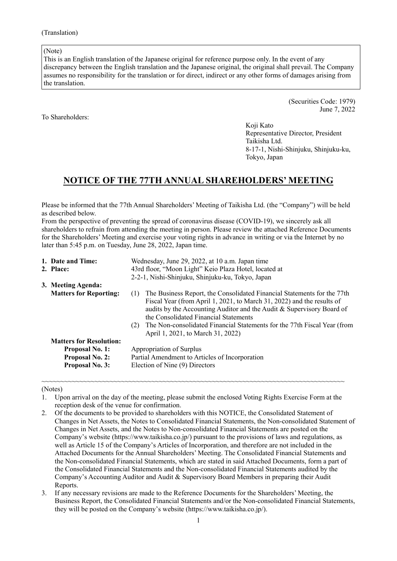(Note)

This is an English translation of the Japanese original for reference purpose only. In the event of any discrepancy between the English translation and the Japanese original, the original shall prevail. The Company assumes no responsibility for the translation or for direct, indirect or any other forms of damages arising from the translation.

To Shareholders:

(Securities Code: 1979) June 7, 2022

Koji Kato Representative Director, President Taikisha Ltd. 8-17-1, Nishi-Shinjuku, Shinjuku-ku, Tokyo, Japan

# **NOTICE OF THE 77TH ANNUAL SHAREHOLDERS' MEETING**

Please be informed that the 77th Annual Shareholders' Meeting of Taikisha Ltd. (the "Company") will be held as described below.

From the perspective of preventing the spread of coronavirus disease (COVID-19), we sincerely ask all shareholders to refrain from attending the meeting in person. Please review the attached Reference Documents for the Shareholders' Meeting and exercise your voting rights in advance in writing or via the Internet by no later than 5:45 p.m. on Tuesday, June 28, 2022, Japan time.

| 1. Date and Time:<br>2. Place:                                                                               | Wednesday, June 29, 2022, at 10 a.m. Japan time<br>43rd floor, "Moon Light" Keio Plaza Hotel, located at<br>2-2-1, Nishi-Shinjuku, Shinjuku-ku, Tokyo, Japan                                                                                                                                                                                                                                       |  |
|--------------------------------------------------------------------------------------------------------------|----------------------------------------------------------------------------------------------------------------------------------------------------------------------------------------------------------------------------------------------------------------------------------------------------------------------------------------------------------------------------------------------------|--|
| 3. Meeting Agenda:<br><b>Matters for Reporting:</b>                                                          | The Business Report, the Consolidated Financial Statements for the 77th<br>(1)<br>Fiscal Year (from April 1, 2021, to March 31, 2022) and the results of<br>audits by the Accounting Auditor and the Audit & Supervisory Board of<br>the Consolidated Financial Statements<br>The Non-consolidated Financial Statements for the 77th Fiscal Year (from<br>(2)<br>April 1, 2021, to March 31, 2022) |  |
| <b>Matters for Resolution:</b><br><b>Proposal No. 1:</b><br><b>Proposal No. 2:</b><br><b>Proposal No. 3:</b> | Appropriation of Surplus<br>Partial Amendment to Articles of Incorporation<br>Election of Nine (9) Directors                                                                                                                                                                                                                                                                                       |  |

(Notes)

~~~~~~~~~~~~~~~~~~~~~~~~~~~~~~~~~~~~~~~~~~~~~~~~~~~~~~~~~~~~~~~~~~~~~~~~~~~~~~~~

3. If any necessary revisions are made to the Reference Documents for the Shareholders' Meeting, the Business Report, the Consolidated Financial Statements and/or the Non-consolidated Financial Statements, they will be posted on the Company's website (https://www.taikisha.co.jp/).

<sup>1.</sup> Upon arrival on the day of the meeting, please submit the enclosed Voting Rights Exercise Form at the reception desk of the venue for confirmation.

<sup>2.</sup> Of the documents to be provided to shareholders with this NOTICE, the Consolidated Statement of Changes in Net Assets, the Notes to Consolidated Financial Statements, the Non-consolidated Statement of Changes in Net Assets, and the Notes to Non-consolidated Financial Statements are posted on the Company's website (https://www.taikisha.co.jp/) pursuant to the provisions of laws and regulations, as well as Article 15 of the Company's Articles of Incorporation, and therefore are not included in the Attached Documents for the Annual Shareholders' Meeting. The Consolidated Financial Statements and the Non-consolidated Financial Statements, which are stated in said Attached Documents, form a part of the Consolidated Financial Statements and the Non-consolidated Financial Statements audited by the Company's Accounting Auditor and Audit & Supervisory Board Members in preparing their Audit Reports.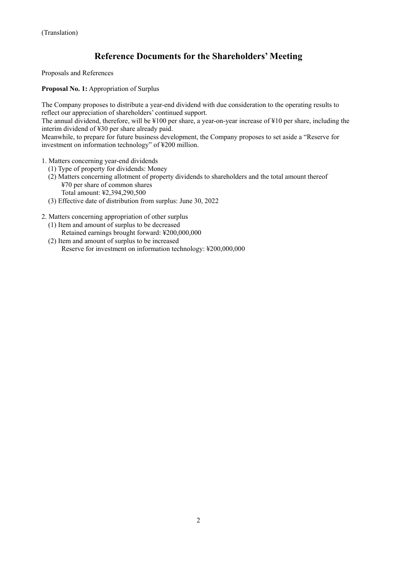# **Reference Documents for the Shareholders' Meeting**

Proposals and References

**Proposal No. 1:** Appropriation of Surplus

The Company proposes to distribute a year-end dividend with due consideration to the operating results to reflect our appreciation of shareholders' continued support.

The annual dividend, therefore, will be ¥100 per share, a year-on-year increase of ¥10 per share, including the interim dividend of ¥30 per share already paid.

Meanwhile, to prepare for future business development, the Company proposes to set aside a "Reserve for investment on information technology" of ¥200 million.

- 1. Matters concerning year-end dividends
	- (1) Type of property for dividends: Money
	- (2) Matters concerning allotment of property dividends to shareholders and the total amount thereof ¥70 per share of common shares Total amount: ¥2,394,290,500
	- (3) Effective date of distribution from surplus: June 30, 2022
- 2. Matters concerning appropriation of other surplus
	- (1) Item and amount of surplus to be decreased Retained earnings brought forward: ¥200,000,000
	- (2) Item and amount of surplus to be increased Reserve for investment on information technology: ¥200,000,000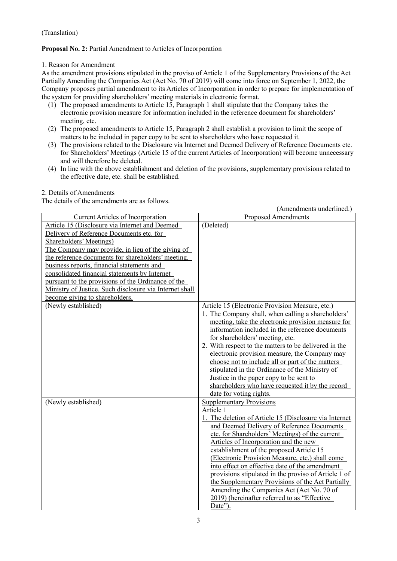## **Proposal No. 2:** Partial Amendment to Articles of Incorporation

#### 1. Reason for Amendment

As the amendment provisions stipulated in the proviso of Article 1 of the Supplementary Provisions of the Act Partially Amending the Companies Act (Act No. 70 of 2019) will come into force on September 1, 2022, the Company proposes partial amendment to its Articles of Incorporation in order to prepare for implementation of the system for providing shareholders' meeting materials in electronic format.

- (1) The proposed amendments to Article 15, Paragraph 1 shall stipulate that the Company takes the electronic provision measure for information included in the reference document for shareholders' meeting, etc.
- (2) The proposed amendments to Article 15, Paragraph 2 shall establish a provision to limit the scope of matters to be included in paper copy to be sent to shareholders who have requested it.
- (3) The provisions related to the Disclosure via Internet and Deemed Delivery of Reference Documents etc. for Shareholders' Meetings (Article 15 of the current Articles of Incorporation) will become unnecessary and will therefore be deleted.
- (4) In line with the above establishment and deletion of the provisions, supplementary provisions related to the effective date, etc. shall be established.

#### 2. Details of Amendments

The details of the amendments are as follows.

|                                                         | (Amendments underlined.)                               |
|---------------------------------------------------------|--------------------------------------------------------|
| Current Articles of Incorporation                       | <b>Proposed Amendments</b>                             |
| Article 15 (Disclosure via Internet and Deemed          | (Deleted)                                              |
| Delivery of Reference Documents etc. for                |                                                        |
| Shareholders' Meetings)                                 |                                                        |
| The Company may provide, in lieu of the giving of       |                                                        |
| the reference documents for shareholders' meeting,      |                                                        |
| business reports, financial statements and              |                                                        |
| consolidated financial statements by Internet           |                                                        |
| pursuant to the provisions of the Ordinance of the      |                                                        |
| Ministry of Justice. Such disclosure via Internet shall |                                                        |
| become giving to shareholders.                          |                                                        |
| (Newly established)                                     | Article 15 (Electronic Provision Measure, etc.)        |
|                                                         | 1. The Company shall, when calling a shareholders'     |
|                                                         | meeting, take the electronic provision measure for     |
|                                                         | information included in the reference documents        |
|                                                         | for shareholders' meeting, etc.                        |
|                                                         | 2. With respect to the matters to be delivered in the  |
|                                                         | electronic provision measure, the Company may          |
|                                                         | choose not to include all or part of the matters       |
|                                                         | stipulated in the Ordinance of the Ministry of         |
|                                                         | Justice in the paper copy to be sent to                |
|                                                         | shareholders who have requested it by the record       |
|                                                         | date for voting rights.                                |
| (Newly established)                                     | <b>Supplementary Provisions</b>                        |
|                                                         | Article 1                                              |
|                                                         | 1. The deletion of Article 15 (Disclosure via Internet |
|                                                         | and Deemed Delivery of Reference Documents             |
|                                                         | etc. for Shareholders' Meetings) of the current        |
|                                                         | Articles of Incorporation and the new                  |
|                                                         | establishment of the proposed Article 15               |
|                                                         | (Electronic Provision Measure, etc.) shall come        |
|                                                         | into effect on effective date of the amendment         |
|                                                         | provisions stipulated in the proviso of Article 1 of   |
|                                                         | the Supplementary Provisions of the Act Partially      |
|                                                         | Amending the Companies Act (Act No. 70 of              |
|                                                         | 2019) (hereinafter referred to as "Effective           |
|                                                         | Date").                                                |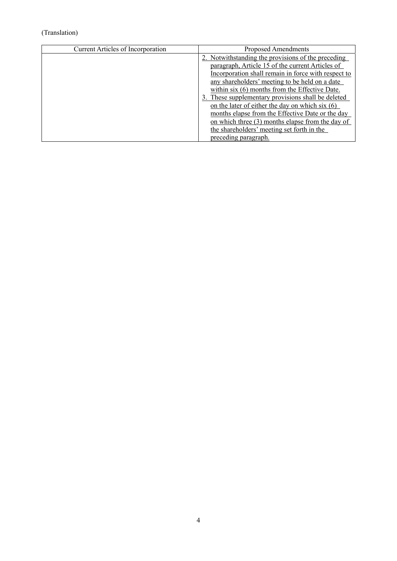| <b>Current Articles of Incorporation</b> | Proposed Amendments                                                                                                                                         |
|------------------------------------------|-------------------------------------------------------------------------------------------------------------------------------------------------------------|
|                                          | 2. Notwithstanding the provisions of the preceding<br>paragraph, Article 15 of the current Articles of                                                      |
|                                          | Incorporation shall remain in force with respect to<br>any shareholders' meeting to be held on a date<br>within six (6) months from the Effective Date.     |
|                                          | 3. These supplementary provisions shall be deleted<br>on the later of either the day on which six $(6)$<br>months elapse from the Effective Date or the day |
|                                          | on which three $(3)$ months elapse from the day of<br>the shareholders' meeting set forth in the<br>preceding paragraph.                                    |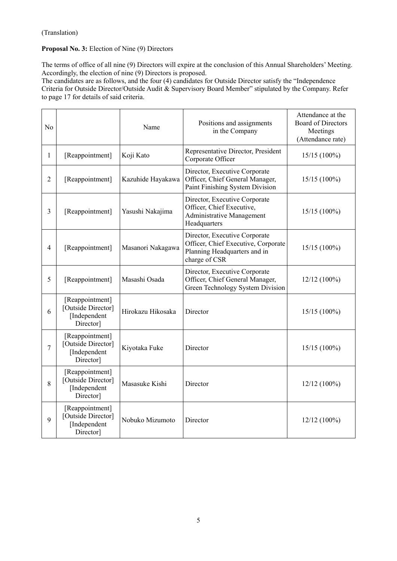## **Proposal No. 3:** Election of Nine (9) Directors

The terms of office of all nine (9) Directors will expire at the conclusion of this Annual Shareholders' Meeting. Accordingly, the election of nine (9) Directors is proposed.

The candidates are as follows, and the four (4) candidates for Outside Director satisfy the "Independence Criteria for Outside Director/Outside Audit & Supervisory Board Member" stipulated by the Company. Refer to page 17 for details of said criteria.

| No             |                                                                    | Name              | Positions and assignments<br>in the Company                                                                           | Attendance at the<br><b>Board of Directors</b><br>Meetings<br>(Attendance rate) |
|----------------|--------------------------------------------------------------------|-------------------|-----------------------------------------------------------------------------------------------------------------------|---------------------------------------------------------------------------------|
| 1              | [Reappointment]                                                    | Koji Kato         | Representative Director, President<br>Corporate Officer                                                               | $15/15(100\%)$                                                                  |
| $\overline{2}$ | [Reappointment]                                                    | Kazuhide Hayakawa | Director, Executive Corporate<br>Officer, Chief General Manager,<br>Paint Finishing System Division                   | $15/15(100\%)$                                                                  |
| 3              | [Reappointment]                                                    | Yasushi Nakajima  | Director, Executive Corporate<br>Officer, Chief Executive,<br>Administrative Management<br>Headquarters               | $15/15(100\%)$                                                                  |
| 4              | [Reappointment]                                                    | Masanori Nakagawa | Director, Executive Corporate<br>Officer, Chief Executive, Corporate<br>Planning Headquarters and in<br>charge of CSR | $15/15(100\%)$                                                                  |
| 5              | [Reappointment]                                                    | Masashi Osada     | Director, Executive Corporate<br>Officer, Chief General Manager,<br>Green Technology System Division                  | $12/12(100\%)$                                                                  |
| 6              | [Reappointment]<br>[Outside Director]<br>[Independent<br>Director] | Hirokazu Hikosaka | Director                                                                                                              | $15/15(100\%)$                                                                  |
| 7              | [Reappointment]<br>[Outside Director]<br>[Independent<br>Director] | Kiyotaka Fuke     | Director                                                                                                              | $15/15(100\%)$                                                                  |
| 8              | [Reappointment]<br>[Outside Director]<br>[Independent<br>Director] | Masasuke Kishi    | Director                                                                                                              | $12/12(100\%)$                                                                  |
| 9              | [Reappointment]<br>[Outside Director]<br>[Independent<br>Director] | Nobuko Mizumoto   | Director                                                                                                              | $12/12(100\%)$                                                                  |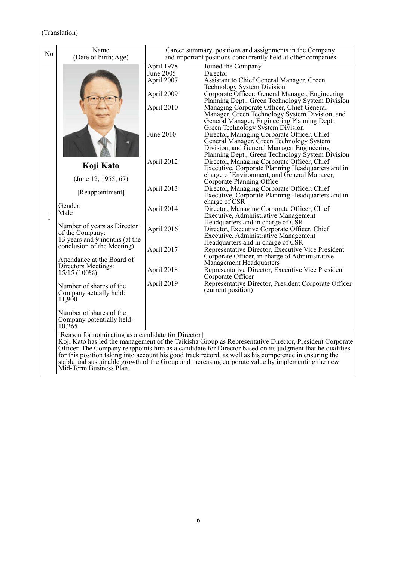| N <sub>o</sub> | Name<br>(Date of birth; Age)                                                                                                                                                                                                                                                                                                  | Career summary, positions and assignments in the Company<br>and important positions concurrently held at other companies                                                         |                                                                                                                                                                                                                                                                                                                                                                                                                                                                                                                                                                                                                                                                                                                                                                                                                                                                                                                                                                                                                                                                                                                                                                                                                                                                                                                                                                                                                                                                 |
|----------------|-------------------------------------------------------------------------------------------------------------------------------------------------------------------------------------------------------------------------------------------------------------------------------------------------------------------------------|----------------------------------------------------------------------------------------------------------------------------------------------------------------------------------|-----------------------------------------------------------------------------------------------------------------------------------------------------------------------------------------------------------------------------------------------------------------------------------------------------------------------------------------------------------------------------------------------------------------------------------------------------------------------------------------------------------------------------------------------------------------------------------------------------------------------------------------------------------------------------------------------------------------------------------------------------------------------------------------------------------------------------------------------------------------------------------------------------------------------------------------------------------------------------------------------------------------------------------------------------------------------------------------------------------------------------------------------------------------------------------------------------------------------------------------------------------------------------------------------------------------------------------------------------------------------------------------------------------------------------------------------------------------|
| 1              | Koji Kato<br>(June 12, 1955; 67)<br>[Reappointment]<br>Gender:<br>Male<br>Number of years as Director<br>of the Company:<br>13 years and 9 months (at the<br>conclusion of the Meeting)<br>Attendance at the Board of<br>Directors Meetings:<br>$15/15(100\%)$<br>Number of shares of the<br>Company actually held:<br>11,900 | April 1978<br>June 2005<br>April 2007<br>April 2009<br>April 2010<br>June 2010<br>April 2012<br>April 2013<br>April 2014<br>April 2016<br>April 2017<br>April 2018<br>April 2019 | Joined the Company<br>Director<br>Assistant to Chief General Manager, Green<br><b>Technology System Division</b><br>Corporate Officer; General Manager, Engineering<br>Planning Dept., Green Technology System Division<br>Managing Corporate Officer, Chief General<br>Manager, Green Technology System Division, and<br>General Manager, Engineering Planning Dept.,<br>Green Technology System Division<br>Director, Managing Corporate Officer, Chief<br>General Manager, Green Technology System<br>Division, and General Manager, Engineering<br>Planning Dept., Green Technology System Division<br>Director, Managing Corporate Officer, Chief<br>Executive, Corporate Planning Headquarters and in<br>charge of Environment, and General Manager,<br>Corporate Planning Office<br>Director, Managing Corporate Officer, Chief<br>Executive, Corporate Planning Headquarters and in<br>charge of CSR<br>Director, Managing Corporate Officer, Chief<br>Executive, Administrative Management<br>Headquarters and in charge of CSR<br>Director, Executive Corporate Officer, Chief<br>Executive, Administrative Management<br>Headquarters and in charge of CSR<br>Representative Director, Executive Vice President<br>Corporate Officer, in charge of Administrative<br>Management Headquarters<br>Representative Director, Executive Vice President<br>Corporate Officer<br>Representative Director, President Corporate Officer<br>(current position) |
|                | Number of shares of the<br>Company potentially held:<br>10,265                                                                                                                                                                                                                                                                |                                                                                                                                                                                  |                                                                                                                                                                                                                                                                                                                                                                                                                                                                                                                                                                                                                                                                                                                                                                                                                                                                                                                                                                                                                                                                                                                                                                                                                                                                                                                                                                                                                                                                 |
|                | [Reason for nominating as a candidate for Director]                                                                                                                                                                                                                                                                           | $\cdots$                                                                                                                                                                         | Koji Kato has led the management of the Taikisha Group as Representative Director, President Corporate<br>$\cdots$                                                                                                                                                                                                                                                                                                                                                                                                                                                                                                                                                                                                                                                                                                                                                                                                                                                                                                                                                                                                                                                                                                                                                                                                                                                                                                                                              |

Officer. The Company reappoints him as a candidate for Director based on its judgment that he qualifies for this position taking into account his good track record, as well as his competence in ensuring the stable and sustainable growth of the Group and increasing corporate value by implementing the new Mid-Term Business Plan.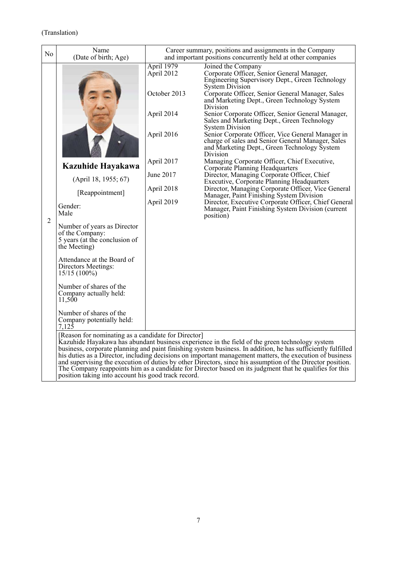| No             | Name<br>(Date of birth; Age)                                                                                                                                                                                                                                                                                                                                                              |                                                                                                                             | Career summary, positions and assignments in the Company<br>and important positions concurrently held at other companies                                                                                                                                                                                                                                                                                                                                                                                                                                                                                                                                                                                                                                                                                                                                                                                                                                               |
|----------------|-------------------------------------------------------------------------------------------------------------------------------------------------------------------------------------------------------------------------------------------------------------------------------------------------------------------------------------------------------------------------------------------|-----------------------------------------------------------------------------------------------------------------------------|------------------------------------------------------------------------------------------------------------------------------------------------------------------------------------------------------------------------------------------------------------------------------------------------------------------------------------------------------------------------------------------------------------------------------------------------------------------------------------------------------------------------------------------------------------------------------------------------------------------------------------------------------------------------------------------------------------------------------------------------------------------------------------------------------------------------------------------------------------------------------------------------------------------------------------------------------------------------|
| $\overline{2}$ | Kazuhide Hayakawa<br>(April 18, 1955; 67)<br>[Reappointment]<br>Gender:<br>Male<br>Number of years as Director<br>of the Company:<br>5 years (at the conclusion of<br>the Meeting)<br>Attendance at the Board of<br>Directors Meetings:<br>$15/15(100\%)$<br>Number of shares of the<br>Company actually held:<br>11,500<br>Number of shares of the<br>Company potentially held:<br>7,125 | April 1979<br>April 2012<br>October 2013<br>April 2014<br>April 2016<br>April 2017<br>June 2017<br>April 2018<br>April 2019 | Joined the Company<br>Corporate Officer, Senior General Manager,<br>Engineering Supervisory Dept., Green Technology<br>System Division<br>Corporate Officer, Senior General Manager, Sales<br>and Marketing Dept., Green Technology System<br>Division<br>Senior Corporate Officer, Senior General Manager,<br>Sales and Marketing Dept., Green Technology<br><b>System Division</b><br>Senior Corporate Officer, Vice General Manager in<br>charge of sales and Senior General Manager, Sales<br>and Marketing Dept., Green Technology System<br>Division<br>Managing Corporate Officer, Chief Executive,<br>Corporate Planning Headquarters<br>Director, Managing Corporate Officer, Chief<br>Executive, Corporate Planning Headquarters<br>Director, Managing Corporate Officer, Vice General<br>Manager, Paint Finishing System Division<br>Director, Executive Corporate Officer, Chief General<br>Manager, Paint Finishing System Division (current<br>position) |
|                | [Reason for nominating as a candidate for Director]<br>position taking into account his good track record.                                                                                                                                                                                                                                                                                |                                                                                                                             | Kazuhide Hayakawa has abundant business experience in the field of the green technology system<br>business, corporate planning and paint finishing system business. In addition, he has sufficiently fulfilled<br>his duties as a Director, including decisions on important management matters, the execution of business<br>and supervising the execution of duties by other Directors, since his assumption of the Director position.<br>The Company reappoints him as a candidate for Director based on its judgment that he qualifies for this                                                                                                                                                                                                                                                                                                                                                                                                                    |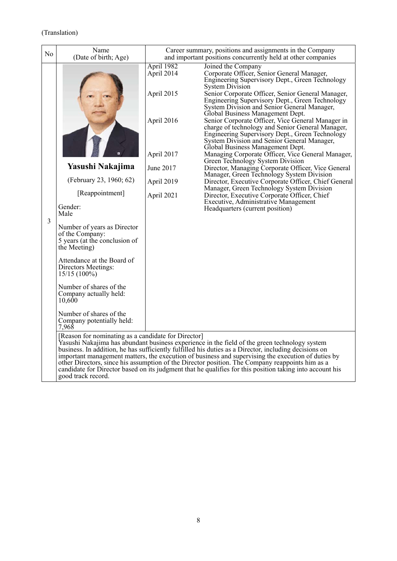| No             | Name<br>(Date of birth; Age)                                                                                                                                                                                                                                                                                                                                                                | Career summary, positions and assignments in the Company<br>and important positions concurrently held at other companies |                                                                                                                                                                                                                                                                                                                                                                                                                                                                                                                                                                                                                                                                                                                                                                                                                                                                                                                                                                                                                     |
|----------------|---------------------------------------------------------------------------------------------------------------------------------------------------------------------------------------------------------------------------------------------------------------------------------------------------------------------------------------------------------------------------------------------|--------------------------------------------------------------------------------------------------------------------------|---------------------------------------------------------------------------------------------------------------------------------------------------------------------------------------------------------------------------------------------------------------------------------------------------------------------------------------------------------------------------------------------------------------------------------------------------------------------------------------------------------------------------------------------------------------------------------------------------------------------------------------------------------------------------------------------------------------------------------------------------------------------------------------------------------------------------------------------------------------------------------------------------------------------------------------------------------------------------------------------------------------------|
| $\overline{3}$ | Yasushi Nakajima<br>(February 23, 1960; 62)<br>[Reappointment]<br>Gender:<br>Male<br>Number of years as Director<br>of the Company:<br>5 years (at the conclusion of<br>the Meeting)<br>Attendance at the Board of<br>Directors Meetings:<br>$15/15(100\%)$<br>Number of shares of the<br>Company actually held:<br>10,600<br>Number of shares of the<br>Company potentially held:<br>7,968 | April 1982<br>April 2014<br>April 2015<br>April 2016<br>April 2017<br>June 2017<br>April 2019<br>April 2021              | Joined the Company<br>Corporate Officer, Senior General Manager,<br>Engineering Supervisory Dept., Green Technology<br><b>System Division</b><br>Senior Corporate Officer, Senior General Manager,<br>Engineering Supervisory Dept., Green Technology<br>System Division and Senior General Manager,<br>Global Business Management Dept.<br>Senior Corporate Officer, Vice General Manager in<br>charge of technology and Senior General Manager,<br>Engineering Supervisory Dept., Green Technology<br>System Division and Senior General Manager,<br>Global Business Management Dept.<br>Managing Corporate Officer, Vice General Manager,<br>Green Technology System Division<br>Director, Managing Corporate Officer, Vice General<br>Manager, Green Technology System Division<br>Director, Executive Corporate Officer, Chief General<br>Manager, Green Technology System Division<br>Director, Executive Corporate Officer, Chief<br>Executive, Administrative Management<br>Headquarters (current position) |
|                | [Reason for nominating as a candidate for Director]<br>good track record.                                                                                                                                                                                                                                                                                                                   |                                                                                                                          | Yasushi Nakajima has abundant business experience in the field of the green technology system<br>business. In addition, he has sufficiently fulfilled his duties as a Director, including decisions on<br>important management matters, the execution of business and supervising the execution of duties by<br>other Directors, since his assumption of the Director position. The Company reappoints him as a<br>candidate for Director based on its judgment that he qualifies for this position taking into account his                                                                                                                                                                                                                                                                                                                                                                                                                                                                                         |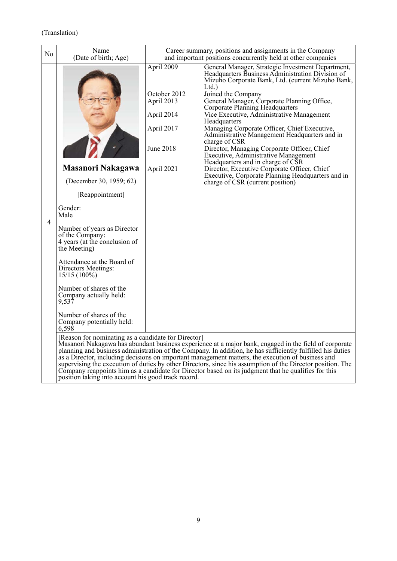| N <sub>0</sub> | Name<br>(Date of birth; Age)                                                                                                                                                                                                                                                                                                                                                                       |                                                                                                 | Career summary, positions and assignments in the Company<br>and important positions concurrently held at other companies                                                                                                                                                                                                                                                                                                                                                                                                                                                                                                                                                                                                              |
|----------------|----------------------------------------------------------------------------------------------------------------------------------------------------------------------------------------------------------------------------------------------------------------------------------------------------------------------------------------------------------------------------------------------------|-------------------------------------------------------------------------------------------------|---------------------------------------------------------------------------------------------------------------------------------------------------------------------------------------------------------------------------------------------------------------------------------------------------------------------------------------------------------------------------------------------------------------------------------------------------------------------------------------------------------------------------------------------------------------------------------------------------------------------------------------------------------------------------------------------------------------------------------------|
| 4              | <b>Masanori Nakagawa</b><br>(December 30, 1959; 62)<br>[Reappointment]<br>Gender:<br>Male<br>Number of years as Director<br>of the Company:<br>4 years (at the conclusion of<br>the Meeting)<br>Attendance at the Board of<br>Directors Meetings:<br>$15/15(100\%)$<br>Number of shares of the<br>Company actually held:<br>9,537<br>Number of shares of the<br>Company potentially held:<br>6,598 | April 2009<br>October 2012<br>April 2013<br>April 2014<br>April 2017<br>June 2018<br>April 2021 | General Manager, Strategic Investment Department,<br>Headquarters Business Administration Division of<br>Mizuho Corporate Bank, Ltd. (current Mizuho Bank,<br>Ltd.<br>Joined the Company<br>General Manager, Corporate Planning Office,<br><b>Corporate Planning Headquarters</b><br>Vice Executive, Administrative Management<br>Headquarters<br>Managing Corporate Officer, Chief Executive,<br>Administrative Management Headquarters and in<br>charge of CSR<br>Director, Managing Corporate Officer, Chief<br>Executive, Administrative Management<br>Headquarters and in charge of CSR<br>Director, Executive Corporate Officer, Chief<br>Executive, Corporate Planning Headquarters and in<br>charge of CSR (current position) |
|                | [Reason for nominating as a candidate for Director]<br>position taking into account his good track record.                                                                                                                                                                                                                                                                                         |                                                                                                 | Masanori Nakagawa has abundant business experience at a major bank, engaged in the field of corporate<br>planning and business administration of the Company. In addition, he has sufficiently fulfilled his duties<br>as a Director, including decisions on important management matters, the execution of business and<br>supervising the execution of duties by other Directors, since his assumption of the Director position. The<br>Company reappoints him as a candidate for Director based on its judgment that he qualifies for this                                                                                                                                                                                         |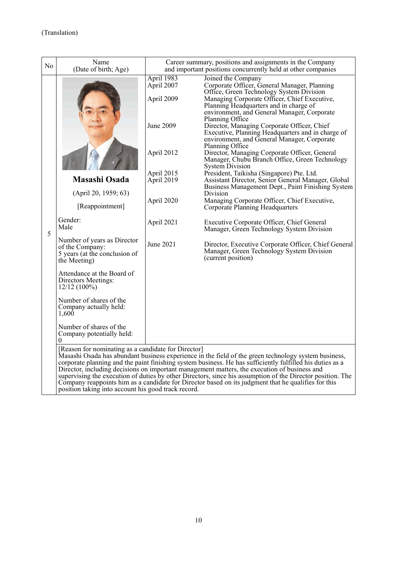| N <sub>0</sub> | Name<br>(Date of birth; Age)                                                                               |                                        | Career summary, positions and assignments in the Company<br>and important positions concurrently held at other companies                                                                                                                                                                                                                                                                                                                                                                                                               |
|----------------|------------------------------------------------------------------------------------------------------------|----------------------------------------|----------------------------------------------------------------------------------------------------------------------------------------------------------------------------------------------------------------------------------------------------------------------------------------------------------------------------------------------------------------------------------------------------------------------------------------------------------------------------------------------------------------------------------------|
|                |                                                                                                            | April 1983<br>April 2007<br>April 2009 | Joined the Company<br>Corporate Officer, General Manager, Planning<br>Office, Green Technology System Division<br>Managing Corporate Officer, Chief Executive,<br>Planning Headquarters and in charge of<br>environment, and General Manager, Corporate                                                                                                                                                                                                                                                                                |
|                |                                                                                                            | June 2009                              | Planning Office<br>Director, Managing Corporate Officer, Chief<br>Executive, Planning Headquarters and in charge of<br>environment, and General Manager, Corporate                                                                                                                                                                                                                                                                                                                                                                     |
|                |                                                                                                            | April 2012                             | Planning Office<br>Director, Managing Corporate Officer, General<br>Manager, Chubu Branch Office, Green Technology<br><b>System Division</b>                                                                                                                                                                                                                                                                                                                                                                                           |
|                | <b>Masashi Osada</b>                                                                                       | April 2015<br>April 2019               | President, Taikisha (Singapore) Pte. Ltd.<br>Assistant Director, Senior General Manager, Global<br>Business Management Dept., Paint Finishing System                                                                                                                                                                                                                                                                                                                                                                                   |
|                | (April 20, 1959; 63)<br>[Reappointment]                                                                    | April 2020                             | Division<br>Managing Corporate Officer, Chief Executive,<br>Corporate Planning Headquarters                                                                                                                                                                                                                                                                                                                                                                                                                                            |
| 5              | Gender:<br>Male                                                                                            | April 2021                             | Executive Corporate Officer, Chief General<br>Manager, Green Technology System Division                                                                                                                                                                                                                                                                                                                                                                                                                                                |
|                | Number of years as Director<br>of the Company:<br>5 years (at the conclusion of<br>the Meeting)            | June 2021                              | Director, Executive Corporate Officer, Chief General<br>Manager, Green Technology System Division<br>(current position)                                                                                                                                                                                                                                                                                                                                                                                                                |
|                | Attendance at the Board of<br>Directors Meetings:<br>$12/12(100\%)$                                        |                                        |                                                                                                                                                                                                                                                                                                                                                                                                                                                                                                                                        |
|                | Number of shares of the<br>Company actually held:<br>1,600                                                 |                                        |                                                                                                                                                                                                                                                                                                                                                                                                                                                                                                                                        |
|                | Number of shares of the<br>Company potentially held:                                                       |                                        |                                                                                                                                                                                                                                                                                                                                                                                                                                                                                                                                        |
|                | [Reason for nominating as a candidate for Director]<br>position taking into account his good track record. |                                        | Masashi Osada has abundant business experience in the field of the green technology system business,<br>corporate planning and the paint finishing system business. He has sufficiently fulfilled his duties as a<br>Director, including decisions on important management matters, the execution of business and<br>supervising the execution of duties by other Directors, since his assumption of the Director position. The<br>Company reappoints him as a candidate for Director based on its judgment that he qualifies for this |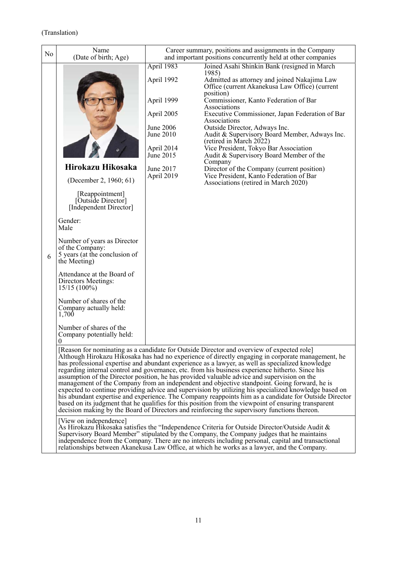| No | Name<br>(Date of birth; Age)                                                                    |                                                                                                                               | Career summary, positions and assignments in the Company<br>and important positions concurrently held at other companies                                                                                                                                                                                                                                                                                                                                                                                                                                                                                                                                                                                                                                                                                                                                                                                                                                                                                                        |
|----|-------------------------------------------------------------------------------------------------|-------------------------------------------------------------------------------------------------------------------------------|---------------------------------------------------------------------------------------------------------------------------------------------------------------------------------------------------------------------------------------------------------------------------------------------------------------------------------------------------------------------------------------------------------------------------------------------------------------------------------------------------------------------------------------------------------------------------------------------------------------------------------------------------------------------------------------------------------------------------------------------------------------------------------------------------------------------------------------------------------------------------------------------------------------------------------------------------------------------------------------------------------------------------------|
|    |                                                                                                 | April 1983                                                                                                                    | Joined Asahi Shinkin Bank (resigned in March                                                                                                                                                                                                                                                                                                                                                                                                                                                                                                                                                                                                                                                                                                                                                                                                                                                                                                                                                                                    |
|    | Hirokazu Hikosaka<br>(December 2, 1960; 61)<br>[Reappointment]<br>[Outside Director]            | April 1992<br>April 1999<br>April 2005<br><b>June 2006</b><br>June 2010<br>April 2014<br>June 2015<br>June 2017<br>April 2019 | 1985)<br>Admitted as attorney and joined Nakajima Law<br>Office (current Akanekusa Law Office) (current<br>position)<br>Commissioner, Kanto Federation of Bar<br>Associations<br>Executive Commissioner, Japan Federation of Bar<br>Associations<br>Outside Director, Adways Inc.<br>Audit & Supervisory Board Member, Adways Inc.<br>(retired in March 2022)<br>Vice President, Tokyo Bar Association<br>Audit & Supervisory Board Member of the<br>Company<br>Director of the Company (current position)<br>Vice President, Kanto Federation of Bar<br>Associations (retired in March 2020)                                                                                                                                                                                                                                                                                                                                                                                                                                   |
|    | [Independent Director]                                                                          |                                                                                                                               |                                                                                                                                                                                                                                                                                                                                                                                                                                                                                                                                                                                                                                                                                                                                                                                                                                                                                                                                                                                                                                 |
|    | Gender:<br>Male                                                                                 |                                                                                                                               |                                                                                                                                                                                                                                                                                                                                                                                                                                                                                                                                                                                                                                                                                                                                                                                                                                                                                                                                                                                                                                 |
| 6  | Number of years as Director<br>of the Company:<br>5 years (at the conclusion of<br>the Meeting) |                                                                                                                               |                                                                                                                                                                                                                                                                                                                                                                                                                                                                                                                                                                                                                                                                                                                                                                                                                                                                                                                                                                                                                                 |
|    | Attendance at the Board of<br>Directors Meetings:<br>$15/15(100\%)$                             |                                                                                                                               |                                                                                                                                                                                                                                                                                                                                                                                                                                                                                                                                                                                                                                                                                                                                                                                                                                                                                                                                                                                                                                 |
|    | Number of shares of the<br>Company actually held:<br>1,700                                      |                                                                                                                               |                                                                                                                                                                                                                                                                                                                                                                                                                                                                                                                                                                                                                                                                                                                                                                                                                                                                                                                                                                                                                                 |
|    | Number of shares of the<br>Company potentially held:<br>$\overline{0}$                          |                                                                                                                               |                                                                                                                                                                                                                                                                                                                                                                                                                                                                                                                                                                                                                                                                                                                                                                                                                                                                                                                                                                                                                                 |
|    |                                                                                                 |                                                                                                                               | [Reason for nominating as a candidate for Outside Director and overview of expected role]<br>Although Hirokazu Hikosaka has had no experience of directly engaging in corporate management, he<br>has professional expertise and abundant experience as a lawyer, as well as specialized knowledge<br>regarding internal control and governance, etc. from his business experience hitherto. Since his<br>assumption of the Director position, he has provided valuable advice and supervision on the<br>management of the Company from an independent and objective standpoint. Going forward, he is<br>expected to continue providing advice and supervision by utilizing his specialized knowledge based on<br>his abundant expertise and experience. The Company reappoints him as a candidate for Outside Director<br>based on its judgment that he qualifies for this position from the viewpoint of ensuring transparent<br>decision making by the Board of Directors and reinforcing the supervisory functions thereon. |
|    | [View on independence]                                                                          |                                                                                                                               | As Hirokazu Hikosaka satisfies the "Independence Criteria for Outside Director/Outside Audit &<br>Supervisory Board Member" stipulated by the Company, the Company judges that he maintains<br>independence from the Company. There are no interests including personal, capital and transactional<br>relationships between Akanekusa Law Office, at which he works as a lawyer, and the Company.                                                                                                                                                                                                                                                                                                                                                                                                                                                                                                                                                                                                                               |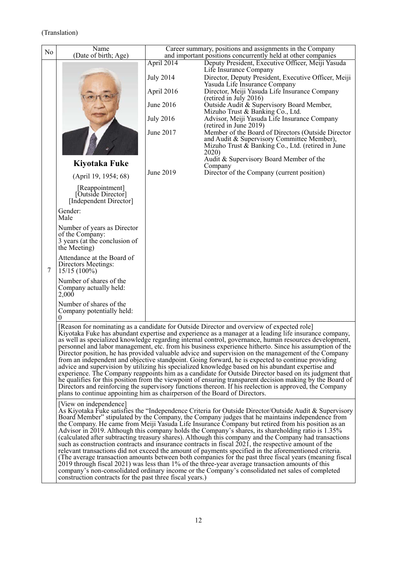| N <sub>o</sub> | Name<br>(Date of birth; Age)                                                                    |                  | Career summary, positions and assignments in the Company<br>and important positions concurrently held at other companies                                                                                                                                                                                                                                                                                                                                                                                                                                                                                                                                                                                                                                                                                                                                                                                                                                                                                                                                                 |
|----------------|-------------------------------------------------------------------------------------------------|------------------|--------------------------------------------------------------------------------------------------------------------------------------------------------------------------------------------------------------------------------------------------------------------------------------------------------------------------------------------------------------------------------------------------------------------------------------------------------------------------------------------------------------------------------------------------------------------------------------------------------------------------------------------------------------------------------------------------------------------------------------------------------------------------------------------------------------------------------------------------------------------------------------------------------------------------------------------------------------------------------------------------------------------------------------------------------------------------|
|                |                                                                                                 | April 2014       | Deputy President, Executive Officer, Meiji Yasuda                                                                                                                                                                                                                                                                                                                                                                                                                                                                                                                                                                                                                                                                                                                                                                                                                                                                                                                                                                                                                        |
|                |                                                                                                 |                  | Life Insurance Company                                                                                                                                                                                                                                                                                                                                                                                                                                                                                                                                                                                                                                                                                                                                                                                                                                                                                                                                                                                                                                                   |
|                |                                                                                                 | <b>July 2014</b> | Director, Deputy President, Executive Officer, Meiji                                                                                                                                                                                                                                                                                                                                                                                                                                                                                                                                                                                                                                                                                                                                                                                                                                                                                                                                                                                                                     |
|                |                                                                                                 | April 2016       | Yasuda Life Insurance Company<br>Director, Meiji Yasuda Life Insurance Company                                                                                                                                                                                                                                                                                                                                                                                                                                                                                                                                                                                                                                                                                                                                                                                                                                                                                                                                                                                           |
|                |                                                                                                 | June 2016        | (retired in July 2016)<br>Outside Audit & Supervisory Board Member,<br>Mizuho Trust & Banking Co., Ltd.                                                                                                                                                                                                                                                                                                                                                                                                                                                                                                                                                                                                                                                                                                                                                                                                                                                                                                                                                                  |
|                |                                                                                                 | <b>July 2016</b> | Advisor, Meiji Yasuda Life Insurance Company<br>(retired in June 2019)                                                                                                                                                                                                                                                                                                                                                                                                                                                                                                                                                                                                                                                                                                                                                                                                                                                                                                                                                                                                   |
|                |                                                                                                 | June 2017        | Member of the Board of Directors (Outside Director<br>and Audit & Supervisory Committee Member),<br>Mizuho Trust $\&$ Banking Co., Ltd. (retired in June<br>2020)                                                                                                                                                                                                                                                                                                                                                                                                                                                                                                                                                                                                                                                                                                                                                                                                                                                                                                        |
|                | Kiyotaka Fuke                                                                                   |                  | Audit & Supervisory Board Member of the<br>Company                                                                                                                                                                                                                                                                                                                                                                                                                                                                                                                                                                                                                                                                                                                                                                                                                                                                                                                                                                                                                       |
|                | (April 19, 1954; 68)                                                                            | June 2019        | Director of the Company (current position)                                                                                                                                                                                                                                                                                                                                                                                                                                                                                                                                                                                                                                                                                                                                                                                                                                                                                                                                                                                                                               |
|                | [Reappointment]<br>[Outside Director]<br>[Independent Director]                                 |                  |                                                                                                                                                                                                                                                                                                                                                                                                                                                                                                                                                                                                                                                                                                                                                                                                                                                                                                                                                                                                                                                                          |
|                | Gender:<br>Male                                                                                 |                  |                                                                                                                                                                                                                                                                                                                                                                                                                                                                                                                                                                                                                                                                                                                                                                                                                                                                                                                                                                                                                                                                          |
|                | Number of years as Director<br>of the Company:<br>3 years (at the conclusion of<br>the Meeting) |                  |                                                                                                                                                                                                                                                                                                                                                                                                                                                                                                                                                                                                                                                                                                                                                                                                                                                                                                                                                                                                                                                                          |
| $\tau$         | Attendance at the Board of<br>Directors Meetings:<br>$15/15(100\%)$                             |                  |                                                                                                                                                                                                                                                                                                                                                                                                                                                                                                                                                                                                                                                                                                                                                                                                                                                                                                                                                                                                                                                                          |
|                | Number of shares of the<br>Company actually held:<br>2,000                                      |                  |                                                                                                                                                                                                                                                                                                                                                                                                                                                                                                                                                                                                                                                                                                                                                                                                                                                                                                                                                                                                                                                                          |
|                | Number of shares of the<br>Company potentially held:<br>0                                       |                  |                                                                                                                                                                                                                                                                                                                                                                                                                                                                                                                                                                                                                                                                                                                                                                                                                                                                                                                                                                                                                                                                          |
|                | plans to continue appointing him as chairperson of the Board of Directors.                      |                  | [Reason for nominating as a candidate for Outside Director and overview of expected role]<br>Kiyotaka Fuke has abundant expertise and experience as a manager at a leading life insurance company,<br>as well as specialized knowledge regarding internal control, governance, human resources development,<br>personnel and labor management, etc. from his business experience hitherto. Since his assumption of the<br>Director position, he has provided valuable advice and supervision on the management of the Company<br>from an independent and objective standpoint. Going forward, he is expected to continue providing<br>advice and supervision by utilizing his specialized knowledge based on his abundant expertise and<br>experience. The Company reappoints him as a candidate for Outside Director based on its judgment that<br>he qualifies for this position from the viewpoint of ensuring transparent decision making by the Board of<br>Directors and reinforcing the supervisory functions thereon. If his reelection is approved, the Company |
|                | [View on independence]<br>construction contracts for the past three fiscal years.)              |                  | As Kiyotaka Fuke satisfies the "Independence Criteria for Outside Director/Outside Audit & Supervisory<br>Board Member" stipulated by the Company, the Company judges that he maintains independence from<br>the Company. He came from Meiji Yasuda Life Insurance Company but retired from his position as an<br>Advisor in 2019. Although this company holds the Company's shares, its shareholding ratio is 1.35%<br>(calculated after subtracting treasury shares). Although this company and the Company had transactions<br>such as construction contracts and insurance contracts in fiscal 2021, the respective amount of the<br>relevant transactions did not exceed the amount of payments specified in the aforementioned criteria.<br>(The average transaction amounts between both companies for the past three fiscal years (meaning fiscal<br>2019 through fiscal 2021) was less than 1% of the three-year average transaction amounts of this<br>company's non-consolidated ordinary income or the Company's consolidated net sales of completed         |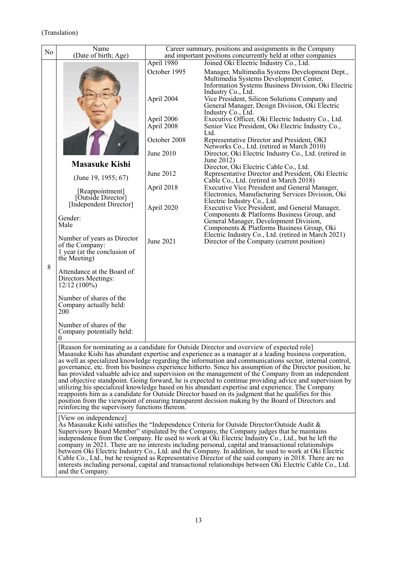| No | Name<br>(Date of birth; Age)                                                                   |                           | Career summary, positions and assignments in the Company<br>and important positions concurrently held at other companies                                                                                                                                                                                                                                                                                                                                                                                                                                                                                                                                                                                                                                                                                                                                                                                                                                 |
|----|------------------------------------------------------------------------------------------------|---------------------------|----------------------------------------------------------------------------------------------------------------------------------------------------------------------------------------------------------------------------------------------------------------------------------------------------------------------------------------------------------------------------------------------------------------------------------------------------------------------------------------------------------------------------------------------------------------------------------------------------------------------------------------------------------------------------------------------------------------------------------------------------------------------------------------------------------------------------------------------------------------------------------------------------------------------------------------------------------|
|    |                                                                                                | April 1980                | Joined Oki Electric Industry Co., Ltd.                                                                                                                                                                                                                                                                                                                                                                                                                                                                                                                                                                                                                                                                                                                                                                                                                                                                                                                   |
|    |                                                                                                | October 1995              | Manager, Multimedia Systems Development Dept.,<br>Multimedia Systems Development Center,<br>Information Systems Business Division, Oki Electric                                                                                                                                                                                                                                                                                                                                                                                                                                                                                                                                                                                                                                                                                                                                                                                                          |
|    |                                                                                                | April 2004                | Industry Co., Ltd.<br>Vice President, Silicon Solutions Company and<br>General Manager, Design Division, Oki Electric<br>Industry Co., Ltd.                                                                                                                                                                                                                                                                                                                                                                                                                                                                                                                                                                                                                                                                                                                                                                                                              |
|    |                                                                                                | April 2006<br>April 2008  | Executive Officer, Oki Electric Industry Co., Ltd.<br>Senior Vice President, Oki Electric Industry Co.,<br>Ltd.                                                                                                                                                                                                                                                                                                                                                                                                                                                                                                                                                                                                                                                                                                                                                                                                                                          |
|    |                                                                                                | October 2008<br>June 2010 | Representative Director and President, OKI<br>Networks Co., Ltd. (retired in March 2010)<br>Director, Oki Electric Industry Co., Ltd. (retired in                                                                                                                                                                                                                                                                                                                                                                                                                                                                                                                                                                                                                                                                                                                                                                                                        |
|    |                                                                                                |                           | June 2012)                                                                                                                                                                                                                                                                                                                                                                                                                                                                                                                                                                                                                                                                                                                                                                                                                                                                                                                                               |
|    | <b>Masasuke Kishi</b><br>(June 19, 1955; $67$ )                                                | June 2012                 | Director, Óki Electric Cable Co., Ltd.<br>Representative Director and President, Oki Electric<br>Cable Co., Ltd. (retired in March 2018)                                                                                                                                                                                                                                                                                                                                                                                                                                                                                                                                                                                                                                                                                                                                                                                                                 |
|    | [Reappointment]<br>[Outside Director]                                                          | April 2018                | Executive Vice President and General Manager,<br>Electronics, Manufacturing Services Division, Oki                                                                                                                                                                                                                                                                                                                                                                                                                                                                                                                                                                                                                                                                                                                                                                                                                                                       |
|    | [Independent Director]                                                                         | April 2020                | Electric Industry Co., Ltd.<br>Executive Vice President, and General Manager,                                                                                                                                                                                                                                                                                                                                                                                                                                                                                                                                                                                                                                                                                                                                                                                                                                                                            |
|    | Gender:<br>Male                                                                                |                           | Components & Platforms Business Group, and<br>General Manager, Development Division,<br>Components & Platforms Business Group, Oki                                                                                                                                                                                                                                                                                                                                                                                                                                                                                                                                                                                                                                                                                                                                                                                                                       |
|    | Number of years as Director<br>of the Company:<br>1 year (at the conclusion of<br>the Meeting) | June 2021                 | Electric Industry Co., Ltd. (retired in March 2021)<br>Director of the Company (current position)                                                                                                                                                                                                                                                                                                                                                                                                                                                                                                                                                                                                                                                                                                                                                                                                                                                        |
| 8  | Attendance at the Board of<br>Directors Meetings:<br>$12/12(100\%)$                            |                           |                                                                                                                                                                                                                                                                                                                                                                                                                                                                                                                                                                                                                                                                                                                                                                                                                                                                                                                                                          |
|    | Number of shares of the<br>Company actually held:<br>200                                       |                           |                                                                                                                                                                                                                                                                                                                                                                                                                                                                                                                                                                                                                                                                                                                                                                                                                                                                                                                                                          |
|    | Number of shares of the<br>Company potentially held:<br>$\boldsymbol{0}$                       |                           |                                                                                                                                                                                                                                                                                                                                                                                                                                                                                                                                                                                                                                                                                                                                                                                                                                                                                                                                                          |
|    | reinforcing the supervisory functions thereon.                                                 |                           | [Reason for nominating as a candidate for Outside Director and overview of expected role]<br>Masasuke Kishi has abundant expertise and experience as a manager at a leading business corporation,<br>as well as specialized knowledge regarding the information and communications sector, internal control,<br>governance, etc. from his business experience hitherto. Since his assumption of the Director position, he<br>has provided valuable advice and supervision on the management of the Company from an independent<br>and objective standpoint. Going forward, he is expected to continue providing advice and supervision by<br>utilizing his specialized knowledge based on his abundant expertise and experience. The Company<br>reappoints him as a candidate for Outside Director based on its judgment that he qualifies for this<br>position from the viewpoint of ensuring transparent decision making by the Board of Directors and |
|    | [View on independence]<br>and the Company.                                                     |                           | As Masasuke Kishi satisfies the "Independence Criteria for Outside Director/Outside Audit &<br>Supervisory Board Member" stipulated by the Company, the Company judges that he maintains<br>independence from the Company. He used to work at Oki Electric Industry Co., Ltd., but he left the<br>company in 2021. There are no interests including personal, capital and transactional relationships<br>between Oki Electric Industry Co., Ltd. and the Company. In addition, he used to work at Oki Electric<br>Cable Co., Ltd., but he resigned as Representative Director of the said company in 2018. There are no<br>interests including personal, capital and transactional relationships between Oki Electric Cable Co., Ltd.                                                                                                                                                                                                                    |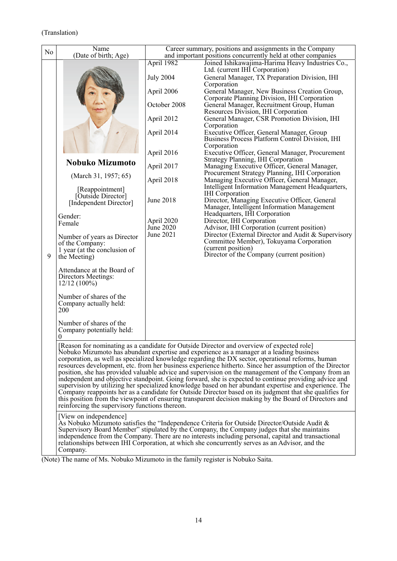| No | Name<br>(Date of birth; Age)                                                                                                                                                                                                                                                                                                                                                                                                              |                         | Career summary, positions and assignments in the Company<br>and important positions concurrently held at other companies                                                                                                                                                                                                                                                                                                                                                                                                                                                                                                                                                                                                                                                                                                                                                                                                                             |  |  |
|----|-------------------------------------------------------------------------------------------------------------------------------------------------------------------------------------------------------------------------------------------------------------------------------------------------------------------------------------------------------------------------------------------------------------------------------------------|-------------------------|------------------------------------------------------------------------------------------------------------------------------------------------------------------------------------------------------------------------------------------------------------------------------------------------------------------------------------------------------------------------------------------------------------------------------------------------------------------------------------------------------------------------------------------------------------------------------------------------------------------------------------------------------------------------------------------------------------------------------------------------------------------------------------------------------------------------------------------------------------------------------------------------------------------------------------------------------|--|--|
|    |                                                                                                                                                                                                                                                                                                                                                                                                                                           | April 1982              | Joined Ishikawajima-Harima Heavy Industries Co.,                                                                                                                                                                                                                                                                                                                                                                                                                                                                                                                                                                                                                                                                                                                                                                                                                                                                                                     |  |  |
|    |                                                                                                                                                                                                                                                                                                                                                                                                                                           | <b>July 2004</b>        | Ltd. (current IHI Corporation)<br>General Manager, TX Preparation Division, IHI                                                                                                                                                                                                                                                                                                                                                                                                                                                                                                                                                                                                                                                                                                                                                                                                                                                                      |  |  |
|    |                                                                                                                                                                                                                                                                                                                                                                                                                                           |                         | Corporation                                                                                                                                                                                                                                                                                                                                                                                                                                                                                                                                                                                                                                                                                                                                                                                                                                                                                                                                          |  |  |
|    |                                                                                                                                                                                                                                                                                                                                                                                                                                           | April 2006              | General Manager, New Business Creation Group,                                                                                                                                                                                                                                                                                                                                                                                                                                                                                                                                                                                                                                                                                                                                                                                                                                                                                                        |  |  |
|    |                                                                                                                                                                                                                                                                                                                                                                                                                                           | October 2008            | Corporate Planning Division, IHI Corporation<br>General Manager, Recruitment Group, Human<br>Resources Division, IHI Corporation                                                                                                                                                                                                                                                                                                                                                                                                                                                                                                                                                                                                                                                                                                                                                                                                                     |  |  |
|    |                                                                                                                                                                                                                                                                                                                                                                                                                                           | April 2012              | General Manager, CSR Promotion Division, IHI<br>Corporation                                                                                                                                                                                                                                                                                                                                                                                                                                                                                                                                                                                                                                                                                                                                                                                                                                                                                          |  |  |
|    |                                                                                                                                                                                                                                                                                                                                                                                                                                           | April 2014              | Executive Officer, General Manager, Group<br>Business Process Platform Control Division, IHI<br>Corporation                                                                                                                                                                                                                                                                                                                                                                                                                                                                                                                                                                                                                                                                                                                                                                                                                                          |  |  |
|    |                                                                                                                                                                                                                                                                                                                                                                                                                                           | April 2016              | Executive Officer, General Manager, Procurement                                                                                                                                                                                                                                                                                                                                                                                                                                                                                                                                                                                                                                                                                                                                                                                                                                                                                                      |  |  |
|    | <b>Nobuko Mizumoto</b>                                                                                                                                                                                                                                                                                                                                                                                                                    | April 2017              | Strategy Planning, IHI Corporation<br>Managing Executive Officer, General Manager,                                                                                                                                                                                                                                                                                                                                                                                                                                                                                                                                                                                                                                                                                                                                                                                                                                                                   |  |  |
|    | (March 31, 1957; 65)                                                                                                                                                                                                                                                                                                                                                                                                                      | April 2018              | Procurement Strategy Planning, IHI Corporation<br>Managing Executive Officer, General Manager,                                                                                                                                                                                                                                                                                                                                                                                                                                                                                                                                                                                                                                                                                                                                                                                                                                                       |  |  |
|    | [Reappointment]                                                                                                                                                                                                                                                                                                                                                                                                                           |                         | Intelligent Information Management Headquarters,<br><b>IHI</b> Corporation                                                                                                                                                                                                                                                                                                                                                                                                                                                                                                                                                                                                                                                                                                                                                                                                                                                                           |  |  |
|    | [Outside Director]<br>[Independent Director]                                                                                                                                                                                                                                                                                                                                                                                              | <b>June 2018</b>        | Director, Managing Executive Officer, General<br>Manager, Intelligent Information Management                                                                                                                                                                                                                                                                                                                                                                                                                                                                                                                                                                                                                                                                                                                                                                                                                                                         |  |  |
|    | Gender:                                                                                                                                                                                                                                                                                                                                                                                                                                   |                         | Headquarters, IHI Corporation                                                                                                                                                                                                                                                                                                                                                                                                                                                                                                                                                                                                                                                                                                                                                                                                                                                                                                                        |  |  |
|    | Female                                                                                                                                                                                                                                                                                                                                                                                                                                    | April 2020<br>June 2020 | Director, IHI Corporation<br>Advisor, IHI Corporation (current position)                                                                                                                                                                                                                                                                                                                                                                                                                                                                                                                                                                                                                                                                                                                                                                                                                                                                             |  |  |
|    | Number of years as Director<br>of the Company:                                                                                                                                                                                                                                                                                                                                                                                            | June 2021               | Director (External Director and Audit & Supervisory<br>Committee Member), Tokuyama Corporation<br>(current position)                                                                                                                                                                                                                                                                                                                                                                                                                                                                                                                                                                                                                                                                                                                                                                                                                                 |  |  |
| 9  | 1 year (at the conclusion of<br>the Meeting)                                                                                                                                                                                                                                                                                                                                                                                              |                         | Director of the Company (current position)                                                                                                                                                                                                                                                                                                                                                                                                                                                                                                                                                                                                                                                                                                                                                                                                                                                                                                           |  |  |
|    | Attendance at the Board of<br>Directors Meetings:<br>$12/12(100\%)$                                                                                                                                                                                                                                                                                                                                                                       |                         |                                                                                                                                                                                                                                                                                                                                                                                                                                                                                                                                                                                                                                                                                                                                                                                                                                                                                                                                                      |  |  |
|    | Number of shares of the<br>Company actually held:<br>200                                                                                                                                                                                                                                                                                                                                                                                  |                         |                                                                                                                                                                                                                                                                                                                                                                                                                                                                                                                                                                                                                                                                                                                                                                                                                                                                                                                                                      |  |  |
|    | Number of shares of the<br>Company potentially held:<br>$\boldsymbol{0}$                                                                                                                                                                                                                                                                                                                                                                  |                         |                                                                                                                                                                                                                                                                                                                                                                                                                                                                                                                                                                                                                                                                                                                                                                                                                                                                                                                                                      |  |  |
|    | reinforcing the supervisory functions thereon.                                                                                                                                                                                                                                                                                                                                                                                            |                         | [Reason for nominating as a candidate for Outside Director and overview of expected role]<br>Nobuko Mizumoto has abundant expertise and experience as a manager at a leading business<br>corporation, as well as specialized knowledge regarding the DX sector, operational reforms, human<br>resources development, etc. from her business experience hitherto. Since her assumption of the Director<br>position, she has provided valuable advice and supervision on the management of the Company from an<br>independent and objective standpoint. Going forward, she is expected to continue providing advice and<br>supervision by utilizing her specialized knowledge based on her abundant expertise and experience. The<br>Company reappoints her as a candidate for Outside Director based on its judgment that she qualifies for<br>this position from the viewpoint of ensuring transparent decision making by the Board of Directors and |  |  |
|    | [View on independence]<br>As Nobuko Mizumoto satisfies the "Independence Criteria for Outside Director/Outside Audit &<br>Supervisory Board Member" stipulated by the Company, the Company judges that she maintains<br>independence from the Company. There are no interests including personal, capital and transactional<br>relationships between IHI Corporation, at which she concurrently serves as an Advisor, and the<br>Company. |                         |                                                                                                                                                                                                                                                                                                                                                                                                                                                                                                                                                                                                                                                                                                                                                                                                                                                                                                                                                      |  |  |

(Note) The name of Ms. Nobuko Mizumoto in the family register is Nobuko Saita.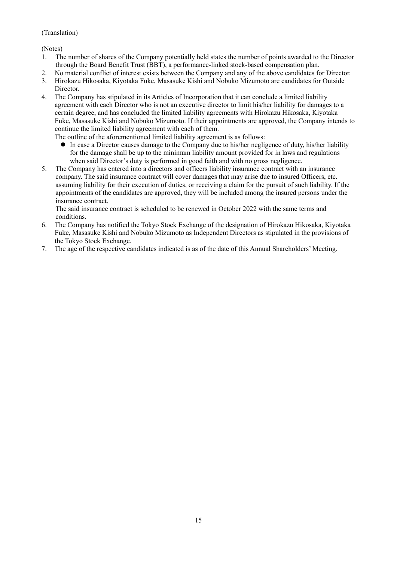(Notes)

- 1. The number of shares of the Company potentially held states the number of points awarded to the Director through the Board Benefit Trust (BBT), a performance-linked stock-based compensation plan.
- 2. No material conflict of interest exists between the Company and any of the above candidates for Director.
- 3. Hirokazu Hikosaka, Kiyotaka Fuke, Masasuke Kishi and Nobuko Mizumoto are candidates for Outside Director.
- 4. The Company has stipulated in its Articles of Incorporation that it can conclude a limited liability agreement with each Director who is not an executive director to limit his/her liability for damages to a certain degree, and has concluded the limited liability agreements with Hirokazu Hikosaka, Kiyotaka Fuke, Masasuke Kishi and Nobuko Mizumoto. If their appointments are approved, the Company intends to continue the limited liability agreement with each of them.

The outline of the aforementioned limited liability agreement is as follows:

- In case a Director causes damage to the Company due to his/her negligence of duty, his/her liability for the damage shall be up to the minimum liability amount provided for in laws and regulations when said Director's duty is performed in good faith and with no gross negligence.
- 5. The Company has entered into a directors and officers liability insurance contract with an insurance company. The said insurance contract will cover damages that may arise due to insured Officers, etc. assuming liability for their execution of duties, or receiving a claim for the pursuit of such liability. If the appointments of the candidates are approved, they will be included among the insured persons under the insurance contract.

The said insurance contract is scheduled to be renewed in October 2022 with the same terms and conditions.

- 6. The Company has notified the Tokyo Stock Exchange of the designation of Hirokazu Hikosaka, Kiyotaka Fuke, Masasuke Kishi and Nobuko Mizumoto as Independent Directors as stipulated in the provisions of the Tokyo Stock Exchange.
- 7. The age of the respective candidates indicated is as of the date of this Annual Shareholders' Meeting.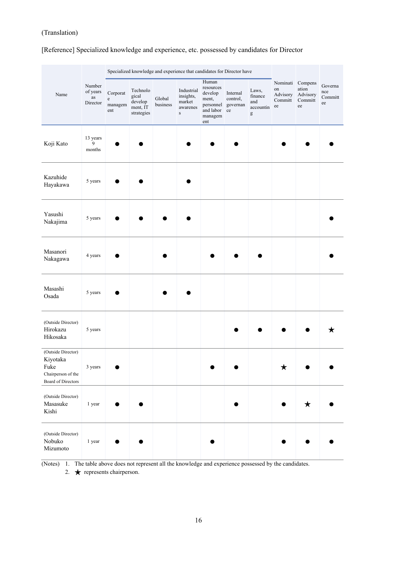[Reference] Specialized knowledge and experience, etc. possessed by candidates for Director

|                                                                                    |                                            | Specialized knowledge and experience that candidates for Director have |                                                        |                    |                                                            |                                                                                    |                                        |                                                                                                                                                                                                                                                                                                                                                                                                                                                                        |                                                     |                                    |                                 |
|------------------------------------------------------------------------------------|--------------------------------------------|------------------------------------------------------------------------|--------------------------------------------------------|--------------------|------------------------------------------------------------|------------------------------------------------------------------------------------|----------------------------------------|------------------------------------------------------------------------------------------------------------------------------------------------------------------------------------------------------------------------------------------------------------------------------------------------------------------------------------------------------------------------------------------------------------------------------------------------------------------------|-----------------------------------------------------|------------------------------------|---------------------------------|
| Name                                                                               | Number<br>of years<br>$\rm as$<br>Director | Corporat<br>$\mathbf e$<br>managem<br>ent                              | Technolo<br>gical<br>develop<br>ment, IT<br>strategies | Global<br>business | Industrial<br>insights,<br>market<br>awarenes<br>${\bf S}$ | Human<br>resources<br>develop<br>ment,<br>personnel<br>and labor<br>managem<br>ent | Internal<br>control,<br>governan<br>ce | Laws,<br>finance<br>and<br>accountin<br>$\mathbf{g}% _{T}=\mathbf{g}_{T}=\mathbf{g}_{T}=\mathbf{g}_{T}=\mathbf{g}_{T}=\mathbf{g}_{T}=\mathbf{g}_{T}=\mathbf{g}_{T}=\mathbf{g}_{T}=\mathbf{g}_{T}=\mathbf{g}_{T}=\mathbf{g}_{T}=\mathbf{g}_{T}=\mathbf{g}_{T}=\mathbf{g}_{T}=\mathbf{g}_{T}=\mathbf{g}_{T}=\mathbf{g}_{T}=\mathbf{g}_{T}=\mathbf{g}_{T}=\mathbf{g}_{T}=\mathbf{g}_{T}=\mathbf{g}_{T}=\mathbf{g}_{T}=\mathbf{g}_{T}=\mathbf{g}_{T}=\mathbf{g}_{T}=\math$ | Nominati Compens<br>on<br>Advisory<br>Committ<br>ee | ation<br>Advisory<br>Committ<br>ee | Governa<br>nce<br>Committ<br>ee |
| Koji Kato                                                                          | 13 years<br>9<br>months                    |                                                                        |                                                        |                    |                                                            |                                                                                    |                                        |                                                                                                                                                                                                                                                                                                                                                                                                                                                                        |                                                     |                                    |                                 |
| Kazuhide<br>Hayakawa                                                               | 5 years                                    |                                                                        |                                                        |                    |                                                            |                                                                                    |                                        |                                                                                                                                                                                                                                                                                                                                                                                                                                                                        |                                                     |                                    |                                 |
| Yasushi<br>Nakajima                                                                | 5 years                                    |                                                                        |                                                        |                    |                                                            |                                                                                    |                                        |                                                                                                                                                                                                                                                                                                                                                                                                                                                                        |                                                     |                                    |                                 |
| Masanori<br>Nakagawa                                                               | 4 years                                    |                                                                        |                                                        |                    |                                                            |                                                                                    |                                        |                                                                                                                                                                                                                                                                                                                                                                                                                                                                        |                                                     |                                    |                                 |
| Masashi<br>Osada                                                                   | 5 years                                    |                                                                        |                                                        |                    |                                                            |                                                                                    |                                        |                                                                                                                                                                                                                                                                                                                                                                                                                                                                        |                                                     |                                    |                                 |
| (Outside Director)<br>Hirokazu<br>Hikosaka                                         | 5 years                                    |                                                                        |                                                        |                    |                                                            |                                                                                    |                                        |                                                                                                                                                                                                                                                                                                                                                                                                                                                                        |                                                     |                                    |                                 |
| (Outside Director)<br>Kiyotaka<br>Fuke<br>Chairperson of the<br>Board of Directors | 3 years                                    |                                                                        |                                                        |                    |                                                            |                                                                                    |                                        |                                                                                                                                                                                                                                                                                                                                                                                                                                                                        | ★                                                   |                                    |                                 |
| (Outside Director)<br>Masasuke<br>Kishi                                            | 1 year                                     |                                                                        |                                                        |                    |                                                            |                                                                                    |                                        |                                                                                                                                                                                                                                                                                                                                                                                                                                                                        |                                                     | $\bigstar$                         |                                 |
| (Outside Director)<br>Nobuko<br>Mizumoto                                           | 1 year                                     |                                                                        |                                                        |                    |                                                            |                                                                                    |                                        |                                                                                                                                                                                                                                                                                                                                                                                                                                                                        |                                                     |                                    |                                 |

(Notes) 1. The table above does not represent all the knowledge and experience possessed by the candidates.

2.  $\star$  represents chairperson.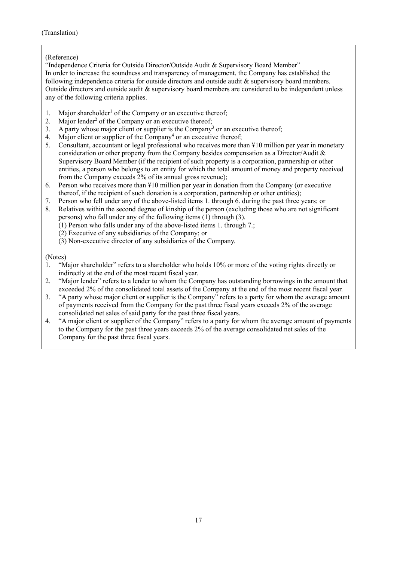#### (Reference)

"Independence Criteria for Outside Director/Outside Audit & Supervisory Board Member" In order to increase the soundness and transparency of management, the Company has established the following independence criteria for outside directors and outside audit & supervisory board members. Outside directors and outside audit & supervisory board members are considered to be independent unless any of the following criteria applies.

- 1. Major shareholder<sup>1</sup> of the Company or an executive thereof;
- 2. Major lender<sup>2</sup> of the Company or an executive thereof;
- 3. A party whose major client or supplier is the Company<sup>3</sup> or an executive thereof;
- 4. Major client or supplier of the Company<sup>4</sup> or an executive thereof;
- 5. Consultant, accountant or legal professional who receives more than ¥10 million per year in monetary consideration or other property from the Company besides compensation as a Director/Audit & Supervisory Board Member (if the recipient of such property is a corporation, partnership or other entities, a person who belongs to an entity for which the total amount of money and property received from the Company exceeds 2% of its annual gross revenue);
- 6. Person who receives more than ¥10 million per year in donation from the Company (or executive thereof, if the recipient of such donation is a corporation, partnership or other entities);
- 7. Person who fell under any of the above-listed items 1. through 6. during the past three years; or
- 8. Relatives within the second degree of kinship of the person (excluding those who are not significant persons) who fall under any of the following items (1) through (3).
	- (1) Person who falls under any of the above-listed items 1. through 7.;
	- (2) Executive of any subsidiaries of the Company; or
	- (3) Non-executive director of any subsidiaries of the Company.

(Notes)

- 1. "Major shareholder" refers to a shareholder who holds 10% or more of the voting rights directly or indirectly at the end of the most recent fiscal year.
- 2. "Major lender" refers to a lender to whom the Company has outstanding borrowings in the amount that exceeded 2% of the consolidated total assets of the Company at the end of the most recent fiscal year.
- 3. "A party whose major client or supplier is the Company" refers to a party for whom the average amount of payments received from the Company for the past three fiscal years exceeds 2% of the average consolidated net sales of said party for the past three fiscal years.
- 4. "A major client or supplier of the Company" refers to a party for whom the average amount of payments to the Company for the past three years exceeds 2% of the average consolidated net sales of the Company for the past three fiscal years.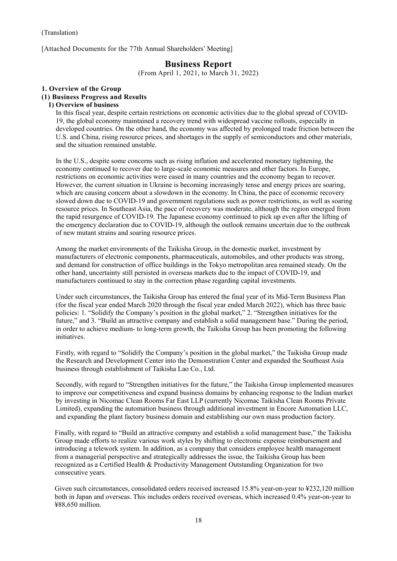[Attached Documents for the 77th Annual Shareholders' Meeting]

# **Business Report**

(From April 1, 2021, to March 31, 2022)

#### **1. Overview of the Group (1) Business Progress and Results**

#### **1) Overview of business**

In this fiscal year, despite certain restrictions on economic activities due to the global spread of COVID-19, the global economy maintained a recovery trend with widespread vaccine rollouts, especially in developed countries. On the other hand, the economy was affected by prolonged trade friction between the U.S. and China, rising resource prices, and shortages in the supply of semiconductors and other materials, and the situation remained unstable.

In the U.S., despite some concerns such as rising inflation and accelerated monetary tightening, the economy continued to recover due to large-scale economic measures and other factors. In Europe, restrictions on economic activities were eased in many countries and the economy began to recover. However, the current situation in Ukraine is becoming increasingly tense and energy prices are soaring, which are causing concern about a slowdown in the economy. In China, the pace of economic recovery slowed down due to COVID-19 and government regulations such as power restrictions, as well as soaring resource prices. In Southeast Asia, the pace of recovery was moderate, although the region emerged from the rapid resurgence of COVID-19. The Japanese economy continued to pick up even after the lifting of the emergency declaration due to COVID-19, although the outlook remains uncertain due to the outbreak of new mutant strains and soaring resource prices.

Among the market environments of the Taikisha Group, in the domestic market, investment by manufacturers of electronic components, pharmaceuticals, automobiles, and other products was strong, and demand for construction of office buildings in the Tokyo metropolitan area remained steady. On the other hand, uncertainty still persisted in overseas markets due to the impact of COVID-19, and manufacturers continued to stay in the correction phase regarding capital investments.

Under such circumstances, the Taikisha Group has entered the final year of its Mid-Term Business Plan (for the fiscal year ended March 2020 through the fiscal year ended March 2022), which has three basic policies: 1. "Solidify the Company's position in the global market," 2. "Strengthen initiatives for the future," and 3. "Build an attractive company and establish a solid management base." During the period, in order to achieve medium- to long-term growth, the Taikisha Group has been promoting the following initiatives.

Firstly, with regard to "Solidify the Company's position in the global market," the Taikisha Group made the Research and Development Center into the Demonstration Center and expanded the Southeast Asia business through establishment of Taikisha Lao Co., Ltd.

Secondly, with regard to "Strengthen initiatives for the future," the Taikisha Group implemented measures to improve our competitiveness and expand business domains by enhancing response to the Indian market by investing in Nicomac Clean Rooms Far East LLP (currently Nicomac Taikisha Clean Rooms Private Limited), expanding the automation business through additional investment in Encore Automation LLC, and expanding the plant factory business domain and establishing our own mass production factory.

Finally, with regard to "Build an attractive company and establish a solid management base," the Taikisha Group made efforts to realize various work styles by shifting to electronic expense reimbursement and introducing a telework system. In addition, as a company that considers employee health management from a managerial perspective and strategically addresses the issue, the Taikisha Group has been recognized as a Certified Health & Productivity Management Outstanding Organization for two consecutive years.

Given such circumstances, consolidated orders received increased 15.8% year-on-year to ¥232,120 million both in Japan and overseas. This includes orders received overseas, which increased 0.4% year-on-year to ¥88,650 million.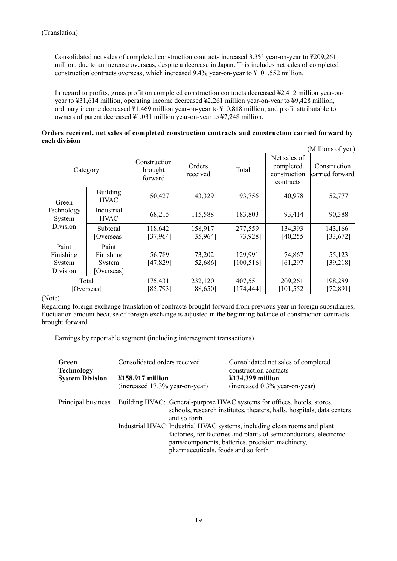Consolidated net sales of completed construction contracts increased 3.3% year-on-year to ¥209,261 million, due to an increase overseas, despite a decrease in Japan. This includes net sales of completed construction contracts overseas, which increased 9.4% year-on-year to ¥101,552 million.

In regard to profits, gross profit on completed construction contracts decreased ¥2,412 million year-onyear to ¥31,614 million, operating income decreased ¥2,261 million year-on-year to ¥9,428 million, ordinary income decreased ¥1,469 million year-on-year to ¥10,818 million, and profit attributable to owners of parent decreased ¥1,031 million year-on-year to ¥7,248 million.

#### **Orders received, net sales of completed construction contracts and construction carried forward by each division**

|                                          |                                            |                                    |                      |                       |                                                        | (Millions of yen)               |
|------------------------------------------|--------------------------------------------|------------------------------------|----------------------|-----------------------|--------------------------------------------------------|---------------------------------|
| Category                                 |                                            | Construction<br>brought<br>forward | Orders<br>received   | Total                 | Net sales of<br>completed<br>construction<br>contracts | Construction<br>carried forward |
| Green                                    | <b>Building</b><br><b>HVAC</b>             | 50,427                             | 43,329               | 93,756                | 40,978                                                 | 52,777                          |
| Technology<br>System                     | Industrial<br><b>HVAC</b>                  | 68,215                             | 115,588              | 183,803               | 93,414                                                 | 90,388                          |
| Division                                 | Subtotal<br>[Overseas]                     | 118,642<br>[37, 964]               | 158,917<br>[35, 964] | 277,559<br>[73, 928]  | 134,393<br>[40, 255]                                   | 143,166<br>[33, 672]            |
| Paint<br>Finishing<br>System<br>Division | Paint<br>Finishing<br>System<br>[Overseas] | 56,789<br>[47, 829]                | 73,202<br>[52, 686]  | 129,991<br>[100, 516] | 74,867<br>[61, 297]                                    | 55,123<br>[39, 218]             |
| Total<br>[Overseas]                      |                                            | 175,431<br>[85, 793]               | 232,120<br>[88,650]  | 407,551<br>[174, 444] | 209,261<br>[101, 552]                                  | 198,289<br>[72, 891]            |

(Note)

Regarding foreign exchange translation of contracts brought forward from previous year in foreign subsidiaries, fluctuation amount because of foreign exchange is adjusted in the beginning balance of construction contracts brought forward.

Earnings by reportable segment (including intersegment transactions)

| Green<br><b>Technology</b> | Consolidated orders received                                                                                                                                       |                                     | Consolidated net sales of completed<br>construction contacts                                                                                                                                        |  |  |
|----------------------------|--------------------------------------------------------------------------------------------------------------------------------------------------------------------|-------------------------------------|-----------------------------------------------------------------------------------------------------------------------------------------------------------------------------------------------------|--|--|
| <b>System Division</b>     | $\textcolor{blue}{\textbf{4158,917}}$ million                                                                                                                      |                                     | $\text{\textsterling}134,\!399$ million                                                                                                                                                             |  |  |
|                            | (increased 17.3% year-on-year)                                                                                                                                     |                                     | (increased 0.3% year-on-year)                                                                                                                                                                       |  |  |
| Principal business         | Building HVAC: General-purpose HVAC systems for offices, hotels, stores,<br>schools, research institutes, theaters, halls, hospitals, data centers<br>and so forth |                                     |                                                                                                                                                                                                     |  |  |
|                            |                                                                                                                                                                    | pharmaceuticals, foods and so forth | Industrial HVAC: Industrial HVAC systems, including clean rooms and plant<br>factories, for factories and plants of semiconductors, electronic<br>parts/components, batteries, precision machinery, |  |  |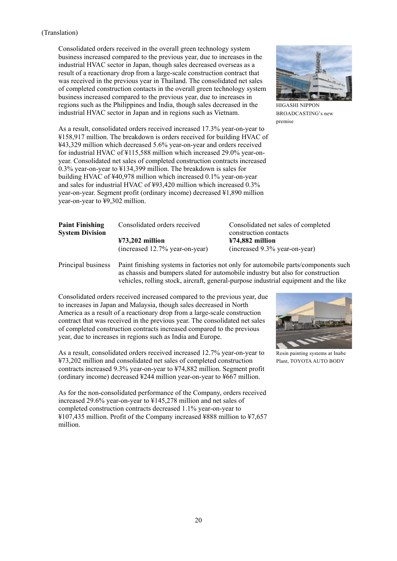Consolidated orders received in the overall green technology system business increased compared to the previous year, due to increases in the industrial HVAC sector in Japan, though sales decreased overseas as a result of a reactionary drop from a large-scale construction contract that was received in the previous year in Thailand. The consolidated net sales of completed construction contacts in the overall green technology system business increased compared to the previous year, due to increases in regions such as the Philippines and India, though sales decreased in the industrial HVAC sector in Japan and in regions such as Vietnam.



HIGASHI NIPPON BROADCASTING's new premise

As a result, consolidated orders received increased 17.3% year-on-year to ¥158,917 million. The breakdown is orders received for building HVAC of ¥43,329 million which decreased 5.6% year-on-year and orders received for industrial HVAC of ¥115,588 million which increased 29.0% year-onyear. Consolidated net sales of completed construction contracts increased 0.3% year-on-year to ¥134,399 million. The breakdown is sales for building HVAC of ¥40,978 million which increased 0.1% year-on-year and sales for industrial HVAC of ¥93,420 million which increased 0.3% year-on-year. Segment profit (ordinary income) decreased ¥1,890 million year-on-year to ¥9,302 million.

| <b>Paint Finishing</b> | Consolidated orders received                 | Consolidated net sales of completed<br>construction contacts |
|------------------------|----------------------------------------------|--------------------------------------------------------------|
| <b>System Division</b> | $\textcolor{blue}{\textbf{473,202}}$ million | $474,882$ million                                            |
|                        | $(increased 12.7\%$ year-on-year)            | (increased 9.3% year-on-year)                                |
| <b>Print</b> 11 1      |                                              |                                                              |

Principal business Paint finishing systems in factories not only for automobile parts/components such as chassis and bumpers slated for automobile industry but also for construction vehicles, rolling stock, aircraft, general-purpose industrial equipment and the like

Consolidated orders received increased compared to the previous year, due to increases in Japan and Malaysia, though sales decreased in North America as a result of a reactionary drop from a large-scale construction contract that was received in the previous year. The consolidated net sales of completed construction contracts increased compared to the previous year, due to increases in regions such as India and Europe.

As a result, consolidated orders received increased 12.7% year-on-year to ¥73,202 million and consolidated net sales of completed construction contracts increased 9.3% year-on-year to ¥74,882 million. Segment profit (ordinary income) decreased ¥244 million year-on-year to ¥667 million.

As for the non-consolidated performance of the Company, orders received increased 29.6% year-on-year to ¥145,278 million and net sales of completed construction contracts decreased 1.1% year-on-year to ¥107,435 million. Profit of the Company increased ¥888 million to ¥7,657 million.



Resin painting systems at Inabe Plant, TOYOTA AUTO BODY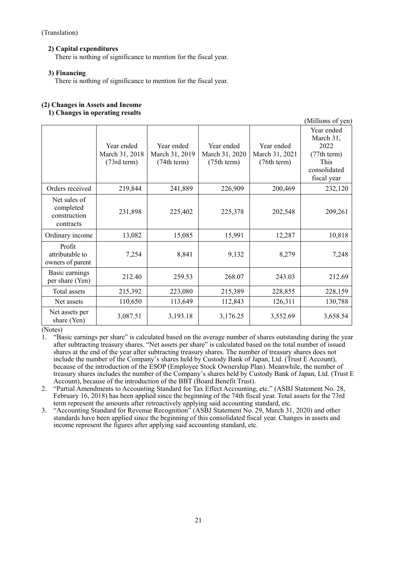## **2) Capital expenditures**

There is nothing of significance to mention for the fiscal year.

#### **3) Financing**

There is nothing of significance to mention for the fiscal year.

# **(2) Changes in Assets and Income**

## **1) Changes in operating results**

|                                                        |                                                       |                                             |                                             |                                             | (Millions of yen)                                                                     |
|--------------------------------------------------------|-------------------------------------------------------|---------------------------------------------|---------------------------------------------|---------------------------------------------|---------------------------------------------------------------------------------------|
|                                                        | Year ended<br>March 31, 2018<br>$(73rd \text{ term})$ | Year ended<br>March 31, 2019<br>(74th term) | Year ended<br>March 31, 2020<br>(75th term) | Year ended<br>March 31, 2021<br>(76th term) | Year ended<br>March 31,<br>2022<br>(77th term)<br>This<br>consolidated<br>fiscal year |
| Orders received                                        | 219,844                                               | 241,889                                     | 226,909                                     | 200,469                                     | 232,120                                                                               |
| Net sales of<br>completed<br>construction<br>contracts | 231,898                                               | 225,402                                     | 225,378                                     | 202,548                                     | 209,261                                                                               |
| Ordinary income                                        | 13,082                                                | 15,085                                      | 15,991                                      | 12,287                                      | 10,818                                                                                |
| Profit<br>attributable to<br>owners of parent          | 7,254                                                 | 8,841                                       | 9,132                                       | 8,279                                       | 7,248                                                                                 |
| Basic earnings<br>per share (Yen)                      | 212.40                                                | 259.53                                      | 268.07                                      | 243.03                                      | 212.69                                                                                |
| Total assets                                           | 215,392                                               | 223,080                                     | 215,389                                     | 228,855                                     | 228,159                                                                               |
| Net assets                                             | 110,650                                               | 113,649                                     | 112,843                                     | 126,311                                     | 130,788                                                                               |
| Net assets per<br>share (Yen)                          | 3,087.51                                              | 3,193.18                                    | 3,176.25                                    | 3,552.69                                    | 3,658.54                                                                              |

(Notes)

1. "Basic earnings per share" is calculated based on the average number of shares outstanding during the year after subtracting treasury shares. "Net assets per share" is calculated based on the total number of issued shares at the end of the year after subtracting treasury shares. The number of treasury shares does not include the number of the Company's shares held by Custody Bank of Japan, Ltd. (Trust E Account), because of the introduction of the ESOP (Employee Stock Ownership Plan). Meanwhile, the number of treasury shares includes the number of the Company's shares held by Custody Bank of Japan, Ltd. (Trust E Account), because of the introduction of the BBT (Board Benefit Trust).

2. "Partial Amendments to Accounting Standard for Tax Effect Accounting, etc." (ASBJ Statement No. 28, February 16, 2018) has been applied since the beginning of the 74th fiscal year. Total assets for the 73rd term represent the amounts after retroactively applying said accounting standard, etc.

3. "Accounting Standard for Revenue Recognition" (ASBJ Statement No. 29, March 31, 2020) and other standards have been applied since the beginning of this consolidated fiscal year. Changes in assets and income represent the figures after applying said accounting standard, etc.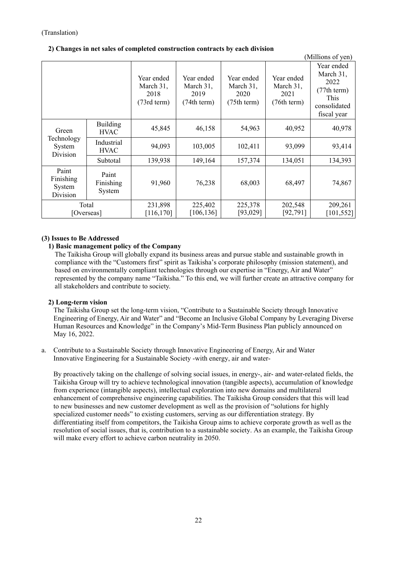|                                          |                                |                                                          |                                                |                                                |                                                | (Millions of yen)                                                                     |
|------------------------------------------|--------------------------------|----------------------------------------------------------|------------------------------------------------|------------------------------------------------|------------------------------------------------|---------------------------------------------------------------------------------------|
|                                          |                                | Year ended<br>March 31,<br>2018<br>$(73rd \text{ term})$ | Year ended<br>March 31,<br>2019<br>(74th term) | Year ended<br>March 31,<br>2020<br>(75th term) | Year ended<br>March 31,<br>2021<br>(76th term) | Year ended<br>March 31,<br>2022<br>(77th term)<br>This<br>consolidated<br>fiscal year |
| Green                                    | <b>Building</b><br><b>HVAC</b> | 45,845                                                   | 46,158                                         | 54,963                                         | 40,952                                         | 40,978                                                                                |
| Technology<br>System<br>Division         | Industrial<br><b>HVAC</b>      | 94,093                                                   | 103,005                                        | 102,411                                        | 93,099                                         | 93,414                                                                                |
|                                          | Subtotal                       | 139,938                                                  | 149,164                                        | 157,374                                        | 134,051                                        | 134,393                                                                               |
| Paint<br>Finishing<br>System<br>Division | Paint<br>Finishing<br>System   | 91,960                                                   | 76,238                                         | 68,003                                         | 68,497                                         | 74,867                                                                                |
| Total<br>[Overseas]                      |                                | 231,898<br>[116, 170]                                    | 225,402<br>[106, 136]                          | 225,378<br>[93,029]                            | 202,548<br>[92, 791]                           | 209,261<br>[101, 552]                                                                 |

## **2) Changes in net sales of completed construction contracts by each division**

#### **(3) Issues to Be Addressed**

#### **1) Basic management policy of the Company**

The Taikisha Group will globally expand its business areas and pursue stable and sustainable growth in compliance with the "Customers first" spirit as Taikisha's corporate philosophy (mission statement), and based on environmentally compliant technologies through our expertise in "Energy, Air and Water" represented by the company name "Taikisha." To this end, we will further create an attractive company for all stakeholders and contribute to society.

#### **2) Long-term vision**

The Taikisha Group set the long-term vision, "Contribute to a Sustainable Society through Innovative Engineering of Energy, Air and Water" and "Become an Inclusive Global Company by Leveraging Diverse Human Resources and Knowledge" in the Company's Mid-Term Business Plan publicly announced on May 16, 2022.

a. Contribute to a Sustainable Society through Innovative Engineering of Energy, Air and Water Innovative Engineering for a Sustainable Society -with energy, air and water-

By proactively taking on the challenge of solving social issues, in energy-, air- and water-related fields, the Taikisha Group will try to achieve technological innovation (tangible aspects), accumulation of knowledge from experience (intangible aspects), intellectual exploration into new domains and multilateral enhancement of comprehensive engineering capabilities. The Taikisha Group considers that this will lead to new businesses and new customer development as well as the provision of "solutions for highly specialized customer needs" to existing customers, serving as our differentiation strategy. By differentiating itself from competitors, the Taikisha Group aims to achieve corporate growth as well as the resolution of social issues, that is, contribution to a sustainable society. As an example, the Taikisha Group will make every effort to achieve carbon neutrality in 2050.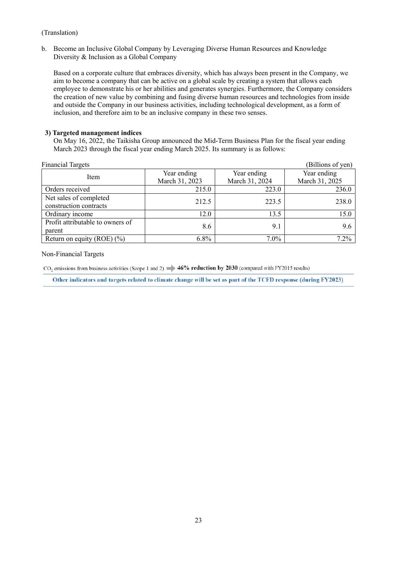b. Become an Inclusive Global Company by Leveraging Diverse Human Resources and Knowledge Diversity & Inclusion as a Global Company

Based on a corporate culture that embraces diversity, which has always been present in the Company, we aim to become a company that can be active on a global scale by creating a system that allows each employee to demonstrate his or her abilities and generates synergies. Furthermore, the Company considers the creation of new value by combining and fusing diverse human resources and technologies from inside and outside the Company in our business activities, including technological development, as a form of inclusion, and therefore aim to be an inclusive company in these two senses.

#### **3) Targeted management indices**

On May 16, 2022, the Taikisha Group announced the Mid-Term Business Plan for the fiscal year ending March 2023 through the fiscal year ending March 2025. Its summary is as follows:

| <b>Financial Targets</b>         |                |                | (Billions of yen) |
|----------------------------------|----------------|----------------|-------------------|
| Item                             | Year ending    | Year ending    | Year ending       |
|                                  | March 31, 2023 | March 31, 2024 | March 31, 2025    |
| Orders received                  | 215.0          | 223.0          | 236.0             |
| Net sales of completed           | 212.5          | 223.5          | 238.0             |
| construction contracts           |                |                |                   |
| Ordinary income                  | 12.0           | 13.5           | 15.0              |
| Profit attributable to owners of | 8.6            | 9.1            | 9.6               |
| parent                           |                |                |                   |
| Return on equity (ROE) $(\% )$   | $6.8\%$        | $7.0\%$        | $7.2\%$           |

#### Non-Financial Targets

CO, emissions from business activities (Scope 1 and 2)  $\Rightarrow$  46% reduction by 2030 (compared with FY2015 results)

Other indicators and targets related to climate change will be set as part of the TCFD response (during FY2023)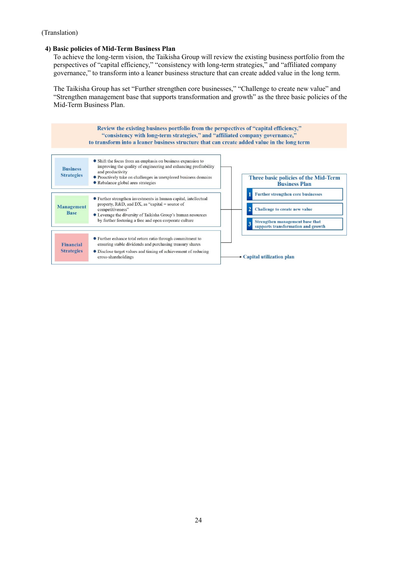#### **4) Basic policies of Mid-Term Business Plan**

To achieve the long-term vision, the Taikisha Group will review the existing business portfolio from the perspectives of "capital efficiency," "consistency with long-term strategies," and "affiliated company governance," to transform into a leaner business structure that can create added value in the long term.

The Taikisha Group has set "Further strengthen core businesses," "Challenge to create new value" and "Strengthen management base that supports transformation and growth" as the three basic policies of the Mid-Term Business Plan.

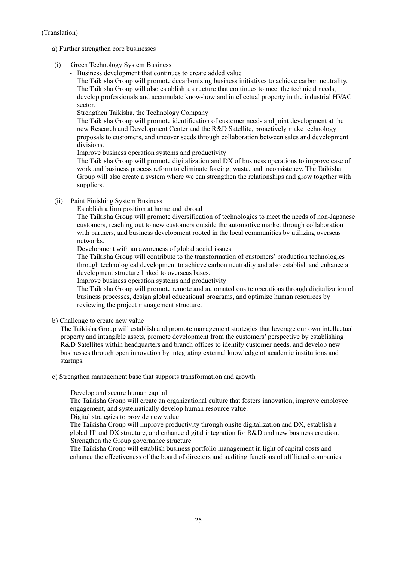a) Further strengthen core businesses

- (i) Green Technology System Business
	- Business development that continues to create added value

The Taikisha Group will promote decarbonizing business initiatives to achieve carbon neutrality. The Taikisha Group will also establish a structure that continues to meet the technical needs, develop professionals and accumulate know-how and intellectual property in the industrial HVAC sector.

- Strengthen Taikisha, the Technology Company The Taikisha Group will promote identification of customer needs and joint development at the new Research and Development Center and the R&D Satellite, proactively make technology proposals to customers, and uncover seeds through collaboration between sales and development divisions.
- Improve business operation systems and productivity The Taikisha Group will promote digitalization and DX of business operations to improve ease of work and business process reform to eliminate forcing, waste, and inconsistency. The Taikisha Group will also create a system where we can strengthen the relationships and grow together with suppliers.
- (ii) Paint Finishing System Business
	- Establish a firm position at home and abroad The Taikisha Group will promote diversification of technologies to meet the needs of non-Japanese customers, reaching out to new customers outside the automotive market through collaboration with partners, and business development rooted in the local communities by utilizing overseas networks.
	- Development with an awareness of global social issues The Taikisha Group will contribute to the transformation of customers' production technologies through technological development to achieve carbon neutrality and also establish and enhance a development structure linked to overseas bases.
	- Improve business operation systems and productivity The Taikisha Group will promote remote and automated onsite operations through digitalization of business processes, design global educational programs, and optimize human resources by reviewing the project management structure.
- b) Challenge to create new value

The Taikisha Group will establish and promote management strategies that leverage our own intellectual property and intangible assets, promote development from the customers' perspective by establishing R&D Satellites within headquarters and branch offices to identify customer needs, and develop new businesses through open innovation by integrating external knowledge of academic institutions and startups.

c) Strengthen management base that supports transformation and growth

- Develop and secure human capital The Taikisha Group will create an organizational culture that fosters innovation, improve employee engagement, and systematically develop human resource value.
- Digital strategies to provide new value The Taikisha Group will improve productivity through onsite digitalization and DX, establish a global IT and DX structure, and enhance digital integration for R&D and new business creation.
- Strengthen the Group governance structure The Taikisha Group will establish business portfolio management in light of capital costs and enhance the effectiveness of the board of directors and auditing functions of affiliated companies.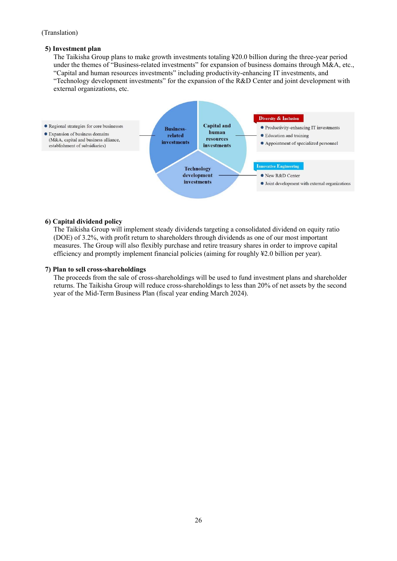#### **5) Investment plan**

The Taikisha Group plans to make growth investments totaling ¥20.0 billion during the three-year period under the themes of "Business-related investments" for expansion of business domains through M&A, etc., "Capital and human resources investments" including productivity-enhancing IT investments, and "Technology development investments" for the expansion of the R&D Center and joint development with external organizations, etc.



#### **6) Capital dividend policy**

The Taikisha Group will implement steady dividends targeting a consolidated dividend on equity ratio (DOE) of 3.2%, with profit return to shareholders through dividends as one of our most important measures. The Group will also flexibly purchase and retire treasury shares in order to improve capital efficiency and promptly implement financial policies (aiming for roughly ¥2.0 billion per year).

#### **7) Plan to sell cross-shareholdings**

The proceeds from the sale of cross-shareholdings will be used to fund investment plans and shareholder returns. The Taikisha Group will reduce cross-shareholdings to less than 20% of net assets by the second year of the Mid-Term Business Plan (fiscal year ending March 2024).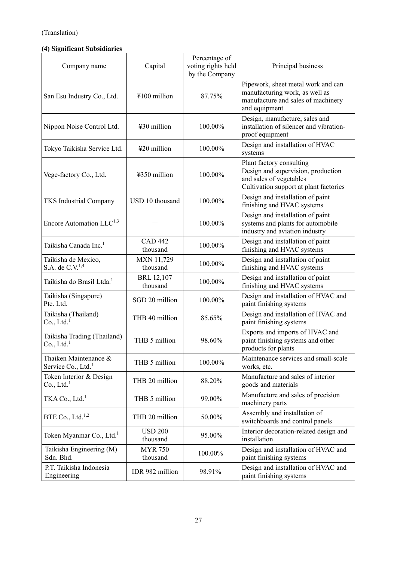# **(4) Significant Subsidiaries**

| Company name                                            | Capital                       | Percentage of<br>voting rights held<br>by the Company | Principal business                                                                                                                  |
|---------------------------------------------------------|-------------------------------|-------------------------------------------------------|-------------------------------------------------------------------------------------------------------------------------------------|
| San Esu Industry Co., Ltd.                              | ¥100 million                  | 87.75%                                                | Pipework, sheet metal work and can<br>manufacturing work, as well as<br>manufacture and sales of machinery<br>and equipment         |
| Nippon Noise Control Ltd.                               | ¥30 million                   | 100.00%                                               | Design, manufacture, sales and<br>installation of silencer and vibration-<br>proof equipment                                        |
| Tokyo Taikisha Service Ltd.                             | ¥20 million                   | 100.00%                                               | Design and installation of HVAC<br>systems                                                                                          |
| Vege-factory Co., Ltd.                                  | ¥350 million                  | 100.00%                                               | Plant factory consulting<br>Design and supervision, production<br>and sales of vegetables<br>Cultivation support at plant factories |
| <b>TKS</b> Industrial Company                           | USD 10 thousand               | 100.00%                                               | Design and installation of paint<br>finishing and HVAC systems                                                                      |
| Encore Automation LLC <sup>1,3</sup>                    |                               | 100.00%                                               | Design and installation of paint<br>systems and plants for automobile<br>industry and aviation industry                             |
| Taikisha Canada Inc. <sup>1</sup>                       | <b>CAD 442</b><br>thousand    | 100.00%                                               | Design and installation of paint<br>finishing and HVAC systems                                                                      |
| Taikisha de Mexico,<br>S.A. de $C.V.^{1,4}$             | <b>MXN 11,729</b><br>thousand | 100.00%                                               | Design and installation of paint<br>finishing and HVAC systems                                                                      |
| Taikisha do Brasil Ltda. <sup>1</sup>                   | <b>BRL 12,107</b><br>thousand | 100.00%                                               | Design and installation of paint<br>finishing and HVAC systems                                                                      |
| Taikisha (Singapore)<br>Pte. Ltd.                       | SGD 20 million                | 100.00%                                               | Design and installation of HVAC and<br>paint finishing systems                                                                      |
| Taikisha (Thailand)<br>Co., Ltd. <sup>1</sup>           | THB 40 million                | 85.65%                                                | Design and installation of HVAC and<br>paint finishing systems                                                                      |
| Taikisha Trading (Thailand)<br>Co., Ltd. <sup>1</sup>   | THB 5 million                 | 98.60%                                                | Exports and imports of HVAC and<br>paint finishing systems and other<br>products for plants                                         |
| Thaiken Maintenance &<br>Service Co., Ltd. <sup>1</sup> | THB 5 million                 | 100.00%                                               | Maintenance services and small-scale<br>works, etc.                                                                                 |
| Token Interior & Design<br>Co., Ltd. <sup>1</sup>       | THB 20 million                | 88.20%                                                | Manufacture and sales of interior<br>goods and materials                                                                            |
| TKA Co., Ltd. <sup>1</sup>                              | THB 5 million                 | 99.00%                                                | Manufacture and sales of precision<br>machinery parts                                                                               |
| BTE Co., Ltd. $^{1,2}$                                  | THB 20 million                | 50.00%                                                | Assembly and installation of<br>switchboards and control panels                                                                     |
| Token Myanmar Co., Ltd. <sup>1</sup>                    | <b>USD 200</b><br>thousand    | 95.00%                                                | Interior decoration-related design and<br>installation                                                                              |
| Taikisha Engineering (M)<br>Sdn. Bhd.                   | <b>MYR 750</b><br>thousand    | 100.00%                                               | Design and installation of HVAC and<br>paint finishing systems                                                                      |
| P.T. Taikisha Indonesia<br>Engineering                  | IDR 982 million               | 98.91%                                                | Design and installation of HVAC and<br>paint finishing systems                                                                      |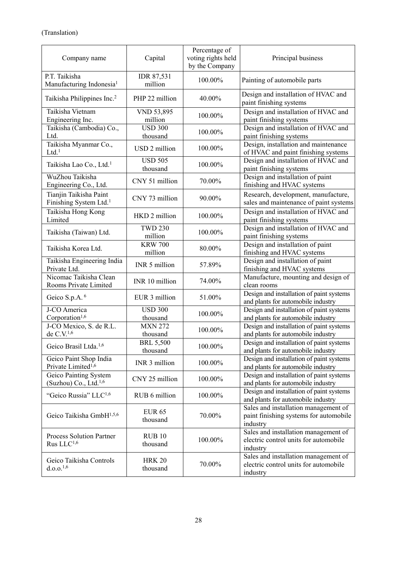| Company name                                                 | Capital                      | Percentage of<br>voting rights held<br>by the Company | Principal business                                                                         |
|--------------------------------------------------------------|------------------------------|-------------------------------------------------------|--------------------------------------------------------------------------------------------|
| P.T. Taikisha<br>Manufacturing Indonesia <sup>1</sup>        | IDR 87,531<br>million        | 100.00%                                               | Painting of automobile parts                                                               |
| Taikisha Philippines Inc. <sup>2</sup>                       | PHP 22 million               | 40.00%                                                | Design and installation of HVAC and<br>paint finishing systems                             |
| Taikisha Vietnam<br>Engineering Inc.                         | VND 53,895<br>million        | 100.00%                                               | Design and installation of HVAC and<br>paint finishing systems                             |
| Taikisha (Cambodia) Co.,<br>Ltd.                             | <b>USD 300</b><br>thousand   | 100.00%                                               | Design and installation of HVAC and<br>paint finishing systems                             |
| Taikisha Myanmar Co.,<br>$Ltd.$ <sup>1</sup>                 | USD 2 million                | 100.00%                                               | Design, installation and maintenance<br>of HVAC and paint finishing systems                |
| Taikisha Lao Co., Ltd. <sup>1</sup>                          | <b>USD 505</b><br>thousand   | 100.00%                                               | Design and installation of HVAC and<br>paint finishing systems                             |
| WuZhou Taikisha<br>Engineering Co., Ltd.                     | CNY 51 million               | 70.00%                                                | Design and installation of paint<br>finishing and HVAC systems                             |
| Tianjin Taikisha Paint<br>Finishing System Ltd. <sup>1</sup> | CNY 73 million               | 90.00%                                                | Research, development, manufacture,<br>sales and maintenance of paint systems              |
| Taikisha Hong Kong<br>Limited                                | HKD 2 million                | 100.00%                                               | Design and installation of HVAC and<br>paint finishing systems                             |
| Taikisha (Taiwan) Ltd.                                       | <b>TWD 230</b><br>million    | 100.00%                                               | Design and installation of HVAC and<br>paint finishing systems                             |
| Taikisha Korea Ltd.                                          | <b>KRW 700</b><br>million    | 80.00%                                                | Design and installation of paint<br>finishing and HVAC systems                             |
| Taikisha Engineering India<br>Private Ltd.                   | INR 5 million                | 57.89%                                                | Design and installation of paint<br>finishing and HVAC systems                             |
| Nicomac Taikisha Clean<br>Rooms Private Limited              | INR 10 million               | 74.00%                                                | Manufacture, mounting and design of<br>clean rooms                                         |
| Geico S.p.A. <sup>6</sup>                                    | EUR 3 million                | 51.00%                                                | Design and installation of paint systems<br>and plants for automobile industry             |
| J-CO America<br>Corporation <sup>1,6</sup>                   | <b>USD 300</b><br>thousand   | 100.00%                                               | Design and installation of paint systems<br>and plants for automobile industry             |
| J-CO Mexico, S. de R.L.<br>de C.V. <sup>1,6</sup>            | <b>MXN 272</b><br>thousand   | 100.00%                                               | Design and installation of paint systems<br>and plants for automobile industry             |
| Geico Brasil Ltda. <sup>1,6</sup>                            | <b>BRL 5,500</b><br>thousand | 100.00%                                               | Design and installation of paint systems<br>and plants for automobile industry             |
| Geico Paint Shop India<br>Private Limited <sup>1,6</sup>     | INR 3 million                | 100.00%                                               | Design and installation of paint systems<br>and plants for automobile industry             |
| Geico Painting System<br>(Suzhou) Co., Ltd. <sup>1,6</sup>   | CNY 25 million               | 100.00%                                               | Design and installation of paint systems<br>and plants for automobile industry             |
| "Geico Russia" LLC <sup>1,6</sup>                            | RUB 6 million                | 100.00%                                               | Design and installation of paint systems<br>and plants for automobile industry             |
| Geico Taikisha GmbH <sup>1,5,6</sup>                         | <b>EUR 65</b><br>thousand    | 70.00%                                                | Sales and installation management of<br>paint finishing systems for automobile<br>industry |
| <b>Process Solution Partner</b><br>Rus LLC <sup>1,6</sup>    | RUB10<br>thousand            | 100.00%                                               | Sales and installation management of<br>electric control units for automobile<br>industry  |
| Geico Taikisha Controls<br>d.o.o. <sup>1,6</sup>             | <b>HRK 20</b><br>thousand    | 70.00%                                                | Sales and installation management of<br>electric control units for automobile<br>industry  |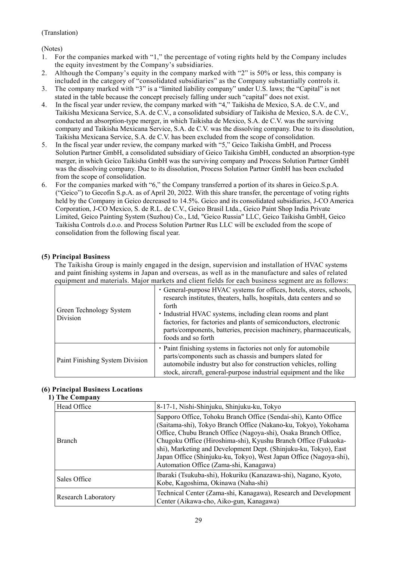(Notes)

- 1. For the companies marked with "1," the percentage of voting rights held by the Company includes the equity investment by the Company's subsidiaries.
- 2. Although the Company's equity in the company marked with "2" is 50% or less, this company is included in the category of "consolidated subsidiaries" as the Company substantially controls it.
- 3. The company marked with "3" is a "limited liability company" under U.S. laws; the "Capital" is not stated in the table because the concept precisely falling under such "capital" does not exist.
- 4. In the fiscal year under review, the company marked with "4," Taikisha de Mexico, S.A. de C.V., and Taikisha Mexicana Service, S.A. de C.V., a consolidated subsidiary of Taikisha de Mexico, S.A. de C.V., conducted an absorption-type merger, in which Taikisha de Mexico, S.A. de C.V. was the surviving company and Taikisha Mexicana Service, S.A. de C.V. was the dissolving company. Due to its dissolution, Taikisha Mexicana Service, S.A. de C.V. has been excluded from the scope of consolidation.
- 5. In the fiscal year under review, the company marked with "5," Geico Taikisha GmbH, and Process Solution Partner GmbH, a consolidated subsidiary of Geico Taikisha GmbH, conducted an absorption-type merger, in which Geico Taikisha GmbH was the surviving company and Process Solution Partner GmbH was the dissolving company. Due to its dissolution, Process Solution Partner GmbH has been excluded from the scope of consolidation.
- 6. For the companies marked with "6," the Company transferred a portion of its shares in Geico.S.p.A. ("Geico") to Gecofin S.p.A. as of April 20, 2022. With this share transfer, the percentage of voting rights held by the Company in Geico decreased to 14.5%. Geico and its consolidated subsidiaries, J-CO America Corporation, J-CO Mexico, S. de R.L. de C.V., Geico Brasil Ltda., Geico Paint Shop India Private Limited, Geico Painting System (Suzhou) Co., Ltd, "Geico Russia" LLC, Geico Taikisha GmbH, Geico Taikisha Controls d.o.o. and Process Solution Partner Rus LLC will be excluded from the scope of consolidation from the following fiscal year.

## **(5) Principal Business**

The Taikisha Group is mainly engaged in the design, supervision and installation of HVAC systems and paint finishing systems in Japan and overseas, as well as in the manufacture and sales of related equipment and materials. Major markets and client fields for each business segment are as follows:

| Green Technology System<br>Division | • General-purpose HVAC systems for offices, hotels, stores, schools,<br>research institutes, theaters, halls, hospitals, data centers and so<br>forth<br>· Industrial HVAC systems, including clean rooms and plant<br>factories, for factories and plants of semiconductors, electronic<br>parts/components, batteries, precision machinery, pharmaceuticals,<br>foods and so forth |
|-------------------------------------|--------------------------------------------------------------------------------------------------------------------------------------------------------------------------------------------------------------------------------------------------------------------------------------------------------------------------------------------------------------------------------------|
| Paint Finishing System Division     | · Paint finishing systems in factories not only for automobile<br>parts/components such as chassis and bumpers slated for<br>automobile industry but also for construction vehicles, rolling<br>stock, aircraft, general-purpose industrial equipment and the like                                                                                                                   |

## **(6) Principal Business Locations**

#### **1) The Company**

| Head Office         | 8-17-1, Nishi-Shinjuku, Shinjuku-ku, Tokyo                                                                                                                                                                                                                                                                                                                                                                                                                 |
|---------------------|------------------------------------------------------------------------------------------------------------------------------------------------------------------------------------------------------------------------------------------------------------------------------------------------------------------------------------------------------------------------------------------------------------------------------------------------------------|
| <b>Branch</b>       | Sapporo Office, Tohoku Branch Office (Sendai-shi), Kanto Office<br>(Saitama-shi), Tokyo Branch Office (Nakano-ku, Tokyo), Yokohama<br>Office, Chubu Branch Office (Nagoya-shi), Osaka Branch Office,<br>Chugoku Office (Hiroshima-shi), Kyushu Branch Office (Fukuoka-<br>shi), Marketing and Development Dept. (Shinjuku-ku, Tokyo), East<br>Japan Office (Shinjuku-ku, Tokyo), West Japan Office (Nagoya-shi),<br>Automation Office (Zama-shi, Kanagawa) |
| Sales Office        | Ibaraki (Tsukuba-shi), Hokuriku (Kanazawa-shi), Nagano, Kyoto,<br>Kobe, Kagoshima, Okinawa (Naha-shi)                                                                                                                                                                                                                                                                                                                                                      |
| Research Laboratory | Technical Center (Zama-shi, Kanagawa), Research and Development<br>Center (Aikawa-cho, Aiko-gun, Kanagawa)                                                                                                                                                                                                                                                                                                                                                 |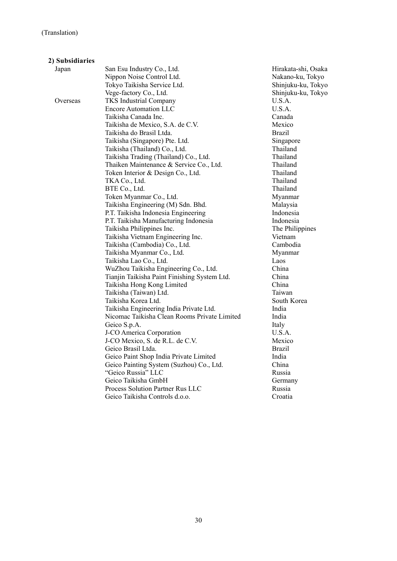| 2) Subsidiaries |                                              |                     |
|-----------------|----------------------------------------------|---------------------|
| Japan           | San Esu Industry Co., Ltd.                   | Hirakata-shi, Osaka |
|                 | Nippon Noise Control Ltd.                    | Nakano-ku, Tokyo    |
|                 | Tokyo Taikisha Service Ltd.                  | Shinjuku-ku, Tokyo  |
|                 | Vege-factory Co., Ltd.                       | Shinjuku-ku, Tokyo  |
| Overseas        | <b>TKS</b> Industrial Company                | U.S.A.              |
|                 | <b>Encore Automation LLC</b>                 | U.S.A.              |
|                 | Taikisha Canada Inc.                         | Canada              |
|                 | Taikisha de Mexico, S.A. de C.V.             | Mexico              |
|                 | Taikisha do Brasil Ltda.                     | <b>Brazil</b>       |
|                 | Taikisha (Singapore) Pte. Ltd.               | Singapore           |
|                 | Taikisha (Thailand) Co., Ltd.                | Thailand            |
|                 | Taikisha Trading (Thailand) Co., Ltd.        | Thailand            |
|                 | Thaiken Maintenance & Service Co., Ltd.      | Thailand            |
|                 | Token Interior & Design Co., Ltd.            | Thailand            |
|                 | TKA Co., Ltd.                                | Thailand            |
|                 | BTE Co., Ltd.                                | Thailand            |
|                 | Token Myanmar Co., Ltd.                      | Myanmar             |
|                 | Taikisha Engineering (M) Sdn. Bhd.           | Malaysia            |
|                 | P.T. Taikisha Indonesia Engineering          | Indonesia           |
|                 | P.T. Taikisha Manufacturing Indonesia        | Indonesia           |
|                 | Taikisha Philippines Inc.                    | The Philippines     |
|                 | Taikisha Vietnam Engineering Inc.            | Vietnam             |
|                 | Taikisha (Cambodia) Co., Ltd.                | Cambodia            |
|                 | Taikisha Myanmar Co., Ltd.                   | Myanmar             |
|                 | Taikisha Lao Co., Ltd.                       | Laos                |
|                 | WuZhou Taikisha Engineering Co., Ltd.        | China               |
|                 | Tianjin Taikisha Paint Finishing System Ltd. | China               |
|                 | Taikisha Hong Kong Limited                   | China               |
|                 | Taikisha (Taiwan) Ltd.                       | Taiwan              |
|                 | Taikisha Korea Ltd.                          | South Korea         |
|                 | Taikisha Engineering India Private Ltd.      | India               |
|                 | Nicomac Taikisha Clean Rooms Private Limited | India               |
|                 | Geico S.p.A.                                 | Italy               |
|                 | J-CO America Corporation                     | U.S.A.              |
|                 | J-CO Mexico, S. de R.L. de C.V.              | Mexico              |
|                 | Geico Brasil Ltda.                           | <b>Brazil</b>       |
|                 | Geico Paint Shop India Private Limited       | India               |
|                 | Geico Painting System (Suzhou) Co., Ltd.     | China               |
|                 | "Geico Russia" LLC                           | Russia              |
|                 | Geico Taikisha GmbH                          | Germany             |
|                 | Process Solution Partner Rus LLC             | Russia              |
|                 | Geico Taikisha Controls d.o.o.               | Croatia             |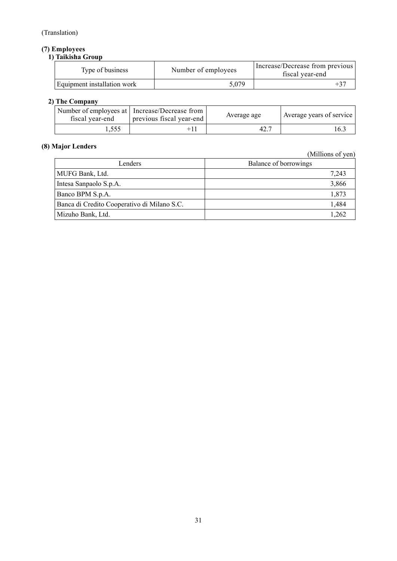# **(7) Employees**

# **1) Taikisha Group**

| Type of business            | Number of employees | Increase/Decrease from previous<br>fiscal year-end |
|-----------------------------|---------------------|----------------------------------------------------|
| Equipment installation work | 5.079               |                                                    |

# **2) The Company**

| Number of employees at   Increase/Decrease from<br>previous fiscal year-end<br>fiscal year-end |       | Average age | Average years of service |  |
|------------------------------------------------------------------------------------------------|-------|-------------|--------------------------|--|
|                                                                                                | . 555 |             | 42.7                     |  |

# **(8) Major Lenders**

(Millions of yen)

| Lenders                                     | Balance of borrowings |
|---------------------------------------------|-----------------------|
| MUFG Bank, Ltd.                             | 7,243                 |
| Intesa Sanpaolo S.p.A.                      | 3,866                 |
| Banco BPM S.p.A.                            | 1,873                 |
| Banca di Credito Cooperativo di Milano S.C. | 1,484                 |
| Mizuho Bank, Ltd.                           | 1.262                 |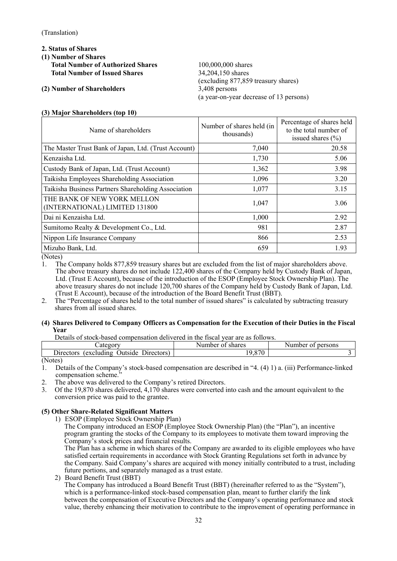- **2. Status of Shares**
- **(1) Number of Shares** 
	- **Total Number of Authorized Shares** 100,000,000 shares **Total Number of Issued Shares** 34,204,150 shares
- **(2) Number of Shareholders** 3,408 persons

(excluding 877,859 treasury shares) (a year-on-year decrease of 13 persons)

#### **(3) Major Shareholders (top 10)**

| Name of shareholders                                          | Number of shares held (in<br>thousands) | Percentage of shares held<br>to the total number of<br>issued shares $(\% )$ |
|---------------------------------------------------------------|-----------------------------------------|------------------------------------------------------------------------------|
| The Master Trust Bank of Japan, Ltd. (Trust Account)          | 7,040                                   | 20.58                                                                        |
| Kenzaisha Ltd.                                                | 1,730                                   | 5.06                                                                         |
| Custody Bank of Japan, Ltd. (Trust Account)                   | 1,362                                   | 3.98                                                                         |
| Taikisha Employees Shareholding Association                   | 1,096                                   | 3.20                                                                         |
| Taikisha Business Partners Shareholding Association           | 1,077                                   | 3.15                                                                         |
| THE BANK OF NEW YORK MELLON<br>(INTERNATIONAL) LIMITED 131800 | 1,047                                   | 3.06                                                                         |
| Dai ni Kenzaisha Ltd.                                         | 1,000                                   | 2.92                                                                         |
| Sumitomo Realty & Development Co., Ltd.                       | 981                                     | 2.87                                                                         |
| Nippon Life Insurance Company                                 | 866                                     | 2.53                                                                         |
| Mizuho Bank, Ltd.                                             | 659                                     | 1.93                                                                         |

(Notes)

1. The Company holds 877,859 treasury shares but are excluded from the list of major shareholders above. The above treasury shares do not include 122,400 shares of the Company held by Custody Bank of Japan, Ltd. (Trust E Account), because of the introduction of the ESOP (Employee Stock Ownership Plan). The above treasury shares do not include 120,700 shares of the Company held by Custody Bank of Japan, Ltd. (Trust E Account), because of the introduction of the Board Benefit Trust (BBT).

2. The "Percentage of shares held to the total number of issued shares" is calculated by subtracting treasury shares from all issued shares.

#### **(4) Shares Delivered to Company Officers as Compensation for the Execution of their Duties in the Fiscal Year**

Details of stock-based compensation delivered in the fiscal year are as follows.

| ----------                                           | -------                |                                       |
|------------------------------------------------------|------------------------|---------------------------------------|
| aw                                                   | vumber<br>shares<br>ω1 | . .<br>aumber<br>persons<br>ОI<br>'N. |
| n'<br>excluding<br>Jirectors<br>Jutside<br>Directors | 0.70<br>۰ο.            |                                       |
| (11)                                                 |                        |                                       |

(Notes)

1. Details of the Company's stock-based compensation are described in "4. (4) 1) a. (iii) Performance-linked compensation scheme."

- 2. The above was delivered to the Company's retired Directors.
- 3. Of the 19,870 shares delivered, 4,170 shares were converted into cash and the amount equivalent to the conversion price was paid to the grantee.

## **(5) Other Share-Related Significant Matters**

1) ESOP (Employee Stock Ownership Plan)

The Company introduced an ESOP (Employee Stock Ownership Plan) (the "Plan"), an incentive program granting the stocks of the Company to its employees to motivate them toward improving the Company's stock prices and financial results.

The Plan has a scheme in which shares of the Company are awarded to its eligible employees who have satisfied certain requirements in accordance with Stock Granting Regulations set forth in advance by the Company. Said Company's shares are acquired with money initially contributed to a trust, including future portions, and separately managed as a trust estate.

2) Board Benefit Trust (BBT) The Company has introduced a Board Benefit Trust (BBT) (hereinafter referred to as the "System"), which is a performance-linked stock-based compensation plan, meant to further clarify the link between the compensation of Executive Directors and the Company's operating performance and stock value, thereby enhancing their motivation to contribute to the improvement of operating performance in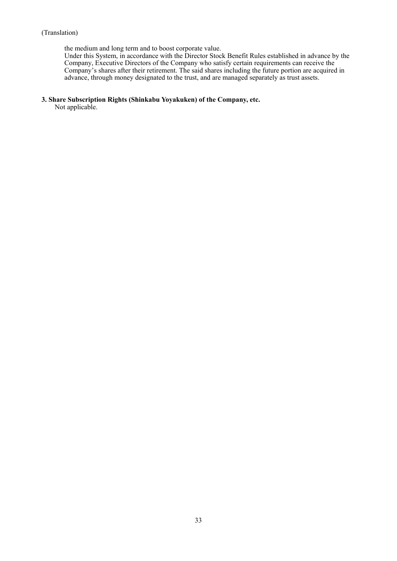the medium and long term and to boost corporate value.

Under this System, in accordance with the Director Stock Benefit Rules established in advance by the Company, Executive Directors of the Company who satisfy certain requirements can receive the Company's shares after their retirement. The said shares including the future portion are acquired in advance, through money designated to the trust, and are managed separately as trust assets.

#### **3. Share Subscription Rights (Shinkabu Yoyakuken) of the Company, etc.**

Not applicable.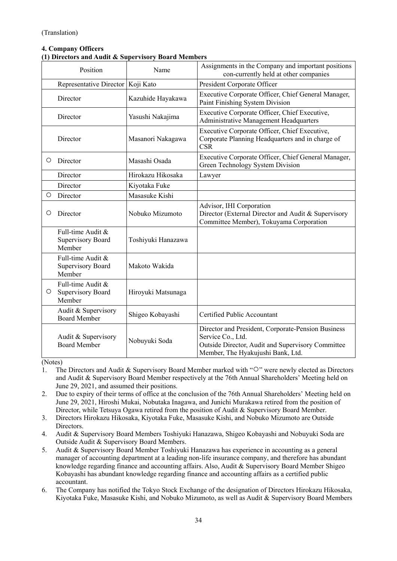| <b>4. Company Officers</b>                          |  |
|-----------------------------------------------------|--|
| (1) Directors and Audit & Supervisory Board Members |  |

| Position                |                                                         | Name               | Assignments in the Company and important positions<br>con-currently held at other companies                                                                       |
|-------------------------|---------------------------------------------------------|--------------------|-------------------------------------------------------------------------------------------------------------------------------------------------------------------|
| Representative Director |                                                         | Koji Kato          | President Corporate Officer                                                                                                                                       |
|                         | Director                                                | Kazuhide Hayakawa  | Executive Corporate Officer, Chief General Manager,<br>Paint Finishing System Division                                                                            |
|                         | Director                                                | Yasushi Nakajima   | Executive Corporate Officer, Chief Executive,<br>Administrative Management Headquarters                                                                           |
|                         | Director                                                | Masanori Nakagawa  | Executive Corporate Officer, Chief Executive,<br>Corporate Planning Headquarters and in charge of<br><b>CSR</b>                                                   |
| O                       | Director                                                | Masashi Osada      | Executive Corporate Officer, Chief General Manager,<br>Green Technology System Division                                                                           |
|                         | Director                                                | Hirokazu Hikosaka  | Lawyer                                                                                                                                                            |
|                         | Director                                                | Kiyotaka Fuke      |                                                                                                                                                                   |
| $\circ$                 | Director                                                | Masasuke Kishi     |                                                                                                                                                                   |
| Ο                       | Director                                                | Nobuko Mizumoto    | Advisor, IHI Corporation<br>Director (External Director and Audit & Supervisory<br>Committee Member), Tokuyama Corporation                                        |
|                         | Full-time Audit &<br><b>Supervisory Board</b><br>Member | Toshiyuki Hanazawa |                                                                                                                                                                   |
|                         | Full-time Audit &<br><b>Supervisory Board</b><br>Member | Makoto Wakida      |                                                                                                                                                                   |
| O                       | Full-time Audit &<br>Supervisory Board<br>Member        | Hiroyuki Matsunaga |                                                                                                                                                                   |
|                         | Audit & Supervisory<br><b>Board Member</b>              | Shigeo Kobayashi   | Certified Public Accountant                                                                                                                                       |
|                         | Audit & Supervisory<br><b>Board Member</b>              | Nobuyuki Soda      | Director and President, Corporate-Pension Business<br>Service Co., Ltd.<br>Outside Director, Audit and Supervisory Committee<br>Member, The Hyakujushi Bank, Ltd. |

(Notes)

- 1. The Directors and Audit & Supervisory Board Member marked with "○" were newly elected as Directors and Audit & Supervisory Board Member respectively at the 76th Annual Shareholders' Meeting held on June 29, 2021, and assumed their positions.
- 2. Due to expiry of their terms of office at the conclusion of the 76th Annual Shareholders' Meeting held on June 29, 2021, Hiroshi Mukai, Nobutaka Inagawa, and Junichi Murakawa retired from the position of Director, while Tetsuya Ogawa retired from the position of Audit & Supervisory Board Member.
- 3. Directors Hirokazu Hikosaka, Kiyotaka Fuke, Masasuke Kishi, and Nobuko Mizumoto are Outside Directors.
- 4. Audit & Supervisory Board Members Toshiyuki Hanazawa, Shigeo Kobayashi and Nobuyuki Soda are Outside Audit & Supervisory Board Members.
- 5. Audit & Supervisory Board Member Toshiyuki Hanazawa has experience in accounting as a general manager of accounting department at a leading non-life insurance company, and therefore has abundant knowledge regarding finance and accounting affairs. Also, Audit & Supervisory Board Member Shigeo Kobayashi has abundant knowledge regarding finance and accounting affairs as a certified public accountant.
- 6. The Company has notified the Tokyo Stock Exchange of the designation of Directors Hirokazu Hikosaka, Kiyotaka Fuke, Masasuke Kishi, and Nobuko Mizumoto, as well as Audit & Supervisory Board Members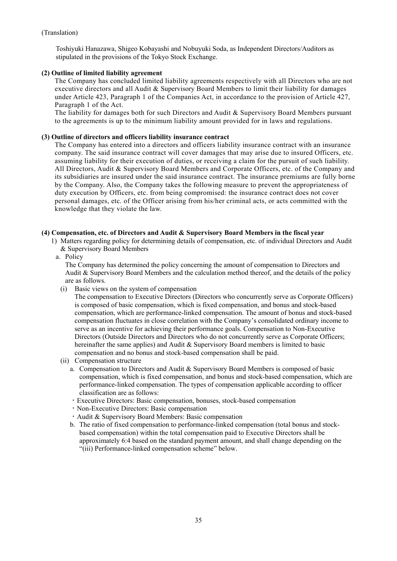Toshiyuki Hanazawa, Shigeo Kobayashi and Nobuyuki Soda, as Independent Directors/Auditors as stipulated in the provisions of the Tokyo Stock Exchange.

#### **(2) Outline of limited liability agreement**

The Company has concluded limited liability agreements respectively with all Directors who are not executive directors and all Audit & Supervisory Board Members to limit their liability for damages under Article 423, Paragraph 1 of the Companies Act, in accordance to the provision of Article 427, Paragraph 1 of the Act.

The liability for damages both for such Directors and Audit & Supervisory Board Members pursuant to the agreements is up to the minimum liability amount provided for in laws and regulations.

#### **(3) Outline of directors and officers liability insurance contract**

The Company has entered into a directors and officers liability insurance contract with an insurance company. The said insurance contract will cover damages that may arise due to insured Officers, etc. assuming liability for their execution of duties, or receiving a claim for the pursuit of such liability. All Directors, Audit & Supervisory Board Members and Corporate Officers, etc. of the Company and its subsidiaries are insured under the said insurance contract. The insurance premiums are fully borne by the Company. Also, the Company takes the following measure to prevent the appropriateness of duty execution by Officers, etc. from being compromised: the insurance contract does not cover personal damages, etc. of the Officer arising from his/her criminal acts, or acts committed with the knowledge that they violate the law.

#### **(4) Compensation, etc. of Directors and Audit & Supervisory Board Members in the fiscal year**

- 1) Matters regarding policy for determining details of compensation, etc. of individual Directors and Audit & Supervisory Board Members
	- a. Policy

The Company has determined the policy concerning the amount of compensation to Directors and Audit & Supervisory Board Members and the calculation method thereof, and the details of the policy are as follows.

(i) Basic views on the system of compensation

The compensation to Executive Directors (Directors who concurrently serve as Corporate Officers) is composed of basic compensation, which is fixed compensation, and bonus and stock-based compensation, which are performance-linked compensation. The amount of bonus and stock-based compensation fluctuates in close correlation with the Company's consolidated ordinary income to serve as an incentive for achieving their performance goals. Compensation to Non-Executive Directors (Outside Directors and Directors who do not concurrently serve as Corporate Officers; hereinafter the same applies) and Audit & Supervisory Board members is limited to basic compensation and no bonus and stock-based compensation shall be paid.

- (ii) Compensation structure
	- a. Compensation to Directors and Audit & Supervisory Board Members is composed of basic compensation, which is fixed compensation, and bonus and stock-based compensation, which are performance-linked compensation. The types of compensation applicable according to officer classification are as follows:
	- ・Executive Directors: Basic compensation, bonuses, stock-based compensation
	- ・Non-Executive Directors: Basic compensation
	- ・Audit & Supervisory Board Members: Basic compensation
	- b. The ratio of fixed compensation to performance-linked compensation (total bonus and stockbased compensation) within the total compensation paid to Executive Directors shall be approximately 6:4 based on the standard payment amount, and shall change depending on the "(iii) Performance-linked compensation scheme" below.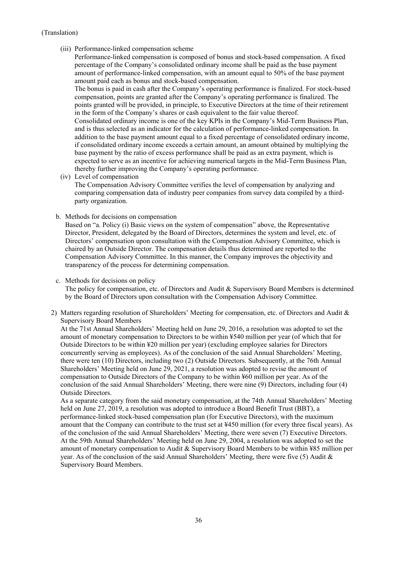(iii) Performance-linked compensation scheme

Performance-linked compensation is composed of bonus and stock-based compensation. A fixed percentage of the Company's consolidated ordinary income shall be paid as the base payment amount of performance-linked compensation, with an amount equal to 50% of the base payment amount paid each as bonus and stock-based compensation.

The bonus is paid in cash after the Company's operating performance is finalized. For stock-based compensation, points are granted after the Company's operating performance is finalized. The points granted will be provided, in principle, to Executive Directors at the time of their retirement in the form of the Company's shares or cash equivalent to the fair value thereof. Consolidated ordinary income is one of the key KPIs in the Company's Mid-Term Business Plan, and is thus selected as an indicator for the calculation of performance-linked compensation. In addition to the base payment amount equal to a fixed percentage of consolidated ordinary income, if consolidated ordinary income exceeds a certain amount, an amount obtained by multiplying the base payment by the ratio of excess performance shall be paid as an extra payment, which is expected to serve as an incentive for achieving numerical targets in the Mid-Term Business Plan, thereby further improving the Company's operating performance.

(iv) Level of compensation

The Compensation Advisory Committee verifies the level of compensation by analyzing and comparing compensation data of industry peer companies from survey data compiled by a thirdparty organization.

b. Methods for decisions on compensation

Based on "a. Policy (i) Basic views on the system of compensation" above, the Representative Director, President, delegated by the Board of Directors, determines the system and level, etc. of Directors' compensation upon consultation with the Compensation Advisory Committee, which is chaired by an Outside Director. The compensation details thus determined are reported to the Compensation Advisory Committee. In this manner, the Company improves the objectivity and transparency of the process for determining compensation.

#### c. Methods for decisions on policy

The policy for compensation, etc. of Directors and Audit & Supervisory Board Members is determined by the Board of Directors upon consultation with the Compensation Advisory Committee.

2) Matters regarding resolution of Shareholders' Meeting for compensation, etc. of Directors and Audit & Supervisory Board Members

At the 71st Annual Shareholders' Meeting held on June 29, 2016, a resolution was adopted to set the amount of monetary compensation to Directors to be within ¥540 million per year (of which that for Outside Directors to be within ¥20 million per year) (excluding employee salaries for Directors concurrently serving as employees). As of the conclusion of the said Annual Shareholders' Meeting, there were ten (10) Directors, including two (2) Outside Directors. Subsequently, at the 76th Annual Shareholders' Meeting held on June 29, 2021, a resolution was adopted to revise the amount of compensation to Outside Directors of the Company to be within ¥60 million per year. As of the conclusion of the said Annual Shareholders' Meeting, there were nine (9) Directors, including four (4) Outside Directors.

As a separate category from the said monetary compensation, at the 74th Annual Shareholders' Meeting held on June 27, 2019, a resolution was adopted to introduce a Board Benefit Trust (BBT), a performance-linked stock-based compensation plan (for Executive Directors), with the maximum amount that the Company can contribute to the trust set at ¥450 million (for every three fiscal years). As of the conclusion of the said Annual Shareholders' Meeting, there were seven (7) Executive Directors. At the 59th Annual Shareholders' Meeting held on June 29, 2004, a resolution was adopted to set the amount of monetary compensation to Audit & Supervisory Board Members to be within ¥85 million per year. As of the conclusion of the said Annual Shareholders' Meeting, there were five (5) Audit & Supervisory Board Members.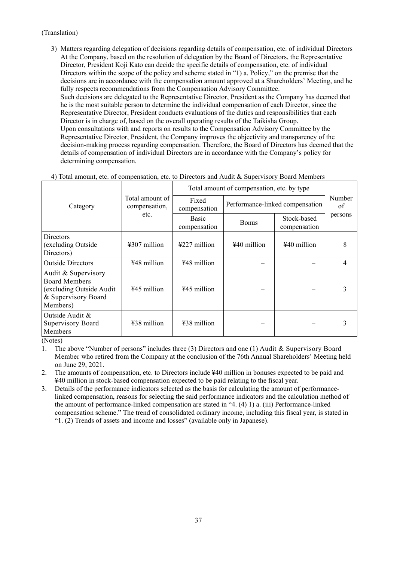3) Matters regarding delegation of decisions regarding details of compensation, etc. of individual Directors At the Company, based on the resolution of delegation by the Board of Directors, the Representative Director, President Koji Kato can decide the specific details of compensation, etc. of individual Directors within the scope of the policy and scheme stated in "1) a. Policy," on the premise that the decisions are in accordance with the compensation amount approved at a Shareholders' Meeting, and he fully respects recommendations from the Compensation Advisory Committee. Such decisions are delegated to the Representative Director, President as the Company has deemed that he is the most suitable person to determine the individual compensation of each Director, since the Representative Director, President conducts evaluations of the duties and responsibilities that each Director is in charge of, based on the overall operating results of the Taikisha Group. Upon consultations with and reports on results to the Compensation Advisory Committee by the Representative Director, President, the Company improves the objectivity and transparency of the decision-making process regarding compensation. Therefore, the Board of Directors has deemed that the details of compensation of individual Directors are in accordance with the Company's policy for determining compensation.

| 4) Total amount, etc. of compensation, etc. to Directors and Audit & Supervisory Board Members |  |  |  |
|------------------------------------------------------------------------------------------------|--|--|--|
|------------------------------------------------------------------------------------------------|--|--|--|

|                                                                                                             |                                  | Total amount of compensation, etc. by type |                                 |                             |              |  |
|-------------------------------------------------------------------------------------------------------------|----------------------------------|--------------------------------------------|---------------------------------|-----------------------------|--------------|--|
| Category                                                                                                    | Total amount of<br>compensation, | Fixed<br>compensation                      | Performance-linked compensation |                             | Number<br>οf |  |
|                                                                                                             | etc.                             | <b>Basic</b><br>compensation               | <b>Bonus</b>                    | Stock-based<br>compensation | persons      |  |
| <b>Directors</b><br>(excluding Outside)<br>Directors)                                                       | $4307$ million                   | $\frac{1227}{2}$ million                   | ¥40 million                     | ¥40 million                 | 8            |  |
| <b>Outside Directors</b>                                                                                    | ¥48 million                      | ¥48 million                                |                                 |                             | 4            |  |
| Audit & Supervisory<br><b>Board Members</b><br>(excluding Outside Audit)<br>& Supervisory Board<br>Members) | ¥45 million                      | ¥45 million                                |                                 |                             | 3            |  |
| Outside Audit &<br><b>Supervisory Board</b><br>Members                                                      | ¥38 million                      | ¥38 million                                |                                 |                             |              |  |

(Notes)

1. The above "Number of persons" includes three (3) Directors and one (1) Audit & Supervisory Board Member who retired from the Company at the conclusion of the 76th Annual Shareholders' Meeting held on June 29, 2021.

2. The amounts of compensation, etc. to Directors include ¥40 million in bonuses expected to be paid and ¥40 million in stock-based compensation expected to be paid relating to the fiscal year.

3. Details of the performance indicators selected as the basis for calculating the amount of performancelinked compensation, reasons for selecting the said performance indicators and the calculation method of the amount of performance-linked compensation are stated in "4. (4) 1) a. (iii) Performance-linked compensation scheme." The trend of consolidated ordinary income, including this fiscal year, is stated in "1. (2) Trends of assets and income and losses" (available only in Japanese).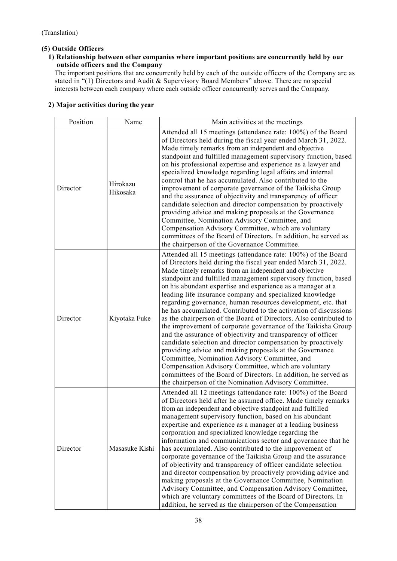# **(5) Outside Officers**

# **1) Relationship between other companies where important positions are concurrently held by our outside officers and the Company**

The important positions that are concurrently held by each of the outside officers of the Company are as stated in "(1) Directors and Audit & Supervisory Board Members" above. There are no special interests between each company where each outside officer concurrently serves and the Company.

# **2) Major activities during the year**

| Position | Name                 | Main activities at the meetings                                                                                                                                                                                                                                                                                                                                                                                                                                                                                                                                                                                                                                                                                                                                                                                                                                                                                                                                                                                                                                                                 |
|----------|----------------------|-------------------------------------------------------------------------------------------------------------------------------------------------------------------------------------------------------------------------------------------------------------------------------------------------------------------------------------------------------------------------------------------------------------------------------------------------------------------------------------------------------------------------------------------------------------------------------------------------------------------------------------------------------------------------------------------------------------------------------------------------------------------------------------------------------------------------------------------------------------------------------------------------------------------------------------------------------------------------------------------------------------------------------------------------------------------------------------------------|
| Director | Hirokazu<br>Hikosaka | Attended all 15 meetings (attendance rate: 100%) of the Board<br>of Directors held during the fiscal year ended March 31, 2022.<br>Made timely remarks from an independent and objective<br>standpoint and fulfilled management supervisory function, based<br>on his professional expertise and experience as a lawyer and<br>specialized knowledge regarding legal affairs and internal<br>control that he has accumulated. Also contributed to the<br>improvement of corporate governance of the Taikisha Group<br>and the assurance of objectivity and transparency of officer<br>candidate selection and director compensation by proactively<br>providing advice and making proposals at the Governance<br>Committee, Nomination Advisory Committee, and<br>Compensation Advisory Committee, which are voluntary<br>committees of the Board of Directors. In addition, he served as<br>the chairperson of the Governance Committee.                                                                                                                                                       |
| Director | Kiyotaka Fuke        | Attended all 15 meetings (attendance rate: 100%) of the Board<br>of Directors held during the fiscal year ended March 31, 2022.<br>Made timely remarks from an independent and objective<br>standpoint and fulfilled management supervisory function, based<br>on his abundant expertise and experience as a manager at a<br>leading life insurance company and specialized knowledge<br>regarding governance, human resources development, etc. that<br>he has accumulated. Contributed to the activation of discussions<br>as the chairperson of the Board of Directors. Also contributed to<br>the improvement of corporate governance of the Taikisha Group<br>and the assurance of objectivity and transparency of officer<br>candidate selection and director compensation by proactively<br>providing advice and making proposals at the Governance<br>Committee, Nomination Advisory Committee, and<br>Compensation Advisory Committee, which are voluntary<br>committees of the Board of Directors. In addition, he served as<br>the chairperson of the Nomination Advisory Committee. |
| Director | Masasuke Kishi       | Attended all 12 meetings (attendance rate: 100%) of the Board<br>of Directors held after he assumed office. Made timely remarks<br>from an independent and objective standpoint and fulfilled<br>management supervisory function, based on his abundant<br>expertise and experience as a manager at a leading business<br>corporation and specialized knowledge regarding the<br>information and communications sector and governance that he<br>has accumulated. Also contributed to the improvement of<br>corporate governance of the Taikisha Group and the assurance<br>of objectivity and transparency of officer candidate selection<br>and director compensation by proactively providing advice and<br>making proposals at the Governance Committee, Nomination<br>Advisory Committee, and Compensation Advisory Committee,<br>which are voluntary committees of the Board of Directors. In<br>addition, he served as the chairperson of the Compensation                                                                                                                               |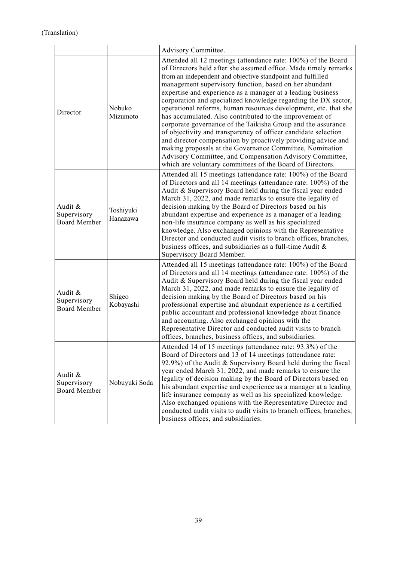|                                               |                       | Advisory Committee.                                                                                                                                                                                                                                                                                                                                                                                                                                                                                                                                                                                                                                                                                                                                                                                                                                                                                             |
|-----------------------------------------------|-----------------------|-----------------------------------------------------------------------------------------------------------------------------------------------------------------------------------------------------------------------------------------------------------------------------------------------------------------------------------------------------------------------------------------------------------------------------------------------------------------------------------------------------------------------------------------------------------------------------------------------------------------------------------------------------------------------------------------------------------------------------------------------------------------------------------------------------------------------------------------------------------------------------------------------------------------|
| Director                                      | Nobuko<br>Mizumoto    | Attended all 12 meetings (attendance rate: 100%) of the Board<br>of Directors held after she assumed office. Made timely remarks<br>from an independent and objective standpoint and fulfilled<br>management supervisory function, based on her abundant<br>expertise and experience as a manager at a leading business<br>corporation and specialized knowledge regarding the DX sector,<br>operational reforms, human resources development, etc. that she<br>has accumulated. Also contributed to the improvement of<br>corporate governance of the Taikisha Group and the assurance<br>of objectivity and transparency of officer candidate selection<br>and director compensation by proactively providing advice and<br>making proposals at the Governance Committee, Nomination<br>Advisory Committee, and Compensation Advisory Committee,<br>which are voluntary committees of the Board of Directors. |
| Audit &<br>Supervisory<br><b>Board Member</b> | Toshiyuki<br>Hanazawa | Attended all 15 meetings (attendance rate: 100%) of the Board<br>of Directors and all 14 meetings (attendance rate: 100%) of the<br>Audit & Supervisory Board held during the fiscal year ended<br>March 31, 2022, and made remarks to ensure the legality of<br>decision making by the Board of Directors based on his<br>abundant expertise and experience as a manager of a leading<br>non-life insurance company as well as his specialized<br>knowledge. Also exchanged opinions with the Representative<br>Director and conducted audit visits to branch offices, branches,<br>business offices, and subsidiaries as a full-time Audit &<br>Supervisory Board Member.                                                                                                                                                                                                                                     |
| Audit &<br>Supervisory<br><b>Board Member</b> | Shigeo<br>Kobayashi   | Attended all 15 meetings (attendance rate: 100%) of the Board<br>of Directors and all 14 meetings (attendance rate: 100%) of the<br>Audit & Supervisory Board held during the fiscal year ended<br>March 31, 2022, and made remarks to ensure the legality of<br>decision making by the Board of Directors based on his<br>professional expertise and abundant experience as a certified<br>public accountant and professional knowledge about finance<br>and accounting. Also exchanged opinions with the<br>Representative Director and conducted audit visits to branch<br>offices, branches, business offices, and subsidiaries.                                                                                                                                                                                                                                                                            |
| Audit &<br>Supervisory<br><b>Board Member</b> | Nobuyuki Soda         | Attended 14 of 15 meetings (attendance rate: 93.3%) of the<br>Board of Directors and 13 of 14 meetings (attendance rate:<br>92.9%) of the Audit & Supervisory Board held during the fiscal<br>year ended March 31, 2022, and made remarks to ensure the<br>legality of decision making by the Board of Directors based on<br>his abundant expertise and experience as a manager at a leading<br>life insurance company as well as his specialized knowledge.<br>Also exchanged opinions with the Representative Director and<br>conducted audit visits to audit visits to branch offices, branches,<br>business offices, and subsidiaries.                                                                                                                                                                                                                                                                      |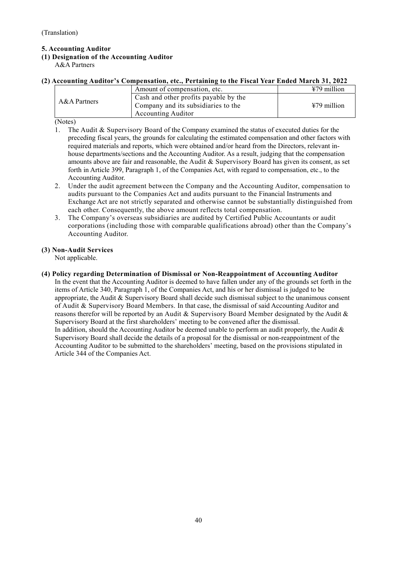# **5. Accounting Auditor**

# **(1) Designation of the Accounting Auditor**

A&A Partners

# **(2) Accounting Auditor's Compensation, etc., Pertaining to the Fiscal Year Ended March 31, 2022**

| A&A Partners | Amount of compensation, etc.          | $479$ million |
|--------------|---------------------------------------|---------------|
|              | Cash and other profits payable by the |               |
|              | Company and its subsidiaries to the   | ¥79 million   |
|              | <b>Accounting Auditor</b>             |               |

(Notes)

- 1. The Audit & Supervisory Board of the Company examined the status of executed duties for the preceding fiscal years, the grounds for calculating the estimated compensation and other factors with required materials and reports, which were obtained and/or heard from the Directors, relevant inhouse departments/sections and the Accounting Auditor. As a result, judging that the compensation amounts above are fair and reasonable, the Audit  $\&$  Supervisory Board has given its consent, as set forth in Article 399, Paragraph 1, of the Companies Act, with regard to compensation, etc., to the Accounting Auditor.
- 2. Under the audit agreement between the Company and the Accounting Auditor, compensation to audits pursuant to the Companies Act and audits pursuant to the Financial Instruments and Exchange Act are not strictly separated and otherwise cannot be substantially distinguished from each other. Consequently, the above amount reflects total compensation.
- 3. The Company's overseas subsidiaries are audited by Certified Public Accountants or audit corporations (including those with comparable qualifications abroad) other than the Company's Accounting Auditor.

# **(3) Non-Audit Services**

Not applicable.

## **(4) Policy regarding Determination of Dismissal or Non-Reappointment of Accounting Auditor**

In the event that the Accounting Auditor is deemed to have fallen under any of the grounds set forth in the items of Article 340, Paragraph 1, of the Companies Act, and his or her dismissal is judged to be appropriate, the Audit & Supervisory Board shall decide such dismissal subject to the unanimous consent of Audit & Supervisory Board Members. In that case, the dismissal of said Accounting Auditor and reasons therefor will be reported by an Audit & Supervisory Board Member designated by the Audit & Supervisory Board at the first shareholders' meeting to be convened after the dismissal. In addition, should the Accounting Auditor be deemed unable to perform an audit properly, the Audit & Supervisory Board shall decide the details of a proposal for the dismissal or non-reappointment of the Accounting Auditor to be submitted to the shareholders' meeting, based on the provisions stipulated in Article 344 of the Companies Act.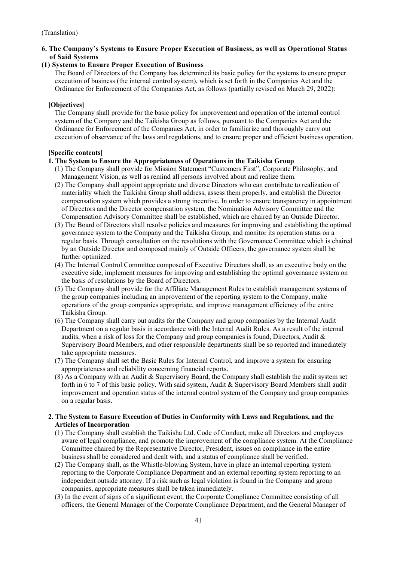# **6. The Company's Systems to Ensure Proper Execution of Business, as well as Operational Status of Said Systems**

## **(1) Systems to Ensure Proper Execution of Business**

The Board of Directors of the Company has determined its basic policy for the systems to ensure proper execution of business (the internal control system), which is set forth in the Companies Act and the Ordinance for Enforcement of the Companies Act, as follows (partially revised on March 29, 2022):

## **[Objectives]**

The Company shall provide for the basic policy for improvement and operation of the internal control system of the Company and the Taikisha Group as follows, pursuant to the Companies Act and the Ordinance for Enforcement of the Companies Act, in order to familiarize and thoroughly carry out execution of observance of the laws and regulations, and to ensure proper and efficient business operation.

# **[Specific contents]**

## **1. The System to Ensure the Appropriateness of Operations in the Taikisha Group**

- (1) The Company shall provide for Mission Statement "Customers First", Corporate Philosophy, and Management Vision, as well as remind all persons involved about and realize them.
- (2) The Company shall appoint appropriate and diverse Directors who can contribute to realization of materiality which the Taikisha Group shall address, assess them properly, and establish the Director compensation system which provides a strong incentive. In order to ensure transparency in appointment of Directors and the Director compensation system, the Nomination Advisory Committee and the Compensation Advisory Committee shall be established, which are chaired by an Outside Director.
- (3) The Board of Directors shall resolve policies and measures for improving and establishing the optimal governance system to the Company and the Taikisha Group, and monitor its operation status on a regular basis. Through consultation on the resolutions with the Governance Committee which is chaired by an Outside Director and composed mainly of Outside Officers, the governance system shall be further optimized.
- (4) The Internal Control Committee composed of Executive Directors shall, as an executive body on the executive side, implement measures for improving and establishing the optimal governance system on the basis of resolutions by the Board of Directors.
- (5) The Company shall provide for the Affiliate Management Rules to establish management systems of the group companies including an improvement of the reporting system to the Company, make operations of the group companies appropriate, and improve management efficiency of the entire Taikisha Group.
- (6) The Company shall carry out audits for the Company and group companies by the Internal Audit Department on a regular basis in accordance with the Internal Audit Rules. As a result of the internal audits, when a risk of loss for the Company and group companies is found, Directors, Audit & Supervisory Board Members, and other responsible departments shall be so reported and immediately take appropriate measures.
- (7) The Company shall set the Basic Rules for Internal Control, and improve a system for ensuring appropriateness and reliability concerning financial reports.
- (8) As a Company with an Audit & Supervisory Board, the Company shall establish the audit system set forth in 6 to 7 of this basic policy. With said system, Audit & Supervisory Board Members shall audit improvement and operation status of the internal control system of the Company and group companies on a regular basis.

## **2. The System to Ensure Execution of Duties in Conformity with Laws and Regulations, and the Articles of Incorporation**

- (1) The Company shall establish the Taikisha Ltd. Code of Conduct, make all Directors and employees aware of legal compliance, and promote the improvement of the compliance system. At the Compliance Committee chaired by the Representative Director, President, issues on compliance in the entire business shall be considered and dealt with, and a status of compliance shall be verified.
- (2) The Company shall, as the Whistle-blowing System, have in place an internal reporting system reporting to the Corporate Compliance Department and an external reporting system reporting to an independent outside attorney. If a risk such as legal violation is found in the Company and group companies, appropriate measures shall be taken immediately.
- (3) In the event of signs of a significant event, the Corporate Compliance Committee consisting of all officers, the General Manager of the Corporate Compliance Department, and the General Manager of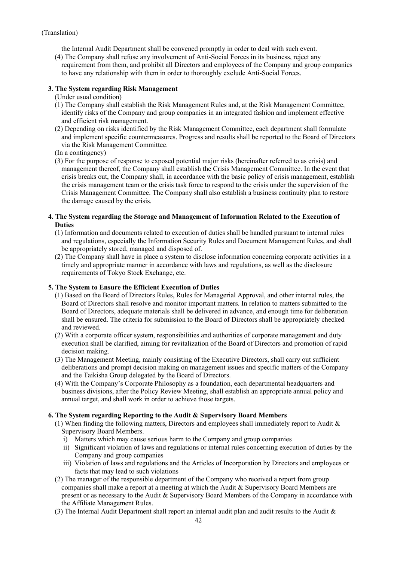the Internal Audit Department shall be convened promptly in order to deal with such event.

(4) The Company shall refuse any involvement of Anti-Social Forces in its business, reject any requirement from them, and prohibit all Directors and employees of the Company and group companies to have any relationship with them in order to thoroughly exclude Anti-Social Forces.

## **3. The System regarding Risk Management**

(Under usual condition)

- (1) The Company shall establish the Risk Management Rules and, at the Risk Management Committee, identify risks of the Company and group companies in an integrated fashion and implement effective and efficient risk management.
- (2) Depending on risks identified by the Risk Management Committee, each department shall formulate and implement specific countermeasures. Progress and results shall be reported to the Board of Directors via the Risk Management Committee.
- (In a contingency)
- (3) For the purpose of response to exposed potential major risks (hereinafter referred to as crisis) and management thereof, the Company shall establish the Crisis Management Committee. In the event that crisis breaks out, the Company shall, in accordance with the basic policy of crisis management, establish the crisis management team or the crisis task force to respond to the crisis under the supervision of the Crisis Management Committee. The Company shall also establish a business continuity plan to restore the damage caused by the crisis.

## **4. The System regarding the Storage and Management of Information Related to the Execution of Duties**

- (1) Information and documents related to execution of duties shall be handled pursuant to internal rules and regulations, especially the Information Security Rules and Document Management Rules, and shall be appropriately stored, managed and disposed of.
- (2) The Company shall have in place a system to disclose information concerning corporate activities in a timely and appropriate manner in accordance with laws and regulations, as well as the disclosure requirements of Tokyo Stock Exchange, etc.

# **5. The System to Ensure the Efficient Execution of Duties**

- (1) Based on the Board of Directors Rules, Rules for Managerial Approval, and other internal rules, the Board of Directors shall resolve and monitor important matters. In relation to matters submitted to the Board of Directors, adequate materials shall be delivered in advance, and enough time for deliberation shall be ensured. The criteria for submission to the Board of Directors shall be appropriately checked and reviewed.
- (2) With a corporate officer system, responsibilities and authorities of corporate management and duty execution shall be clarified, aiming for revitalization of the Board of Directors and promotion of rapid decision making.
- (3) The Management Meeting, mainly consisting of the Executive Directors, shall carry out sufficient deliberations and prompt decision making on management issues and specific matters of the Company and the Taikisha Group delegated by the Board of Directors.
- (4) With the Company's Corporate Philosophy as a foundation, each departmental headquarters and business divisions, after the Policy Review Meeting, shall establish an appropriate annual policy and annual target, and shall work in order to achieve those targets.

# **6. The System regarding Reporting to the Audit & Supervisory Board Members**

- (1) When finding the following matters, Directors and employees shall immediately report to Audit & Supervisory Board Members.
	- i) Matters which may cause serious harm to the Company and group companies
	- ii) Significant violation of laws and regulations or internal rules concerning execution of duties by the Company and group companies
	- iii) Violation of laws and regulations and the Articles of Incorporation by Directors and employees or facts that may lead to such violations
- (2) The manager of the responsible department of the Company who received a report from group companies shall make a report at a meeting at which the Audit & Supervisory Board Members are present or as necessary to the Audit & Supervisory Board Members of the Company in accordance with the Affiliate Management Rules.
- (3) The Internal Audit Department shall report an internal audit plan and audit results to the Audit &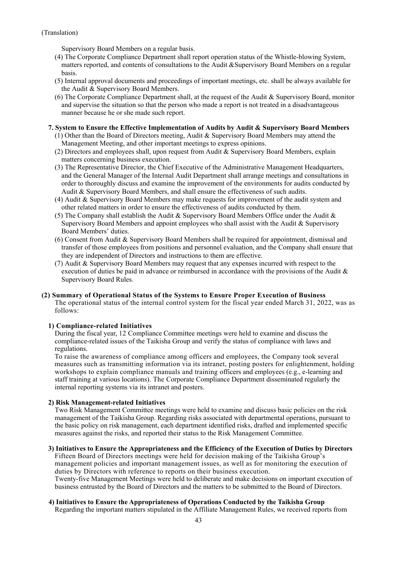Supervisory Board Members on a regular basis.

- (4) The Corporate Compliance Department shall report operation status of the Whistle-blowing System, matters reported, and contents of consultations to the Audit &Supervisory Board Members on a regular basis.
- (5) Internal approval documents and proceedings of important meetings, etc. shall be always available for the Audit & Supervisory Board Members.
- (6) The Corporate Compliance Department shall, at the request of the Audit & Supervisory Board, monitor and supervise the situation so that the person who made a report is not treated in a disadvantageous manner because he or she made such report.
- **7. System to Ensure the Effective Implementation of Audits by Audit & Supervisory Board Members** 
	- (1) Other than the Board of Directors meeting, Audit & Supervisory Board Members may attend the Management Meeting, and other important meetings to express opinions.
	- (2) Directors and employees shall, upon request from Audit & Supervisory Board Members, explain matters concerning business execution.
	- (3) The Representative Director, the Chief Executive of the Administrative Management Headquarters, and the General Manager of the Internal Audit Department shall arrange meetings and consultations in order to thoroughly discuss and examine the improvement of the environments for audits conducted by Audit & Supervisory Board Members, and shall ensure the effectiveness of such audits.
	- (4) Audit & Supervisory Board Members may make requests for improvement of the audit system and other related matters in order to ensure the effectiveness of audits conducted by them.
	- (5) The Company shall establish the Audit & Supervisory Board Members Office under the Audit & Supervisory Board Members and appoint employees who shall assist with the Audit & Supervisory Board Members' duties.
	- (6) Consent from Audit & Supervisory Board Members shall be required for appointment, dismissal and transfer of those employees from positions and personnel evaluation, and the Company shall ensure that they are independent of Directors and instructions to them are effective.
	- (7) Audit & Supervisory Board Members may request that any expenses incurred with respect to the execution of duties be paid in advance or reimbursed in accordance with the provisions of the Audit & Supervisory Board Rules.

# **(2) Summary of Operational Status of the Systems to Ensure Proper Execution of Business**

The operational status of the internal control system for the fiscal year ended March 31, 2022, was as follows:

# **1) Compliance-related Initiatives**

During the fiscal year, 12 Compliance Committee meetings were held to examine and discuss the compliance-related issues of the Taikisha Group and verify the status of compliance with laws and regulations.

To raise the awareness of compliance among officers and employees, the Company took several measures such as transmitting information via its intranet, posting posters for enlightenment, holding workshops to explain compliance manuals and training officers and employees (e.g., e-learning and staff training at various locations). The Corporate Compliance Department disseminated regularly the internal reporting systems via its intranet and posters.

# **2) Risk Management-related Initiatives**

Two Risk Management Committee meetings were held to examine and discuss basic policies on the risk management of the Taikisha Group. Regarding risks associated with departmental operations, pursuant to the basic policy on risk management, each department identified risks, drafted and implemented specific measures against the risks, and reported their status to the Risk Management Committee.

#### **3) Initiatives to Ensure the Appropriateness and the Efficiency of the Execution of Duties by Directors**

Fifteen Board of Directors meetings were held for decision making of the Taikisha Group's management policies and important management issues, as well as for monitoring the execution of duties by Directors with reference to reports on their business execution.

Twenty-five Management Meetings were held to deliberate and make decisions on important execution of business entrusted by the Board of Directors and the matters to be submitted to the Board of Directors.

#### **4) Initiatives to Ensure the Appropriateness of Operations Conducted by the Taikisha Group**

Regarding the important matters stipulated in the Affiliate Management Rules, we received reports from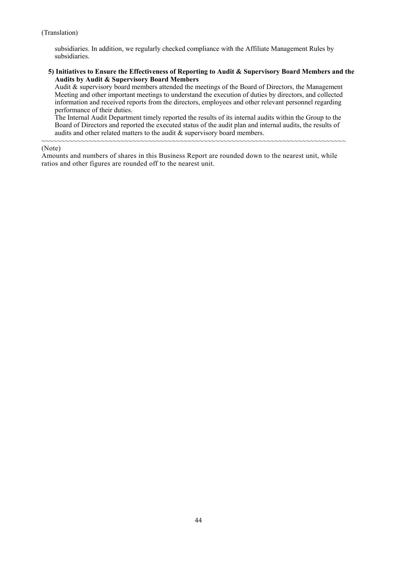subsidiaries. In addition, we regularly checked compliance with the Affiliate Management Rules by subsidiaries.

#### **5) Initiatives to Ensure the Effectiveness of Reporting to Audit & Supervisory Board Members and the Audits by Audit & Supervisory Board Members**

Audit & supervisory board members attended the meetings of the Board of Directors, the Management Meeting and other important meetings to understand the execution of duties by directors, and collected information and received reports from the directors, employees and other relevant personnel regarding performance of their duties.

The Internal Audit Department timely reported the results of its internal audits within the Group to the Board of Directors and reported the executed status of the audit plan and internal audits, the results of audits and other related matters to the audit & supervisory board members.

#### ~~~~~~~~~~~~~~~~~~~~~~~~~~~~~~~~~~~~~~~~~~~~~~~~~~~~~~~~~~~~~~~~~~~~~~~~~~~~~ (Note)

Amounts and numbers of shares in this Business Report are rounded down to the nearest unit, while ratios and other figures are rounded off to the nearest unit.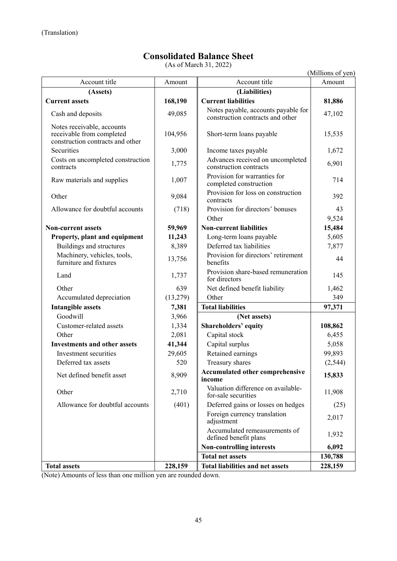# **Consolidated Balance Sheet**

(As of March 31, 2022)

|                                                                                             |                                  | $(AB \, VI \, Mau \, VII \, J1, 2022)$                                  | (Millions of yen) |
|---------------------------------------------------------------------------------------------|----------------------------------|-------------------------------------------------------------------------|-------------------|
| Account title                                                                               | Amount                           | Account title                                                           | Amount            |
| (Assets)                                                                                    |                                  | (Liabilities)                                                           |                   |
| <b>Current assets</b>                                                                       | 168,190                          | <b>Current liabilities</b>                                              | 81,886            |
| Cash and deposits                                                                           | 49,085                           | Notes payable, accounts payable for<br>construction contracts and other | 47,102            |
| Notes receivable, accounts<br>receivable from completed<br>construction contracts and other | 104,956                          | Short-term loans payable                                                | 15,535            |
| Securities                                                                                  | 3,000                            | Income taxes payable                                                    | 1,672             |
| Costs on uncompleted construction<br>contracts                                              | 1,775                            | Advances received on uncompleted<br>construction contracts              | 6,901             |
| Raw materials and supplies                                                                  | 1,007                            | Provision for warranties for<br>completed construction                  | 714               |
| Other                                                                                       | 9,084                            | Provision for loss on construction<br>contracts                         | 392               |
| Allowance for doubtful accounts                                                             | (718)                            | Provision for directors' bonuses                                        | 43                |
|                                                                                             |                                  | Other                                                                   | 9,524             |
| <b>Non-current assets</b>                                                                   | 59,969                           | <b>Non-current liabilities</b>                                          | 15,484            |
| Property, plant and equipment                                                               | 11,243                           | Long-term loans payable                                                 | 5,605             |
| Buildings and structures                                                                    | 8,389                            | Deferred tax liabilities                                                | 7,877             |
| Machinery, vehicles, tools,<br>furniture and fixtures                                       | 13,756                           | Provision for directors' retirement<br>benefits                         | 44                |
| Land                                                                                        | 1,737                            | Provision share-based remuneration<br>for directors                     | 145               |
| Other                                                                                       | 639                              | Net defined benefit liability                                           | 1,462             |
| Accumulated depreciation                                                                    | (13,279)                         | Other                                                                   | 349               |
| <b>Intangible assets</b>                                                                    | 7,381                            | <b>Total liabilities</b>                                                | 97,371            |
| Goodwill                                                                                    | 3,966                            | (Net assets)                                                            |                   |
| Customer-related assets                                                                     | 1,334                            | <b>Shareholders' equity</b>                                             | 108,862           |
| Other                                                                                       | 2,081                            | Capital stock                                                           | 6,455             |
| <b>Investments and other assets</b>                                                         | 41,344                           | Capital surplus                                                         | 5,058             |
| Investment securities                                                                       | 29,605                           | Retained earnings                                                       | 99,893            |
| Deferred tax assets                                                                         | 520                              | Treasury shares                                                         | (2, 544)          |
| Net defined benefit asset                                                                   | 8,909                            | Accumulated other comprehensive<br>income                               | 15,833            |
| Other                                                                                       | 2,710                            | Valuation difference on available-<br>for-sale securities               | 11,908            |
| Allowance for doubtful accounts                                                             | (401)                            | Deferred gains or losses on hedges                                      | (25)              |
|                                                                                             |                                  | Foreign currency translation<br>adjustment                              | 2,017             |
|                                                                                             |                                  | Accumulated remeasurements of<br>defined benefit plans                  | 1,932             |
|                                                                                             | <b>Non-controlling interests</b> |                                                                         | 6,092             |
|                                                                                             |                                  | <b>Total net assets</b>                                                 | 130,788           |
| <b>Total assets</b>                                                                         | 228,159                          | <b>Total liabilities and net assets</b>                                 | 228,159           |

(Note) Amounts of less than one million yen are rounded down.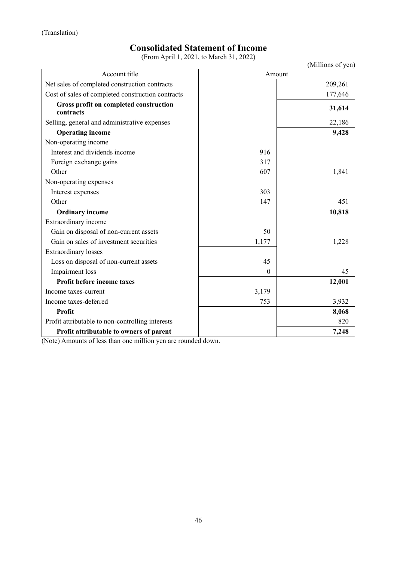# **Consolidated Statement of Income**

(From April 1, 2021, to March 31, 2022)

|                                                     | $(110 \text{m} \Omega)$ | (Millions of yen) |
|-----------------------------------------------------|-------------------------|-------------------|
| Account title                                       |                         | Amount            |
| Net sales of completed construction contracts       |                         | 209,261           |
| Cost of sales of completed construction contracts   |                         | 177,646           |
| Gross profit on completed construction<br>contracts |                         | 31,614            |
| Selling, general and administrative expenses        |                         | 22,186            |
| <b>Operating income</b>                             |                         | 9,428             |
| Non-operating income                                |                         |                   |
| Interest and dividends income                       | 916                     |                   |
| Foreign exchange gains                              | 317                     |                   |
| Other                                               | 607                     | 1,841             |
| Non-operating expenses                              |                         |                   |
| Interest expenses                                   | 303                     |                   |
| Other                                               | 147                     | 451               |
| <b>Ordinary income</b>                              |                         | 10,818            |
| Extraordinary income                                |                         |                   |
| Gain on disposal of non-current assets              | 50                      |                   |
| Gain on sales of investment securities              | 1,177                   | 1,228             |
| <b>Extraordinary losses</b>                         |                         |                   |
| Loss on disposal of non-current assets              | 45                      |                   |
| Impairment loss                                     | $\boldsymbol{0}$        | 45                |
| Profit before income taxes                          |                         | 12,001            |
| Income taxes-current                                | 3,179                   |                   |
| Income taxes-deferred                               | 753                     | 3,932             |
| <b>Profit</b>                                       |                         | 8,068             |
| Profit attributable to non-controlling interests    |                         | 820               |
| Profit attributable to owners of parent             |                         | 7,248             |

(Note) Amounts of less than one million yen are rounded down.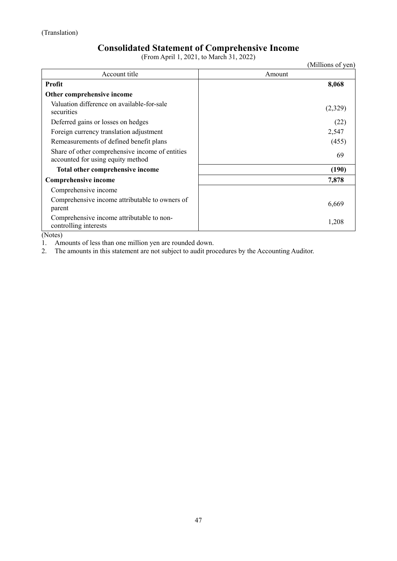# **Consolidated Statement of Comprehensive Income**

(From April 1, 2021, to March 31, 2022)

|                                                                                      | (Millions of yen) |
|--------------------------------------------------------------------------------------|-------------------|
| Account title                                                                        | Amount            |
| <b>Profit</b>                                                                        | 8,068             |
| Other comprehensive income                                                           |                   |
| Valuation difference on available-for-sale<br>securities                             | (2,329)           |
| Deferred gains or losses on hedges                                                   | (22)              |
| Foreign currency translation adjustment                                              | 2,547             |
| Remeasurements of defined benefit plans                                              | (455)             |
| Share of other comprehensive income of entities<br>accounted for using equity method | 69                |
| Total other comprehensive income                                                     | (190)             |
| Comprehensive income                                                                 | 7,878             |
| Comprehensive income                                                                 |                   |
| Comprehensive income attributable to owners of<br>parent                             | 6,669             |
| Comprehensive income attributable to non-<br>controlling interests                   | 1,208             |

(Notes)

1. Amounts of less than one million yen are rounded down.

2. The amounts in this statement are not subject to audit procedures by the Accounting Auditor.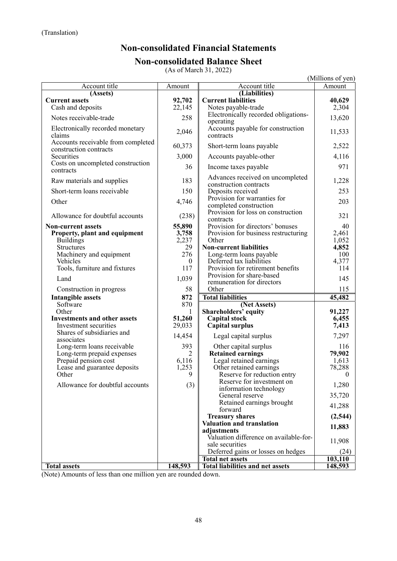# **Non-consolidated Financial Statements Non-consolidated Balance Sheet**

(As of March 31, 2022)

|                                                              |              |                                                             | (Millions of yen)      |
|--------------------------------------------------------------|--------------|-------------------------------------------------------------|------------------------|
| Account title                                                | Amount       | Account title                                               | Amount                 |
| (A <sub>ssets</sub> )                                        |              | (Liabilities)                                               |                        |
| <b>Current assets</b>                                        | 92,702       | <b>Current liabilities</b>                                  | 40,629                 |
| Cash and deposits                                            | 22,145       | Notes payable-trade<br>Electronically recorded obligations- | 2,304                  |
| Notes receivable-trade                                       | 258          | operating                                                   | 13,620                 |
| Electronically recorded monetary<br>claims                   | 2,046        | Accounts payable for construction<br>contracts              | 11,533                 |
| Accounts receivable from completed<br>construction contracts | 60,373       | Short-term loans payable                                    | 2,522                  |
| Securities                                                   | 3,000        | Accounts payable-other                                      | 4,116                  |
| Costs on uncompleted construction<br>contracts               | 36           | Income taxes payable                                        | 971                    |
| Raw materials and supplies                                   | 183          | Advances received on uncompleted<br>construction contracts  | 1,228                  |
| Short-term loans receivable                                  | 150          | Deposits received                                           | 253                    |
| Other                                                        | 4,746        | Provision for warranties for<br>completed construction      | 203                    |
| Allowance for doubtful accounts                              | (238)        | Provision for loss on construction<br>contracts             | 321                    |
| <b>Non-current assets</b>                                    | 55,890       | Provision for directors' bonuses                            | 40                     |
| Property, plant and equipment                                | 3,758        | Provision for business restructuring                        | 2,461                  |
| <b>Buildings</b>                                             | 2,237        | Other                                                       | 1,052                  |
| <b>Structures</b><br>Machinery and equipment                 | 29<br>276    | <b>Non-current liabilities</b>                              | 4,852<br>100           |
| Vehicles                                                     | $\mathbf{0}$ | Long-term loans payable<br>Deferred tax liabilities         | 4,377                  |
| Tools, furniture and fixtures                                | 117          | Provision for retirement benefits                           | 114                    |
| Land                                                         | 1,039        | Provision for share-based                                   | 145                    |
| Construction in progress                                     | 58           | remuneration for directors<br>Other                         | 115                    |
| <b>Intangible assets</b>                                     | 872          | <b>Total liabilities</b>                                    | 45,482                 |
| Software                                                     | 870          | (Net Assets)                                                |                        |
| Other                                                        | 1            | <b>Shareholders' equity</b>                                 | 91,227                 |
| <b>Investments and other assets</b>                          | 51,260       | <b>Capital stock</b>                                        | 6,455                  |
| Investment securities                                        | 29,033       | <b>Capital surplus</b>                                      | 7,413                  |
| Shares of subsidiaries and<br>associates                     | 14,454       | Legal capital surplus                                       | 7,297                  |
| Long-term loans receivable                                   | 393          | Other capital surplus                                       | 116                    |
| Long-term prepaid expenses                                   | 2            | <b>Retained earnings</b>                                    | 79,902                 |
| Prepaid pension cost                                         | 6,116        | Legal retained earnings                                     | 1,613                  |
| Lease and guarantee deposits<br>Other                        | 1,253<br>9   | Other retained earnings<br>Reserve for reduction entry      | 78,288<br>$\mathbf{0}$ |
|                                                              |              | Reserve for investment on                                   |                        |
| Allowance for doubtful accounts                              | (3)          | information technology                                      | 1,280                  |
|                                                              |              | General reserve<br>Retained earnings brought                | 35,720                 |
|                                                              |              | forward                                                     | 41,288                 |
|                                                              |              | <b>Treasury shares</b>                                      | (2,544)                |
|                                                              |              | Valuation and translation<br>adjustments                    | 11,883                 |
|                                                              |              | Valuation difference on available-for-<br>sale securities   | 11,908                 |
|                                                              |              | Deferred gains or losses on hedges                          | (24)                   |
|                                                              |              | <b>Total net assets</b>                                     | 103,110                |
| <b>Total assets</b>                                          | 148,593      | <b>Total liabilities and net assets</b>                     | 148,593                |

(Note) Amounts of less than one million yen are rounded down.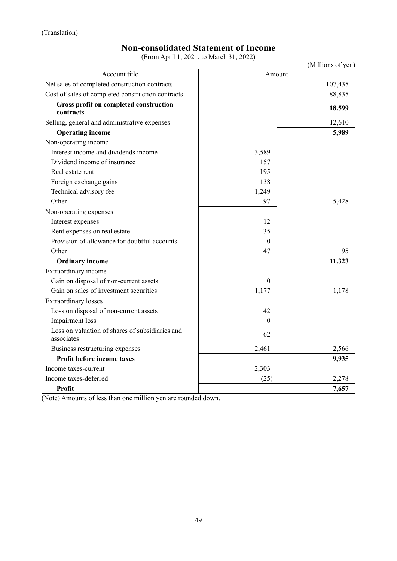# **Non-consolidated Statement of Income**

(From April 1, 2021, to March 31, 2022)

|                                                               |          | (Millions of yen) |
|---------------------------------------------------------------|----------|-------------------|
| Account title                                                 |          | Amount            |
| Net sales of completed construction contracts                 |          | 107,435           |
| Cost of sales of completed construction contracts             |          | 88,835            |
| Gross profit on completed construction<br>contracts           |          | 18,599            |
| Selling, general and administrative expenses                  |          | 12,610            |
| <b>Operating income</b>                                       |          | 5,989             |
| Non-operating income                                          |          |                   |
| Interest income and dividends income                          | 3,589    |                   |
| Dividend income of insurance                                  | 157      |                   |
| Real estate rent                                              | 195      |                   |
| Foreign exchange gains                                        | 138      |                   |
| Technical advisory fee                                        | 1,249    |                   |
| Other                                                         | 97       | 5,428             |
| Non-operating expenses                                        |          |                   |
| Interest expenses                                             | 12       |                   |
| Rent expenses on real estate                                  | 35       |                   |
| Provision of allowance for doubtful accounts                  | $\theta$ |                   |
| Other                                                         | 47       | 95                |
| <b>Ordinary income</b>                                        |          | 11,323            |
| Extraordinary income                                          |          |                   |
| Gain on disposal of non-current assets                        | $\theta$ |                   |
| Gain on sales of investment securities                        | 1,177    | 1,178             |
| <b>Extraordinary losses</b>                                   |          |                   |
| Loss on disposal of non-current assets                        | 42       |                   |
| Impairment loss                                               | $\Omega$ |                   |
| Loss on valuation of shares of subsidiaries and<br>associates | 62       |                   |
| Business restructuring expenses                               | 2,461    | 2,566             |
| Profit before income taxes                                    |          | 9,935             |
| Income taxes-current                                          | 2,303    |                   |
| Income taxes-deferred                                         | (25)     | 2,278             |
| Profit                                                        |          | 7,657             |

(Note) Amounts of less than one million yen are rounded down.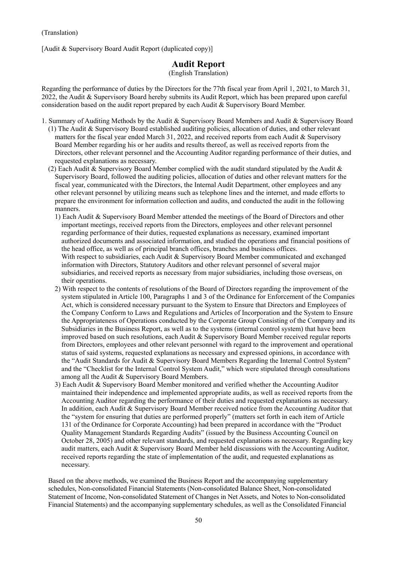[Audit & Supervisory Board Audit Report (duplicated copy)]

# **Audit Report**

(English Translation)

Regarding the performance of duties by the Directors for the 77th fiscal year from April 1, 2021, to March 31, 2022, the Audit & Supervisory Board hereby submits its Audit Report, which has been prepared upon careful consideration based on the audit report prepared by each Audit & Supervisory Board Member.

- 1. Summary of Auditing Methods by the Audit & Supervisory Board Members and Audit & Supervisory Board (1) The Audit & Supervisory Board established auditing policies, allocation of duties, and other relevant matters for the fiscal year ended March 31, 2022, and received reports from each Audit & Supervisory Board Member regarding his or her audits and results thereof, as well as received reports from the Directors, other relevant personnel and the Accounting Auditor regarding performance of their duties, and requested explanations as necessary.
	- (2) Each Audit & Supervisory Board Member complied with the audit standard stipulated by the Audit & Supervisory Board, followed the auditing policies, allocation of duties and other relevant matters for the fiscal year, communicated with the Directors, the Internal Audit Department, other employees and any other relevant personnel by utilizing means such as telephone lines and the internet, and made efforts to prepare the environment for information collection and audits, and conducted the audit in the following manners.
		- 1) Each Audit & Supervisory Board Member attended the meetings of the Board of Directors and other important meetings, received reports from the Directors, employees and other relevant personnel regarding performance of their duties, requested explanations as necessary, examined important authorized documents and associated information, and studied the operations and financial positions of the head office, as well as of principal branch offices, branches and business offices. With respect to subsidiaries, each Audit & Supervisory Board Member communicated and exchanged information with Directors, Statutory Auditors and other relevant personnel of several major subsidiaries, and received reports as necessary from major subsidiaries, including those overseas, on their operations.
		- 2) With respect to the contents of resolutions of the Board of Directors regarding the improvement of the system stipulated in Article 100, Paragraphs 1 and 3 of the Ordinance for Enforcement of the Companies Act, which is considered necessary pursuant to the System to Ensure that Directors and Employees of the Company Conform to Laws and Regulations and Articles of Incorporation and the System to Ensure the Appropriateness of Operations conducted by the Corporate Group Consisting of the Company and its Subsidiaries in the Business Report, as well as to the systems (internal control system) that have been improved based on such resolutions, each Audit & Supervisory Board Member received regular reports from Directors, employees and other relevant personnel with regard to the improvement and operational status of said systems, requested explanations as necessary and expressed opinions, in accordance with the "Audit Standards for Audit & Supervisory Board Members Regarding the Internal Control System" and the "Checklist for the Internal Control System Audit," which were stipulated through consultations among all the Audit & Supervisory Board Members.
		- 3) Each Audit & Supervisory Board Member monitored and verified whether the Accounting Auditor maintained their independence and implemented appropriate audits, as well as received reports from the Accounting Auditor regarding the performance of their duties and requested explanations as necessary. In addition, each Audit & Supervisory Board Member received notice from the Accounting Auditor that the "system for ensuring that duties are performed properly" (matters set forth in each item of Article 131 of the Ordinance for Corporate Accounting) had been prepared in accordance with the "Product Quality Management Standards Regarding Audits" (issued by the Business Accounting Council on October 28, 2005) and other relevant standards, and requested explanations as necessary. Regarding key audit matters, each Audit & Supervisory Board Member held discussions with the Accounting Auditor, received reports regarding the state of implementation of the audit, and requested explanations as necessary.

Based on the above methods, we examined the Business Report and the accompanying supplementary schedules, Non-consolidated Financial Statements (Non-consolidated Balance Sheet, Non-consolidated Statement of Income, Non-consolidated Statement of Changes in Net Assets, and Notes to Non-consolidated Financial Statements) and the accompanying supplementary schedules, as well as the Consolidated Financial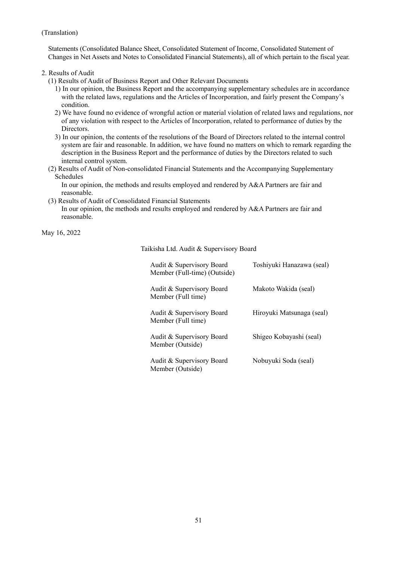Statements (Consolidated Balance Sheet, Consolidated Statement of Income, Consolidated Statement of Changes in Net Assets and Notes to Consolidated Financial Statements), all of which pertain to the fiscal year.

#### 2. Results of Audit

- (1) Results of Audit of Business Report and Other Relevant Documents
	- 1) In our opinion, the Business Report and the accompanying supplementary schedules are in accordance with the related laws, regulations and the Articles of Incorporation, and fairly present the Company's condition.
	- 2) We have found no evidence of wrongful action or material violation of related laws and regulations, nor of any violation with respect to the Articles of Incorporation, related to performance of duties by the Directors.
	- 3) In our opinion, the contents of the resolutions of the Board of Directors related to the internal control system are fair and reasonable. In addition, we have found no matters on which to remark regarding the description in the Business Report and the performance of duties by the Directors related to such internal control system.
- (2) Results of Audit of Non-consolidated Financial Statements and the Accompanying Supplementary Schedules

In our opinion, the methods and results employed and rendered by A&A Partners are fair and reasonable.

(3) Results of Audit of Consolidated Financial Statements

In our opinion, the methods and results employed and rendered by A&A Partners are fair and reasonable.

May 16, 2022

Taikisha Ltd. Audit & Supervisory Board

| Audit & Supervisory Board<br>Member (Full-time) (Outside) | Toshiyuki Hanazawa (seal) |
|-----------------------------------------------------------|---------------------------|
| Audit & Supervisory Board<br>Member (Full time)           | Makoto Wakida (seal)      |
| Audit & Supervisory Board<br>Member (Full time)           | Hiroyuki Matsunaga (seal) |
| Audit & Supervisory Board<br>Member (Outside)             | Shigeo Kobayashi (seal)   |
| Audit & Supervisory Board<br>Member (Outside)             | Nobuyuki Soda (seal)      |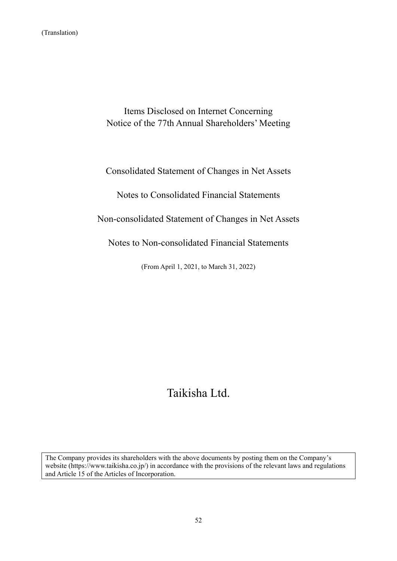Items Disclosed on Internet Concerning Notice of the 77th Annual Shareholders' Meeting

Consolidated Statement of Changes in Net Assets

Notes to Consolidated Financial Statements

Non-consolidated Statement of Changes in Net Assets

Notes to Non-consolidated Financial Statements

(From April 1, 2021, to March 31, 2022)

# Taikisha Ltd.

The Company provides its shareholders with the above documents by posting them on the Company's website (https://www.taikisha.co.jp/) in accordance with the provisions of the relevant laws and regulations and Article 15 of the Articles of Incorporation.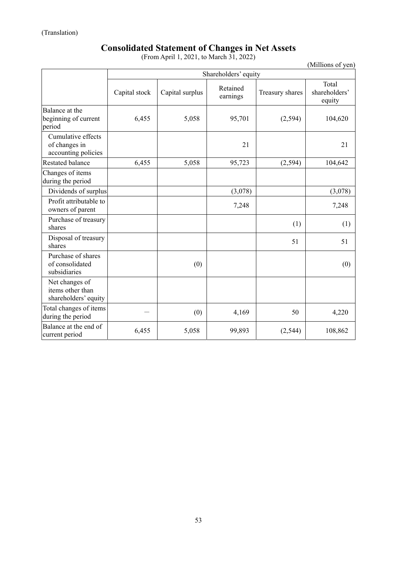# **Consolidated Statement of Changes in Net Assets**

(From April 1, 2021, to March 31, 2022)

(Millions of yen)

|                                                            | Shareholders' equity |                 |                      |                 |                                  |
|------------------------------------------------------------|----------------------|-----------------|----------------------|-----------------|----------------------------------|
|                                                            | Capital stock        | Capital surplus | Retained<br>earnings | Treasury shares | Total<br>shareholders'<br>equity |
| Balance at the<br>beginning of current<br>period           | 6,455                | 5,058           | 95,701               | (2,594)         | 104,620                          |
| Cumulative effects<br>of changes in<br>accounting policies |                      |                 | 21                   |                 | 21                               |
| <b>Restated balance</b>                                    | 6,455                | 5,058           | 95,723               | (2, 594)        | 104,642                          |
| Changes of items<br>during the period                      |                      |                 |                      |                 |                                  |
| Dividends of surplus                                       |                      |                 | (3,078)              |                 | (3,078)                          |
| Profit attributable to<br>owners of parent                 |                      |                 | 7,248                |                 | 7,248                            |
| Purchase of treasury<br>shares                             |                      |                 |                      | (1)             | (1)                              |
| Disposal of treasury<br>shares                             |                      |                 |                      | 51              | 51                               |
| Purchase of shares<br>of consolidated<br>subsidiaries      |                      | (0)             |                      |                 | (0)                              |
| Net changes of<br>items other than<br>shareholders' equity |                      |                 |                      |                 |                                  |
| Total changes of items<br>during the period                |                      | (0)             | 4,169                | 50              | 4,220                            |
| Balance at the end of<br>current period                    | 6,455                | 5,058           | 99,893               | (2,544)         | 108,862                          |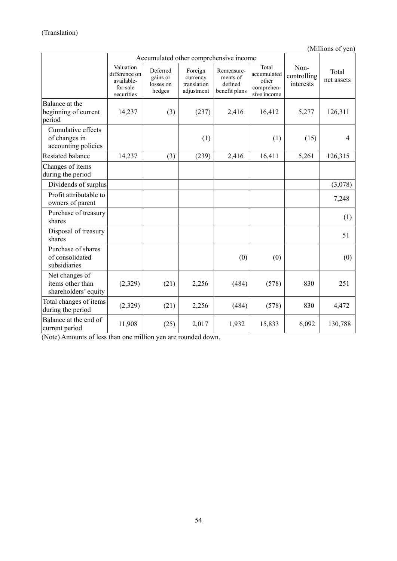(Millions of yen)

|                                                            |                                                                    | Accumulated other comprehensive income      |                                                  |                                                    |                                                            |                                  |                     |
|------------------------------------------------------------|--------------------------------------------------------------------|---------------------------------------------|--------------------------------------------------|----------------------------------------------------|------------------------------------------------------------|----------------------------------|---------------------|
|                                                            | Valuation<br>difference on<br>available-<br>for-sale<br>securities | Deferred<br>gains or<br>losses on<br>hedges | Foreign<br>currency<br>translation<br>adjustment | Remeasure-<br>ments of<br>defined<br>benefit plans | Total<br>accumulated<br>other<br>comprehen-<br>sive income | Non-<br>controlling<br>interests | Total<br>net assets |
| Balance at the<br>beginning of current<br>period           | 14,237                                                             | (3)                                         | (237)                                            | 2,416                                              | 16,412                                                     | 5,277                            | 126,311             |
| Cumulative effects<br>of changes in<br>accounting policies |                                                                    |                                             | (1)                                              |                                                    | (1)                                                        | (15)                             | 4                   |
| <b>Restated balance</b>                                    | 14,237                                                             | (3)                                         | (239)                                            | 2,416                                              | 16,411                                                     | 5,261                            | 126,315             |
| Changes of items<br>during the period                      |                                                                    |                                             |                                                  |                                                    |                                                            |                                  |                     |
| Dividends of surplus                                       |                                                                    |                                             |                                                  |                                                    |                                                            |                                  | (3,078)             |
| Profit attributable to<br>owners of parent                 |                                                                    |                                             |                                                  |                                                    |                                                            |                                  | 7,248               |
| Purchase of treasury<br>shares                             |                                                                    |                                             |                                                  |                                                    |                                                            |                                  | (1)                 |
| Disposal of treasury<br>shares                             |                                                                    |                                             |                                                  |                                                    |                                                            |                                  | 51                  |
| Purchase of shares<br>of consolidated<br>subsidiaries      |                                                                    |                                             |                                                  | (0)                                                | (0)                                                        |                                  | (0)                 |
| Net changes of<br>items other than<br>shareholders' equity | (2,329)                                                            | (21)                                        | 2,256                                            | (484)                                              | (578)                                                      | 830                              | 251                 |
| Total changes of items<br>during the period                | (2,329)                                                            | (21)                                        | 2,256                                            | (484)                                              | (578)                                                      | 830                              | 4,472               |
| Balance at the end of<br>current period                    | 11,908                                                             | (25)                                        | 2,017                                            | 1,932                                              | 15,833                                                     | 6,092                            | 130,788             |

(Note) Amounts of less than one million yen are rounded down.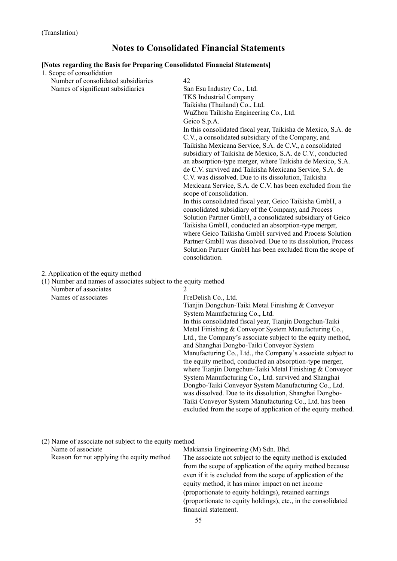# **Notes to Consolidated Financial Statements**

#### **[Notes regarding the Basis for Preparing Consolidated Financial Statements]**

| [Notes regarding the Basis for Preparing Consolidated Financial Statements] |                                                                                                                                                                                                                                                                                                                                                                                                                                                                                                                                                                                                                                                                                                                                                                                                                                                                                                                                                                      |  |  |  |
|-----------------------------------------------------------------------------|----------------------------------------------------------------------------------------------------------------------------------------------------------------------------------------------------------------------------------------------------------------------------------------------------------------------------------------------------------------------------------------------------------------------------------------------------------------------------------------------------------------------------------------------------------------------------------------------------------------------------------------------------------------------------------------------------------------------------------------------------------------------------------------------------------------------------------------------------------------------------------------------------------------------------------------------------------------------|--|--|--|
| 1. Scope of consolidation                                                   |                                                                                                                                                                                                                                                                                                                                                                                                                                                                                                                                                                                                                                                                                                                                                                                                                                                                                                                                                                      |  |  |  |
| Number of consolidated subsidiaries                                         | 42                                                                                                                                                                                                                                                                                                                                                                                                                                                                                                                                                                                                                                                                                                                                                                                                                                                                                                                                                                   |  |  |  |
| Names of significant subsidiaries                                           | San Esu Industry Co., Ltd.                                                                                                                                                                                                                                                                                                                                                                                                                                                                                                                                                                                                                                                                                                                                                                                                                                                                                                                                           |  |  |  |
|                                                                             | <b>TKS</b> Industrial Company                                                                                                                                                                                                                                                                                                                                                                                                                                                                                                                                                                                                                                                                                                                                                                                                                                                                                                                                        |  |  |  |
|                                                                             | Taikisha (Thailand) Co., Ltd.                                                                                                                                                                                                                                                                                                                                                                                                                                                                                                                                                                                                                                                                                                                                                                                                                                                                                                                                        |  |  |  |
|                                                                             | WuZhou Taikisha Engineering Co., Ltd.                                                                                                                                                                                                                                                                                                                                                                                                                                                                                                                                                                                                                                                                                                                                                                                                                                                                                                                                |  |  |  |
|                                                                             | Geico S.p.A.                                                                                                                                                                                                                                                                                                                                                                                                                                                                                                                                                                                                                                                                                                                                                                                                                                                                                                                                                         |  |  |  |
|                                                                             | In this consolidated fiscal year, Taikisha de Mexico, S.A. de<br>C.V., a consolidated subsidiary of the Company, and<br>Taikisha Mexicana Service, S.A. de C.V., a consolidated<br>subsidiary of Taikisha de Mexico, S.A. de C.V., conducted<br>an absorption-type merger, where Taikisha de Mexico, S.A.<br>de C.V. survived and Taikisha Mexicana Service, S.A. de<br>C.V. was dissolved. Due to its dissolution, Taikisha<br>Mexicana Service, S.A. de C.V. has been excluded from the<br>scope of consolidation.<br>In this consolidated fiscal year, Geico Taikisha GmbH, a<br>consolidated subsidiary of the Company, and Process<br>Solution Partner GmbH, a consolidated subsidiary of Geico<br>Taikisha GmbH, conducted an absorption-type merger,<br>where Geico Taikisha GmbH survived and Process Solution<br>Partner GmbH was dissolved. Due to its dissolution, Process<br>Solution Partner GmbH has been excluded from the scope of<br>consolidation. |  |  |  |
|                                                                             |                                                                                                                                                                                                                                                                                                                                                                                                                                                                                                                                                                                                                                                                                                                                                                                                                                                                                                                                                                      |  |  |  |
| 2. Application of the equity method                                         |                                                                                                                                                                                                                                                                                                                                                                                                                                                                                                                                                                                                                                                                                                                                                                                                                                                                                                                                                                      |  |  |  |
| (1) Number and names of associates subject to the equity method             |                                                                                                                                                                                                                                                                                                                                                                                                                                                                                                                                                                                                                                                                                                                                                                                                                                                                                                                                                                      |  |  |  |
| Number of associates                                                        | 2                                                                                                                                                                                                                                                                                                                                                                                                                                                                                                                                                                                                                                                                                                                                                                                                                                                                                                                                                                    |  |  |  |
| Names of associates                                                         | FreDelish Co., Ltd.                                                                                                                                                                                                                                                                                                                                                                                                                                                                                                                                                                                                                                                                                                                                                                                                                                                                                                                                                  |  |  |  |
|                                                                             | Tianjin Dongchun-Taiki Metal Finishing & Conveyor                                                                                                                                                                                                                                                                                                                                                                                                                                                                                                                                                                                                                                                                                                                                                                                                                                                                                                                    |  |  |  |
|                                                                             | System Manufacturing Co., Ltd.                                                                                                                                                                                                                                                                                                                                                                                                                                                                                                                                                                                                                                                                                                                                                                                                                                                                                                                                       |  |  |  |
|                                                                             | In this consolidated fiscal year, Tianjin Dongchun-Taiki                                                                                                                                                                                                                                                                                                                                                                                                                                                                                                                                                                                                                                                                                                                                                                                                                                                                                                             |  |  |  |
|                                                                             | Metal Finishing & Conveyor System Manufacturing Co.,                                                                                                                                                                                                                                                                                                                                                                                                                                                                                                                                                                                                                                                                                                                                                                                                                                                                                                                 |  |  |  |
|                                                                             | Ltd., the Company's associate subject to the equity method,                                                                                                                                                                                                                                                                                                                                                                                                                                                                                                                                                                                                                                                                                                                                                                                                                                                                                                          |  |  |  |
|                                                                             | and Shanghai Dongbo-Taiki Conveyor System                                                                                                                                                                                                                                                                                                                                                                                                                                                                                                                                                                                                                                                                                                                                                                                                                                                                                                                            |  |  |  |
|                                                                             | Manufacturing Co., Ltd., the Company's associate subject to                                                                                                                                                                                                                                                                                                                                                                                                                                                                                                                                                                                                                                                                                                                                                                                                                                                                                                          |  |  |  |
|                                                                             | the equity method, conducted an absorption-type merger,                                                                                                                                                                                                                                                                                                                                                                                                                                                                                                                                                                                                                                                                                                                                                                                                                                                                                                              |  |  |  |
|                                                                             | where Tianjin Dongchun-Taiki Metal Finishing & Conveyor                                                                                                                                                                                                                                                                                                                                                                                                                                                                                                                                                                                                                                                                                                                                                                                                                                                                                                              |  |  |  |
|                                                                             | System Manufacturing Co., Ltd. survived and Shanghai                                                                                                                                                                                                                                                                                                                                                                                                                                                                                                                                                                                                                                                                                                                                                                                                                                                                                                                 |  |  |  |
|                                                                             | Dongbo-Taiki Conveyor System Manufacturing Co., Ltd.                                                                                                                                                                                                                                                                                                                                                                                                                                                                                                                                                                                                                                                                                                                                                                                                                                                                                                                 |  |  |  |
|                                                                             | was dissolved. Due to its dissolution, Shanghai Dongbo-                                                                                                                                                                                                                                                                                                                                                                                                                                                                                                                                                                                                                                                                                                                                                                                                                                                                                                              |  |  |  |
|                                                                             | Taiki Conveyor System Manufacturing Co., Ltd. has been<br>excluded from the scope of application of the equity method.                                                                                                                                                                                                                                                                                                                                                                                                                                                                                                                                                                                                                                                                                                                                                                                                                                               |  |  |  |

(2) Name of associate not subject to the equity method Name of associate Makiansia Engineering (M) Sdn. Bhd.

Reason for not applying the equity method The associate not subject to the equity method is excluded from the scope of application of the equity method because even if it is excluded from the scope of application of the equity method, it has minor impact on net income (proportionate to equity holdings), retained earnings (proportionate to equity holdings), etc., in the consolidated financial statement.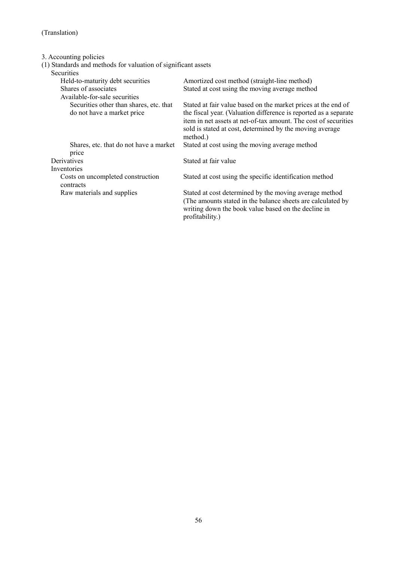3. Accounting policies

(1) Standards and methods for valuation of significant assets

Securities

| Held-to-maturity debt securities                                      | Amortized cost method (straight-line method)                                                                                                                                                                                                                                 |
|-----------------------------------------------------------------------|------------------------------------------------------------------------------------------------------------------------------------------------------------------------------------------------------------------------------------------------------------------------------|
| Shares of associates                                                  | Stated at cost using the moving average method                                                                                                                                                                                                                               |
| Available-for-sale securities                                         |                                                                                                                                                                                                                                                                              |
| Securities other than shares, etc. that<br>do not have a market price | Stated at fair value based on the market prices at the end of<br>the fiscal year. (Valuation difference is reported as a separate<br>item in net assets at net-of-tax amount. The cost of securities<br>sold is stated at cost, determined by the moving average<br>method.) |
| Shares, etc. that do not have a market<br>price                       | Stated at cost using the moving average method                                                                                                                                                                                                                               |
| Derivatives                                                           | Stated at fair value                                                                                                                                                                                                                                                         |
| Inventories                                                           |                                                                                                                                                                                                                                                                              |
| Costs on uncompleted construction<br>contracts                        | Stated at cost using the specific identification method                                                                                                                                                                                                                      |
| Raw materials and supplies                                            | Stated at cost determined by the moving average method<br>(The amounts stated in the balance sheets are calculated by<br>writing down the book value based on the decline in<br>profitability.)                                                                              |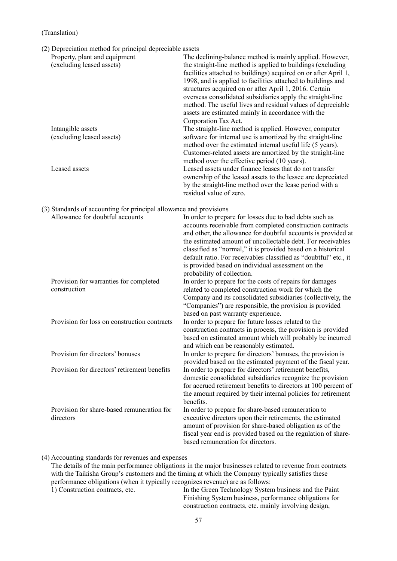|  |  | (2) Depreciation method for principal depreciable assets |
|--|--|----------------------------------------------------------|

| Property, plant and equipment<br>(excluding leased assets)                                            | The declining-balance method is mainly applied. However,<br>the straight-line method is applied to buildings (excluding<br>facilities attached to buildings) acquired on or after April 1,<br>1998, and is applied to facilities attached to buildings and<br>structures acquired on or after April 1, 2016. Certain<br>overseas consolidated subsidiaries apply the straight-line<br>method. The useful lives and residual values of depreciable<br>assets are estimated mainly in accordance with the<br>Corporation Tax Act. |
|-------------------------------------------------------------------------------------------------------|---------------------------------------------------------------------------------------------------------------------------------------------------------------------------------------------------------------------------------------------------------------------------------------------------------------------------------------------------------------------------------------------------------------------------------------------------------------------------------------------------------------------------------|
| Intangible assets<br>(excluding leased assets)                                                        | The straight-line method is applied. However, computer<br>software for internal use is amortized by the straight-line<br>method over the estimated internal useful life (5 years).<br>Customer-related assets are amortized by the straight-line<br>method over the effective period (10 years).                                                                                                                                                                                                                                |
| Leased assets                                                                                         | Leased assets under finance leases that do not transfer<br>ownership of the leased assets to the lessee are depreciated<br>by the straight-line method over the lease period with a<br>residual value of zero.                                                                                                                                                                                                                                                                                                                  |
| (3) Standards of accounting for principal allowance and provisions<br>Allowance for doubtful accounts | In order to prepare for losses due to bad debts such as<br>accounts receivable from completed construction contracts<br>and other, the allowance for doubtful accounts is provided at<br>the estimated amount of uncollectable debt. For receivables<br>classified as "normal," it is provided based on a historical<br>default ratio. For receivables classified as "doubtful" etc., it<br>is provided based on individual assessment on the<br>probability of collection.                                                     |
| Provision for warranties for completed<br>construction                                                | In order to prepare for the costs of repairs for damages<br>related to completed construction work for which the<br>Company and its consolidated subsidiaries (collectively, the<br>"Companies") are responsible, the provision is provided<br>based on past warranty experience.                                                                                                                                                                                                                                               |
| Provision for loss on construction contracts                                                          | In order to prepare for future losses related to the<br>construction contracts in process, the provision is provided<br>based on estimated amount which will probably be incurred<br>and which can be reasonably estimated.                                                                                                                                                                                                                                                                                                     |
| Provision for directors' bonuses                                                                      | In order to prepare for directors' bonuses, the provision is<br>provided based on the estimated payment of the fiscal year.                                                                                                                                                                                                                                                                                                                                                                                                     |
| Provision for directors' retirement benefits                                                          | In order to prepare for directors' retirement benefits,<br>domestic consolidated subsidiaries recognize the provision<br>for accrued retirement benefits to directors at 100 percent of<br>the amount required by their internal policies for retirement<br>benefits.                                                                                                                                                                                                                                                           |
| Provision for share-based remuneration for<br>directors                                               | In order to prepare for share-based remuneration to<br>executive directors upon their retirements, the estimated<br>amount of provision for share-based obligation as of the<br>fiscal year end is provided based on the regulation of share-<br>based remuneration for directors.                                                                                                                                                                                                                                              |

#### (4) Accounting standards for revenues and expenses

The details of the main performance obligations in the major businesses related to revenue from contracts with the Taikisha Group's customers and the timing at which the Company typically satisfies these performance obligations (when it typically recognizes revenue) are as follows:

1) Construction contracts, etc. In the Green Technology System business and the Paint Finishing System business, performance obligations for construction contracts, etc. mainly involving design,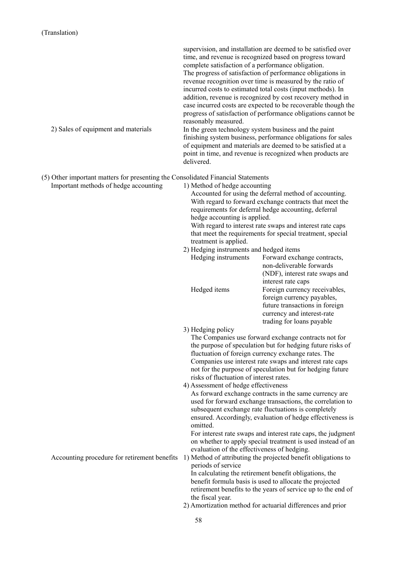|                                                                                                                           | supervision, and installation are deemed to be satisfied over<br>time, and revenue is recognized based on progress toward<br>complete satisfaction of a performance obligation.<br>The progress of satisfaction of performance obligations in<br>revenue recognition over time is measured by the ratio of<br>incurred costs to estimated total costs (input methods). In<br>addition, revenue is recognized by cost recovery method in<br>case incurred costs are expected to be recoverable though the<br>progress of satisfaction of performance obligations cannot be<br>reasonably measured.                                                                                                                                                                                                                                                                                                                                                                                                                                                                                                                                                                                                                                                                                                                                                                                                                                                                                                     |
|---------------------------------------------------------------------------------------------------------------------------|-------------------------------------------------------------------------------------------------------------------------------------------------------------------------------------------------------------------------------------------------------------------------------------------------------------------------------------------------------------------------------------------------------------------------------------------------------------------------------------------------------------------------------------------------------------------------------------------------------------------------------------------------------------------------------------------------------------------------------------------------------------------------------------------------------------------------------------------------------------------------------------------------------------------------------------------------------------------------------------------------------------------------------------------------------------------------------------------------------------------------------------------------------------------------------------------------------------------------------------------------------------------------------------------------------------------------------------------------------------------------------------------------------------------------------------------------------------------------------------------------------|
| 2) Sales of equipment and materials                                                                                       | In the green technology system business and the paint<br>finishing system business, performance obligations for sales<br>of equipment and materials are deemed to be satisfied at a<br>point in time, and revenue is recognized when products are<br>delivered.                                                                                                                                                                                                                                                                                                                                                                                                                                                                                                                                                                                                                                                                                                                                                                                                                                                                                                                                                                                                                                                                                                                                                                                                                                       |
| (5) Other important matters for presenting the Consolidated Financial Statements<br>Important methods of hedge accounting | 1) Method of hedge accounting<br>Accounted for using the deferral method of accounting.<br>With regard to forward exchange contracts that meet the<br>requirements for deferral hedge accounting, deferral<br>hedge accounting is applied.<br>With regard to interest rate swaps and interest rate caps<br>that meet the requirements for special treatment, special<br>treatment is applied.<br>2) Hedging instruments and hedged items<br>Hedging instruments<br>Forward exchange contracts,<br>non-deliverable forwards<br>(NDF), interest rate swaps and<br>interest rate caps<br>Hedged items<br>Foreign currency receivables,<br>foreign currency payables,<br>future transactions in foreign<br>currency and interest-rate<br>trading for loans payable<br>3) Hedging policy<br>The Companies use forward exchange contracts not for<br>the purpose of speculation but for hedging future risks of<br>fluctuation of foreign currency exchange rates. The<br>Companies use interest rate swaps and interest rate caps<br>not for the purpose of speculation but for hedging future<br>risks of fluctuation of interest rates.<br>4) Assessment of hedge effectiveness<br>As forward exchange contracts in the same currency are<br>used for forward exchange transactions, the correlation to<br>subsequent exchange rate fluctuations is completely<br>ensured. Accordingly, evaluation of hedge effectiveness is<br>omitted.<br>For interest rate swaps and interest rate caps, the judgment |
| Accounting procedure for retirement benefits                                                                              | on whether to apply special treatment is used instead of an<br>evaluation of the effectiveness of hedging.<br>1) Method of attributing the projected benefit obligations to<br>periods of service<br>In calculating the retirement benefit obligations, the<br>benefit formula basis is used to allocate the projected<br>retirement benefits to the years of service up to the end of<br>the fiscal year.<br>2) Amortization method for actuarial differences and prior                                                                                                                                                                                                                                                                                                                                                                                                                                                                                                                                                                                                                                                                                                                                                                                                                                                                                                                                                                                                                              |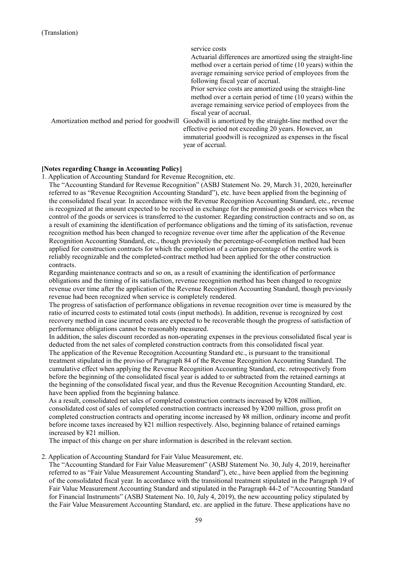|                                             | service costs<br>Actuarial differences are amortized using the straight-line<br>method over a certain period of time (10 years) within the<br>average remaining service period of employees from the         |
|---------------------------------------------|--------------------------------------------------------------------------------------------------------------------------------------------------------------------------------------------------------------|
|                                             | following fiscal year of accrual.                                                                                                                                                                            |
|                                             | Prior service costs are amortized using the straight-line<br>method over a certain period of time (10 years) within the<br>average remaining service period of employees from the<br>fiscal year of accrual. |
| Amortization method and period for goodwill | Goodwill is amortized by the straight-line method over the<br>effective period not exceeding 20 years. However, an<br>immaterial goodwill is recognized as expenses in the fiscal<br>year of accrual.        |

#### **[Notes regarding Change in Accounting Policy]**

1. Application of Accounting Standard for Revenue Recognition, etc.

The "Accounting Standard for Revenue Recognition" (ASBJ Statement No. 29, March 31, 2020, hereinafter referred to as "Revenue Recognition Accounting Standard"), etc. have been applied from the beginning of the consolidated fiscal year. In accordance with the Revenue Recognition Accounting Standard, etc., revenue is recognized at the amount expected to be received in exchange for the promised goods or services when the control of the goods or services is transferred to the customer. Regarding construction contracts and so on, as a result of examining the identification of performance obligations and the timing of its satisfaction, revenue recognition method has been changed to recognize revenue over time after the application of the Revenue Recognition Accounting Standard, etc., though previously the percentage-of-completion method had been applied for construction contracts for which the completion of a certain percentage of the entire work is reliably recognizable and the completed-contract method had been applied for the other construction contracts.

Regarding maintenance contracts and so on, as a result of examining the identification of performance obligations and the timing of its satisfaction, revenue recognition method has been changed to recognize revenue over time after the application of the Revenue Recognition Accounting Standard, though previously revenue had been recognized when service is completely rendered.

The progress of satisfaction of performance obligations in revenue recognition over time is measured by the ratio of incurred costs to estimated total costs (input methods). In addition, revenue is recognized by cost recovery method in case incurred costs are expected to be recoverable though the progress of satisfaction of performance obligations cannot be reasonably measured.

In addition, the sales discount recorded as non-operating expenses in the previous consolidated fiscal year is deducted from the net sales of completed construction contracts from this consolidated fiscal year.

The application of the Revenue Recognition Accounting Standard etc., is pursuant to the transitional treatment stipulated in the proviso of Paragraph 84 of the Revenue Recognition Accounting Standard. The cumulative effect when applying the Revenue Recognition Accounting Standard, etc. retrospectively from before the beginning of the consolidated fiscal year is added to or subtracted from the retained earnings at the beginning of the consolidated fiscal year, and thus the Revenue Recognition Accounting Standard, etc. have been applied from the beginning balance.

As a result, consolidated net sales of completed construction contracts increased by ¥208 million, consolidated cost of sales of completed construction contracts increased by ¥200 million, gross profit on completed construction contracts and operating income increased by ¥8 million, ordinary income and profit before income taxes increased by ¥21 million respectively. Also, beginning balance of retained earnings increased by ¥21 million.

The impact of this change on per share information is described in the relevant section.

#### 2. Application of Accounting Standard for Fair Value Measurement, etc.

The "Accounting Standard for Fair Value Measurement" (ASBJ Statement No. 30, July 4, 2019, hereinafter referred to as "Fair Value Measurement Accounting Standard"), etc., have been applied from the beginning of the consolidated fiscal year. In accordance with the transitional treatment stipulated in the Paragraph 19 of Fair Value Measurement Accounting Standard and stipulated in the Paragraph 44-2 of "Accounting Standard for Financial Instruments" (ASBJ Statement No. 10, July 4, 2019), the new accounting policy stipulated by the Fair Value Measurement Accounting Standard, etc. are applied in the future. These applications have no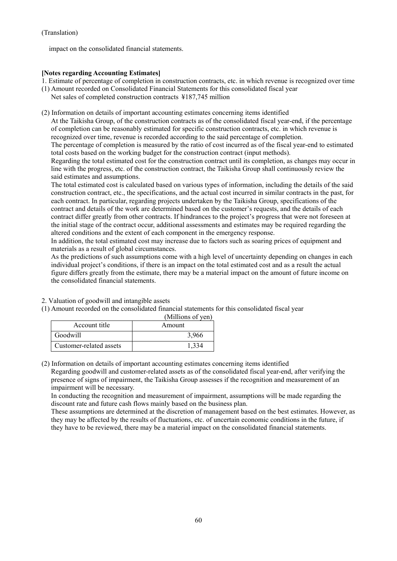impact on the consolidated financial statements.

## **[Notes regarding Accounting Estimates]**

1. Estimate of percentage of completion in construction contracts, etc. in which revenue is recognized over time

- (1) Amount recorded on Consolidated Financial Statements for this consolidated fiscal year
- Net sales of completed construction contracts ¥187,745 million
- (2) Information on details of important accounting estimates concerning items identified

At the Taikisha Group, of the construction contracts as of the consolidated fiscal year-end, if the percentage of completion can be reasonably estimated for specific construction contracts, etc. in which revenue is recognized over time, revenue is recorded according to the said percentage of completion.

The percentage of completion is measured by the ratio of cost incurred as of the fiscal year-end to estimated total costs based on the working budget for the construction contract (input methods).

Regarding the total estimated cost for the construction contract until its completion, as changes may occur in line with the progress, etc. of the construction contract, the Taikisha Group shall continuously review the said estimates and assumptions.

The total estimated cost is calculated based on various types of information, including the details of the said construction contract, etc., the specifications, and the actual cost incurred in similar contracts in the past, for each contract. In particular, regarding projects undertaken by the Taikisha Group, specifications of the contract and details of the work are determined based on the customer's requests, and the details of each contract differ greatly from other contracts. If hindrances to the project's progress that were not foreseen at the initial stage of the contract occur, additional assessments and estimates may be required regarding the altered conditions and the extent of each component in the emergency response.

In addition, the total estimated cost may increase due to factors such as soaring prices of equipment and materials as a result of global circumstances.

As the predictions of such assumptions come with a high level of uncertainty depending on changes in each individual project's conditions, if there is an impact on the total estimated cost and as a result the actual figure differs greatly from the estimate, there may be a material impact on the amount of future income on the consolidated financial statements.

- 2. Valuation of goodwill and intangible assets
- (1) Amount recorded on the consolidated financial statements for this consolidated fiscal year

|                         | (Millions of yen) |
|-------------------------|-------------------|
| Account title           | Amount            |
| Goodwill                | 3.966             |
| Customer-related assets |                   |

(2) Information on details of important accounting estimates concerning items identified Regarding goodwill and customer-related assets as of the consolidated fiscal year-end, after verifying the presence of signs of impairment, the Taikisha Group assesses if the recognition and measurement of an

impairment will be necessary. In conducting the recognition and measurement of impairment, assumptions will be made regarding the discount rate and future cash flows mainly based on the business plan.

These assumptions are determined at the discretion of management based on the best estimates. However, as they may be affected by the results of fluctuations, etc. of uncertain economic conditions in the future, if they have to be reviewed, there may be a material impact on the consolidated financial statements.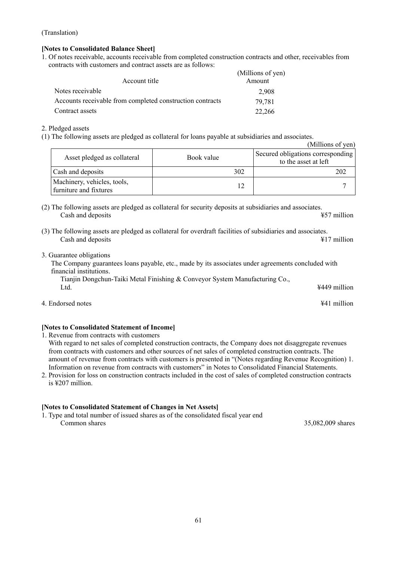# **[Notes to Consolidated Balance Sheet]**

1. Of notes receivable, accounts receivable from completed construction contracts and other, receivables from contracts with customers and contract assets are as follows:

| Account title                                             | (Millions of yen)<br>Amount |
|-----------------------------------------------------------|-----------------------------|
| Notes receivable                                          | 2.908                       |
| Accounts receivable from completed construction contracts | 79.781                      |
| Contract assets                                           | 22,266                      |

## 2. Pledged assets

(1) The following assets are pledged as collateral for loans payable at subsidiaries and associates.

|                                                       |            | (Millions of yen)                                         |
|-------------------------------------------------------|------------|-----------------------------------------------------------|
| Asset pledged as collateral                           | Book value | Secured obligations corresponding<br>to the asset at left |
| Cash and deposits                                     | 302        | 202                                                       |
| Machinery, vehicles, tools,<br>furniture and fixtures |            |                                                           |

- (2) The following assets are pledged as collateral for security deposits at subsidiaries and associates. Cash and deposits **ACC** and deposits **457** million
- (3) The following assets are pledged as collateral for overdraft facilities of subsidiaries and associates. Cash and deposits **All 2** million
- 3. Guarantee obligations

The Company guarantees loans payable, etc., made by its associates under agreements concluded with financial institutions.

Tianjin Dongchun-Taiki Metal Finishing & Conveyor System Manufacturing Co., Ltd. **Letter** the contract of the contract of the contract of the contract of the contract of the contract of the contract of the contract of the contract of the contract of the contract of the contract of the contract of

4. Endorsed notes ¥41 million

# **[Notes to Consolidated Statement of Income]**

1. Revenue from contracts with customers

With regard to net sales of completed construction contracts, the Company does not disaggregate revenues from contracts with customers and other sources of net sales of completed construction contracts. The amount of revenue from contracts with customers is presented in "(Notes regarding Revenue Recognition) 1. Information on revenue from contracts with customers" in Notes to Consolidated Financial Statements.

2. Provision for loss on construction contracts included in the cost of sales of completed construction contracts is ¥207 million.

# **[Notes to Consolidated Statement of Changes in Net Assets]**

1. Type and total number of issued shares as of the consolidated fiscal year end Common shares 35,082,009 shares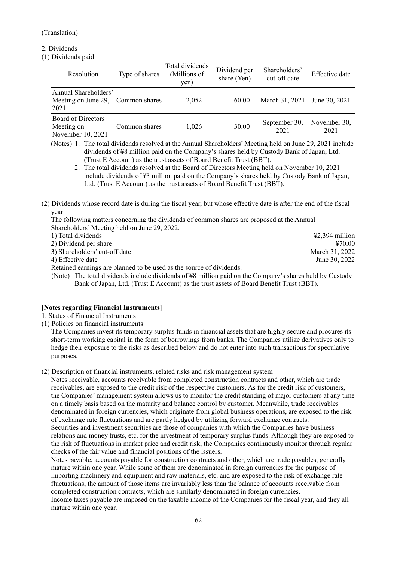# 2. Dividends

(1) Dividends paid

| Resolution                                                   | Type of shares | Total dividends<br>(Millions of<br>yen) | Dividend per<br>share (Yen) | Shareholders'<br>cut-off date | Effective date       |
|--------------------------------------------------------------|----------------|-----------------------------------------|-----------------------------|-------------------------------|----------------------|
| Annual Shareholders'<br>Meeting on June 29,<br>2021          | Common shares  | 2,052                                   | 60.00                       | March 31, 2021                | June 30, 2021        |
| <b>Board of Directors</b><br>Meeting on<br>November 10, 2021 | Common shares  | 1,026                                   | 30.00                       | September 30,<br>2021         | November 30,<br>2021 |

(Notes) 1. The total dividends resolved at the Annual Shareholders' Meeting held on June 29, 2021 include dividends of ¥8 million paid on the Company's shares held by Custody Bank of Japan, Ltd. (Trust E Account) as the trust assets of Board Benefit Trust (BBT).

- 2. The total dividends resolved at the Board of Directors Meeting held on November 10, 2021 include dividends of ¥3 million paid on the Company's shares held by Custody Bank of Japan, Ltd. (Trust E Account) as the trust assets of Board Benefit Trust (BBT).
- (2) Dividends whose record date is during the fiscal year, but whose effective date is after the end of the fiscal year

The following matters concerning the dividends of common shares are proposed at the Annual Shareholders' Meeting held on June 29, 2022.

| 1) Total dividends            | $\text{\#2.394}$ million |
|-------------------------------|--------------------------|
| 2) Dividend per share         | 470.00                   |
| 3) Shareholders' cut-off date | March 31, 2022           |
| 4) Effective date             | June 30, 2022            |
|                               |                          |

Retained earnings are planned to be used as the source of dividends.

(Note) The total dividends include dividends of ¥8 million paid on the Company's shares held by Custody Bank of Japan, Ltd. (Trust E Account) as the trust assets of Board Benefit Trust (BBT).

# **[Notes regarding Financial Instruments]**

# 1. Status of Financial Instruments

(1) Policies on financial instruments

The Companies invest its temporary surplus funds in financial assets that are highly secure and procures its short-term working capital in the form of borrowings from banks. The Companies utilize derivatives only to hedge their exposure to the risks as described below and do not enter into such transactions for speculative purposes.

(2) Description of financial instruments, related risks and risk management system

Notes receivable, accounts receivable from completed construction contracts and other, which are trade receivables, are exposed to the credit risk of the respective customers. As for the credit risk of customers, the Companies' management system allows us to monitor the credit standing of major customers at any time on a timely basis based on the maturity and balance control by customer. Meanwhile, trade receivables denominated in foreign currencies, which originate from global business operations, are exposed to the risk of exchange rate fluctuations and are partly hedged by utilizing forward exchange contracts. Securities and investment securities are those of companies with which the Companies have business relations and money trusts, etc. for the investment of temporary surplus funds. Although they are exposed to

the risk of fluctuations in market price and credit risk, the Companies continuously monitor through regular checks of the fair value and financial positions of the issuers.

Notes payable, accounts payable for construction contracts and other, which are trade payables, generally mature within one year. While some of them are denominated in foreign currencies for the purpose of importing machinery and equipment and raw materials, etc. and are exposed to the risk of exchange rate fluctuations, the amount of those items are invariably less than the balance of accounts receivable from completed construction contracts, which are similarly denominated in foreign currencies.

Income taxes payable are imposed on the taxable income of the Companies for the fiscal year, and they all mature within one year.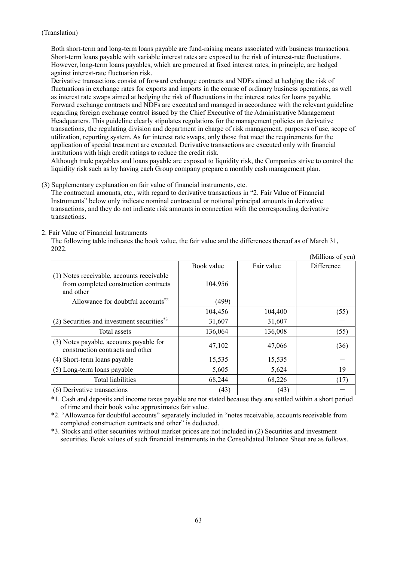Both short-term and long-term loans payable are fund-raising means associated with business transactions. Short-term loans payable with variable interest rates are exposed to the risk of interest-rate fluctuations. However, long-term loans payables, which are procured at fixed interest rates, in principle, are hedged against interest-rate fluctuation risk.

Derivative transactions consist of forward exchange contracts and NDFs aimed at hedging the risk of fluctuations in exchange rates for exports and imports in the course of ordinary business operations, as well as interest rate swaps aimed at hedging the risk of fluctuations in the interest rates for loans payable. Forward exchange contracts and NDFs are executed and managed in accordance with the relevant guideline regarding foreign exchange control issued by the Chief Executive of the Administrative Management Headquarters. This guideline clearly stipulates regulations for the management policies on derivative transactions, the regulating division and department in charge of risk management, purposes of use, scope of utilization, reporting system. As for interest rate swaps, only those that meet the requirements for the application of special treatment are executed. Derivative transactions are executed only with financial institutions with high credit ratings to reduce the credit risk.

Although trade payables and loans payable are exposed to liquidity risk, the Companies strive to control the liquidity risk such as by having each Group company prepare a monthly cash management plan.

(3) Supplementary explanation on fair value of financial instruments, etc.

The contractual amounts, etc., with regard to derivative transactions in "2. Fair Value of Financial Instruments" below only indicate nominal contractual or notional principal amounts in derivative transactions, and they do not indicate risk amounts in connection with the corresponding derivative transactions.

#### 2. Fair Value of Financial Instruments

The following table indicates the book value, the fair value and the differences thereof as of March 31, 2022.  $(MT1)$   $(2)$ 

|                                                                                                 |            |            | (IVIIIIIONS OI Yen) |
|-------------------------------------------------------------------------------------------------|------------|------------|---------------------|
|                                                                                                 | Book value | Fair value | Difference          |
| (1) Notes receivable, accounts receivable<br>from completed construction contracts<br>and other | 104,956    |            |                     |
| Allowance for doubtful accounts <sup>*2</sup>                                                   | (499)      |            |                     |
|                                                                                                 | 104,456    | 104,400    | (55)                |
| $(2)$ Securities and investment securities <sup>*3</sup>                                        | 31,607     | 31,607     |                     |
| Total assets                                                                                    | 136,064    | 136,008    | (55)                |
| (3) Notes payable, accounts payable for<br>construction contracts and other                     | 47,102     | 47,066     | (36)                |
| (4) Short-term loans payable                                                                    | 15,535     | 15,535     |                     |
| (5) Long-term loans payable                                                                     | 5,605      | 5,624      | 19                  |
| <b>Total liabilities</b>                                                                        | 68,244     | 68,226     | (17)                |
| (6) Derivative transactions                                                                     | (43)       | (43)       |                     |

\*1. Cash and deposits and income taxes payable are not stated because they are settled within a short period of time and their book value approximates fair value.

\*2. "Allowance for doubtful accounts" separately included in "notes receivable, accounts receivable from completed construction contracts and other" is deducted.

\*3. Stocks and other securities without market prices are not included in (2) Securities and investment securities. Book values of such financial instruments in the Consolidated Balance Sheet are as follows.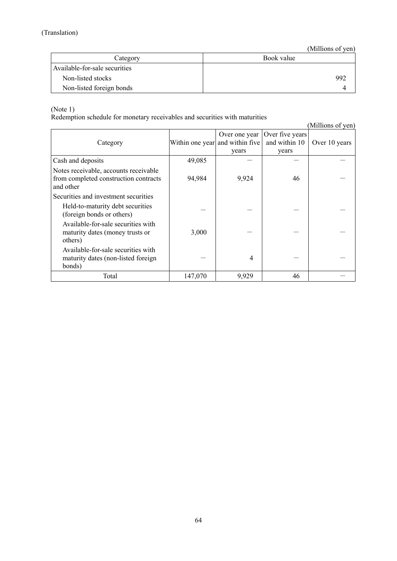(Millions of yen)

| Category                      | Book value |
|-------------------------------|------------|
| Available-for-sale securities |            |
| Non-listed stocks             | 992        |
| Non-listed foreign bonds      |            |

(Note 1)

Redemption schedule for monetary receivables and securities with maturities

(Millions of yen) Category Within one year and within five Over one year years Over five years and within 10 years Over 10 years Cash and deposits  $49,085$   $-$ Notes receivable, accounts receivable from completed construction contracts and other 94,984 9,924 46 Securities and investment securities Held-to-maturity debt securities (foreign bonds or others) Available-for-sale securities with maturity dates (money trusts or others)  $3,000$   $-$ Available-for-sale securities with maturity dates (non-listed foreign bonds) - 4 - - Total 147,070 9,929 46  $-$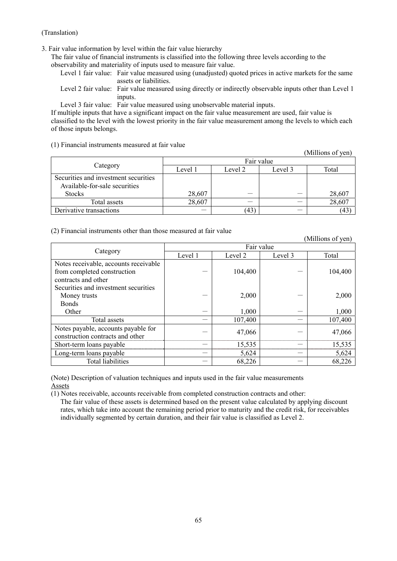3. Fair value information by level within the fair value hierarchy

The fair value of financial instruments is classified into the following three levels according to the observability and materiality of inputs used to measure fair value.

Level 1 fair value: Fair value measured using (unadjusted) quoted prices in active markets for the same assets or liabilities.

Level 2 fair value: Fair value measured using directly or indirectly observable inputs other than Level 1 inputs.

Level 3 fair value: Fair value measured using unobservable material inputs.

If multiple inputs that have a significant impact on the fair value measurement are used, fair value is classified to the level with the lowest priority in the fair value measurement among the levels to which each of those inputs belongs.

## (1) Financial instruments measured at fair value

|                                      |         |            |         | (Millions of yen) |  |
|--------------------------------------|---------|------------|---------|-------------------|--|
|                                      |         | Fair value |         |                   |  |
| Category                             | Level 1 | Level 2    | Level 3 | Total             |  |
| Securities and investment securities |         |            |         |                   |  |
| Available-for-sale securities        |         |            |         |                   |  |
| <b>Stocks</b>                        | 28,607  |            |         | 28,607            |  |
| Total assets                         | 28,607  |            |         | 28,607            |  |
| Derivative transactions              |         | (43        |         | (43)              |  |

## (2) Financial instruments other than those measured at fair value

(Millions of yen) Category Fair value Level 1 Level 2 Level 3 Total Notes receivable, accounts receivable from completed construction contracts and other  $104,400$   $104,400$ Securities and investment securities Money trusts  $2,000$   $2,000$ Bonds Other  $-$  1,000  $-$  1,000  $-$  1,000 Total assets  $-$  107.400  $-$  107.400 Notes payable, accounts payable for  $\frac{1}{2}$  construction contracts and other  $-$  47,066  $-$  47,066 Short-term loans payable  $-$  15,535  $-$  15,535 Long-term loans payable  $5,624$   $5,624$ Total liabilities  $68,226$   $68,226$ 

(Note) Description of valuation techniques and inputs used in the fair value measurements Assets

(1) Notes receivable, accounts receivable from completed construction contracts and other:

The fair value of these assets is determined based on the present value calculated by applying discount rates, which take into account the remaining period prior to maturity and the credit risk, for receivables individually segmented by certain duration, and their fair value is classified as Level 2.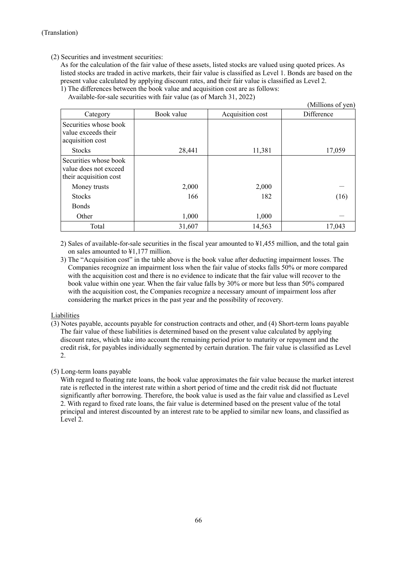# (2) Securities and investment securities:

As for the calculation of the fair value of these assets, listed stocks are valued using quoted prices. As listed stocks are traded in active markets, their fair value is classified as Level 1. Bonds are based on the present value calculated by applying discount rates, and their fair value is classified as Level 2.

1) The differences between the book value and acquisition cost are as follows: Available-for-sale securities with fair value (as of March 31, 2022)

|                                                                          |            |                  | (Millions of yen) |
|--------------------------------------------------------------------------|------------|------------------|-------------------|
| Category                                                                 | Book value | Acquisition cost | Difference        |
| Securities whose book<br>value exceeds their<br>acquisition cost         |            |                  |                   |
| <b>Stocks</b>                                                            | 28,441     | 11,381           | 17,059            |
| Securities whose book<br>value does not exceed<br>their acquisition cost |            |                  |                   |
| Money trusts                                                             | 2,000      | 2,000            |                   |
| <b>Stocks</b>                                                            | 166        | 182              | (16)              |
| <b>Bonds</b>                                                             |            |                  |                   |
| Other                                                                    | 1,000      | 1,000            |                   |
| Total                                                                    | 31,607     | 14,563           | 17,043            |

2) Sales of available-for-sale securities in the fiscal year amounted to ¥1,455 million, and the total gain on sales amounted to ¥1,177 million.

3) The "Acquisition cost" in the table above is the book value after deducting impairment losses. The Companies recognize an impairment loss when the fair value of stocks falls 50% or more compared with the acquisition cost and there is no evidence to indicate that the fair value will recover to the book value within one year. When the fair value falls by 30% or more but less than 50% compared with the acquisition cost, the Companies recognize a necessary amount of impairment loss after considering the market prices in the past year and the possibility of recovery.

# Liabilities

(3) Notes payable, accounts payable for construction contracts and other, and (4) Short-term loans payable The fair value of these liabilities is determined based on the present value calculated by applying discount rates, which take into account the remaining period prior to maturity or repayment and the credit risk, for payables individually segmented by certain duration. The fair value is classified as Level 2.

# (5) Long-term loans payable

With regard to floating rate loans, the book value approximates the fair value because the market interest rate is reflected in the interest rate within a short period of time and the credit risk did not fluctuate significantly after borrowing. Therefore, the book value is used as the fair value and classified as Level 2. With regard to fixed rate loans, the fair value is determined based on the present value of the total principal and interest discounted by an interest rate to be applied to similar new loans, and classified as Level 2.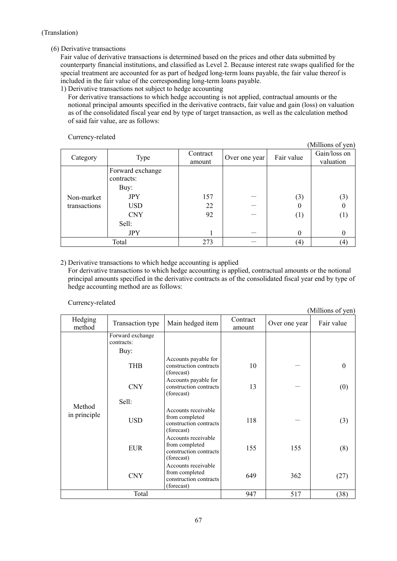# (6) Derivative transactions

Fair value of derivative transactions is determined based on the prices and other data submitted by counterparty financial institutions, and classified as Level 2. Because interest rate swaps qualified for the special treatment are accounted for as part of hedged long-term loans payable, the fair value thereof is included in the fair value of the corresponding long-term loans payable.

1) Derivative transactions not subject to hedge accounting

For derivative transactions to which hedge accounting is not applied, contractual amounts or the notional principal amounts specified in the derivative contracts, fair value and gain (loss) on valuation as of the consolidated fiscal year end by type of target transaction, as well as the calculation method of said fair value, are as follows:

# Currency-related

| - ---- ---<br>-------      |                                                                                                         |                    |               |                                    | (Millions of yen)                               |
|----------------------------|---------------------------------------------------------------------------------------------------------|--------------------|---------------|------------------------------------|-------------------------------------------------|
| Category                   | Type                                                                                                    | Contract<br>amount | Over one year | Fair value                         | Gain/loss on<br>valuation                       |
| Non-market<br>transactions | Forward exchange<br>contracts:<br>Buy:<br><b>JPY</b><br><b>USD</b><br><b>CNY</b><br>Sell:<br><b>JPY</b> | 157<br>22<br>92    |               | (3)<br>$\theta$<br>(1)<br>$\theta$ | (3)<br>$\theta$<br>$\left(1\right)$<br>$\theta$ |
|                            | Total                                                                                                   | 273                |               | (4)                                | (4)                                             |

# 2) Derivative transactions to which hedge accounting is applied

For derivative transactions to which hedge accounting is applied, contractual amounts or the notional principal amounts specified in the derivative contracts as of the consolidated fiscal year end by type of hedge accounting method are as follows:

# Currency-related

|                        |                                |                                                                               |                    |               | (Millions of yen) |
|------------------------|--------------------------------|-------------------------------------------------------------------------------|--------------------|---------------|-------------------|
| Hedging<br>method      | Transaction type               | Main hedged item                                                              | Contract<br>amount | Over one year | Fair value        |
|                        | Forward exchange<br>contracts: |                                                                               |                    |               |                   |
|                        | Buy:                           |                                                                               |                    |               |                   |
|                        | <b>THB</b>                     | Accounts payable for<br>construction contracts<br>(forecast)                  | 10                 |               | $\boldsymbol{0}$  |
|                        | <b>CNY</b>                     | Accounts payable for<br>construction contracts<br>(forecast)                  | 13                 |               | (0)               |
|                        | Sell:                          |                                                                               |                    |               |                   |
| Method<br>in principle | <b>USD</b>                     | Accounts receivable<br>from completed<br>construction contracts<br>(forecast) | 118                |               | (3)               |
|                        | <b>EUR</b>                     | Accounts receivable<br>from completed<br>construction contracts<br>(forecast) | 155                | 155           | (8)               |
|                        | <b>CNY</b>                     | Accounts receivable<br>from completed<br>construction contracts<br>(forecast) | 649                | 362           | (27)              |
|                        | Total                          |                                                                               | 947                | 517           | (38)              |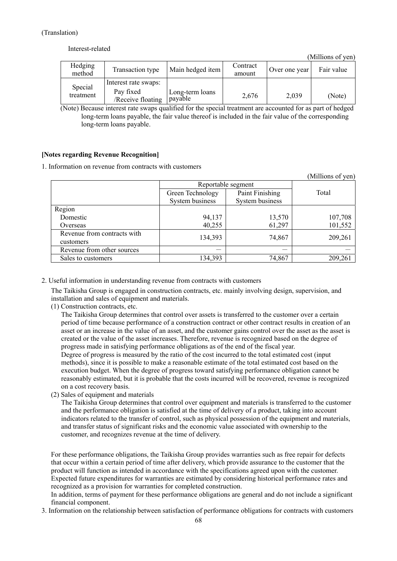#### Interest-related

(Millions of yen)

| Hedging<br>method | Transaction type               | Main hedged item           | Contract<br>amount | Over one year | Fair value |
|-------------------|--------------------------------|----------------------------|--------------------|---------------|------------|
| Special           | Interest rate swaps:           |                            |                    |               |            |
| treatment         | Pay fixed<br>/Receive floating | Long-term loans<br>payable | 2,676              | 2,039         | (Note)     |

(Note) Because interest rate swaps qualified for the special treatment are accounted for as part of hedged long-term loans payable, the fair value thereof is included in the fair value of the corresponding long-term loans payable.

## **[Notes regarding Revenue Recognition]**

1. Information on revenue from contracts with customers

|                                          |                    |                 | (Millions of yen) |
|------------------------------------------|--------------------|-----------------|-------------------|
|                                          | Reportable segment |                 |                   |
|                                          | Green Technology   | Paint Finishing | Total             |
|                                          | System business    | System business |                   |
| Region                                   |                    |                 |                   |
| Domestic                                 | 94,137             | 13,570          | 107,708           |
| Overseas                                 | 40,255             | 61,297          | 101,552           |
| Revenue from contracts with<br>customers | 134,393            | 74,867          | 209,261           |
| Revenue from other sources               |                    |                 |                   |
| Sales to customers                       | 134,393            | 74,867          | 209,261           |

2. Useful information in understanding revenue from contracts with customers

The Taikisha Group is engaged in construction contracts, etc. mainly involving design, supervision, and installation and sales of equipment and materials.

(1) Construction contracts, etc.

The Taikisha Group determines that control over assets is transferred to the customer over a certain period of time because performance of a construction contract or other contract results in creation of an asset or an increase in the value of an asset, and the customer gains control over the asset as the asset is created or the value of the asset increases. Therefore, revenue is recognized based on the degree of progress made in satisfying performance obligations as of the end of the fiscal year. Degree of progress is measured by the ratio of the cost incurred to the total estimated cost (input methods), since it is possible to make a reasonable estimate of the total estimated cost based on the execution budget. When the degree of progress toward satisfying performance obligation cannot be reasonably estimated, but it is probable that the costs incurred will be recovered, revenue is recognized

on a cost recovery basis. (2) Sales of equipment and materials

The Taikisha Group determines that control over equipment and materials is transferred to the customer and the performance obligation is satisfied at the time of delivery of a product, taking into account indicators related to the transfer of control, such as physical possession of the equipment and materials, and transfer status of significant risks and the economic value associated with ownership to the customer, and recognizes revenue at the time of delivery.

For these performance obligations, the Taikisha Group provides warranties such as free repair for defects that occur within a certain period of time after delivery, which provide assurance to the customer that the product will function as intended in accordance with the specifications agreed upon with the customer. Expected future expenditures for warranties are estimated by considering historical performance rates and recognized as a provision for warranties for completed construction.

In addition, terms of payment for these performance obligations are general and do not include a significant financial component.

3. Information on the relationship between satisfaction of performance obligations for contracts with customers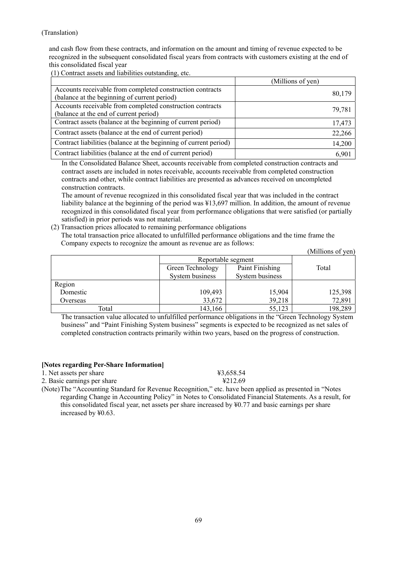and cash flow from these contracts, and information on the amount and timing of revenue expected to be recognized in the subsequent consolidated fiscal years from contracts with customers existing at the end of this consolidated fiscal year

(1) Contract assets and liabilities outstanding, etc.

|                                                                                                           | (Millions of yen) |
|-----------------------------------------------------------------------------------------------------------|-------------------|
| Accounts receivable from completed construction contracts<br>(balance at the beginning of current period) | 80,179            |
| Accounts receivable from completed construction contracts                                                 | 79,781            |
| (balance at the end of current period)                                                                    |                   |
| Contract assets (balance at the beginning of current period)                                              | 17,473            |
| Contract assets (balance at the end of current period)                                                    | 22,266            |
| Contract liabilities (balance at the beginning of current period)                                         | 14,200            |
| Contract liabilities (balance at the end of current period)                                               | 6,901             |

In the Consolidated Balance Sheet, accounts receivable from completed construction contracts and contract assets are included in notes receivable, accounts receivable from completed construction contracts and other, while contract liabilities are presented as advances received on uncompleted construction contracts.

The amount of revenue recognized in this consolidated fiscal year that was included in the contract liability balance at the beginning of the period was ¥13,697 million. In addition, the amount of revenue recognized in this consolidated fiscal year from performance obligations that were satisfied (or partially satisfied) in prior periods was not material.

(2) Transaction prices allocated to remaining performance obligations The total transaction price allocated to unfulfilled performance obligations and the time frame the Company expects to recognize the amount as revenue are as follows:

|          |                  |                    | (Millions of yen) |
|----------|------------------|--------------------|-------------------|
|          |                  | Reportable segment |                   |
|          | Green Technology | Paint Finishing    | Total             |
|          | System business  | System business    |                   |
| Region   |                  |                    |                   |
| Domestic | 109,493          | 15,904             | 125,398           |
| Overseas | 33,672           | 39,218             | 72,891            |
| Total    | 143,166          | 55,123             | 198,289           |

The transaction value allocated to unfulfilled performance obligations in the "Green Technology System business" and "Paint Finishing System business" segments is expected to be recognized as net sales of completed construction contracts primarily within two years, based on the progress of construction.

# **[Notes regarding Per-Share Information]**

1. Net assets per share  $\text{\#3,658.54}$ 

2. Basic earnings per share  $\text{\textsterling}212.69$ 

(Note) The "Accounting Standard for Revenue Recognition," etc. have been applied as presented in "Notes regarding Change in Accounting Policy" in Notes to Consolidated Financial Statements. As a result, for this consolidated fiscal year, net assets per share increased by  $\frac{1}{2}0.77$  and basic earnings per share increased by ¥0.63.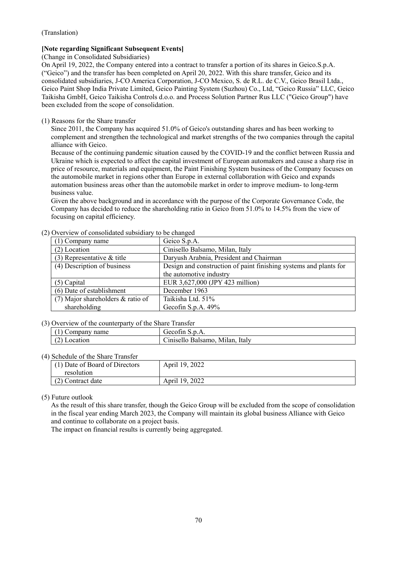# **[Note regarding Significant Subsequent Events]**

(Change in Consolidated Subsidiaries)

On April 19, 2022, the Company entered into a contract to transfer a portion of its shares in Geico.S.p.A. ("Geico") and the transfer has been completed on April 20, 2022. With this share transfer, Geico and its consolidated subsidiaries, J-CO America Corporation, J-CO Mexico, S. de R.L. de C.V., Geico Brasil Ltda., Geico Paint Shop India Private Limited, Geico Painting System (Suzhou) Co., Ltd, "Geico Russia" LLC, Geico Taikisha GmbH, Geico Taikisha Controls d.o.o. and Process Solution Partner Rus LLC ("Geico Group") have been excluded from the scope of consolidation.

# (1) Reasons for the Share transfer

Since 2011, the Company has acquired 51.0% of Geico's outstanding shares and has been working to complement and strengthen the technological and market strengths of the two companies through the capital alliance with Geico.

Because of the continuing pandemic situation caused by the COVID-19 and the conflict between Russia and Ukraine which is expected to affect the capital investment of European automakers and cause a sharp rise in price of resource, materials and equipment, the Paint Finishing System business of the Company focuses on the automobile market in regions other than Europe in external collaboration with Geico and expands automation business areas other than the automobile market in order to improve medium- to long-term business value.

Given the above background and in accordance with the purpose of the Corporate Governance Code, the Company has decided to reduce the shareholding ratio in Geico from 51.0% to 14.5% from the view of focusing on capital efficiency.

| (1) Company name                  | Geico S.p.A.                                                      |  |  |
|-----------------------------------|-------------------------------------------------------------------|--|--|
| $(2)$ Location                    | Cinisello Balsamo, Milan, Italy                                   |  |  |
| $(3)$ Representative & title      | Daryush Arabnia, President and Chairman                           |  |  |
| (4) Description of business       | Design and construction of paint finishing systems and plants for |  |  |
|                                   | the automotive industry                                           |  |  |
| $(5)$ Capital                     | EUR 3,627,000 (JPY 423 million)                                   |  |  |
| (6) Date of establishment         | December 1963                                                     |  |  |
| (7) Major shareholders & ratio of | Taikisha Ltd. 51%                                                 |  |  |
| shareholding                      | Gecofin S.p.A. $49%$                                              |  |  |

## (2) Overview of consolidated subsidiary to be changed

# (3) Overview of the counterparty of the Share Transfer

| $\sim$ , $\sim$ , $\sim$ , $\sim$ , $\sim$ , $\sim$ , $\sim$ , $\sim$ , $\sim$ , $\sim$ , $\sim$ , $\sim$ , $\sim$ , $\sim$ , $\sim$ |                                          |  |
|--------------------------------------------------------------------------------------------------------------------------------------|------------------------------------------|--|
| Company name                                                                                                                         | $\sim$<br>Gecofin<br>.                   |  |
| .oca*                                                                                                                                | Italy<br>Mulan.<br>anisetto.<br>Balsamo. |  |

# (4) Schedule of the Share Transfer

| Denedate of the blidge frampfer  |                |  |  |  |  |  |
|----------------------------------|----------------|--|--|--|--|--|
| $(1)$ Date of Board of Directors | April 19, 2022 |  |  |  |  |  |
| resolution                       |                |  |  |  |  |  |
| (2) Contract date                | April 19, 2022 |  |  |  |  |  |

# (5) Future outlook

As the result of this share transfer, though the Geico Group will be excluded from the scope of consolidation in the fiscal year ending March 2023, the Company will maintain its global business Alliance with Geico and continue to collaborate on a project basis.

The impact on financial results is currently being aggregated.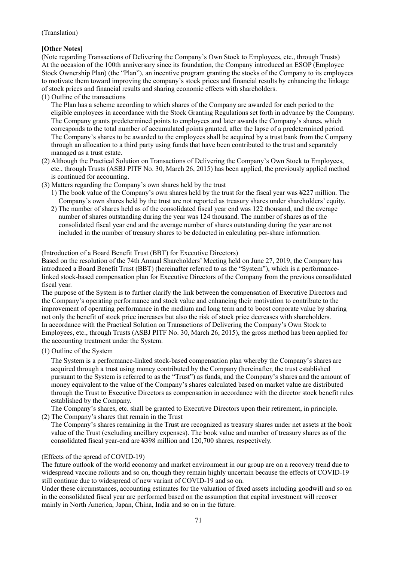# **[Other Notes]**

(Note regarding Transactions of Delivering the Company's Own Stock to Employees, etc., through Trusts) At the occasion of the 100th anniversary since its foundation, the Company introduced an ESOP (Employee Stock Ownership Plan) (the "Plan"), an incentive program granting the stocks of the Company to its employees to motivate them toward improving the company's stock prices and financial results by enhancing the linkage of stock prices and financial results and sharing economic effects with shareholders.

(1) Outline of the transactions

The Plan has a scheme according to which shares of the Company are awarded for each period to the eligible employees in accordance with the Stock Granting Regulations set forth in advance by the Company. The Company grants predetermined points to employees and later awards the Company's shares, which corresponds to the total number of accumulated points granted, after the lapse of a predetermined period. The Company's shares to be awarded to the employees shall be acquired by a trust bank from the Company through an allocation to a third party using funds that have been contributed to the trust and separately managed as a trust estate.

- (2) Although the Practical Solution on Transactions of Delivering the Company's Own Stock to Employees, etc., through Trusts (ASBJ PITF No. 30, March 26, 2015) has been applied, the previously applied method is continued for accounting.
- (3) Matters regarding the Company's own shares held by the trust
	- 1) The book value of the Company's own shares held by the trust for the fiscal year was ¥227 million. The Company's own shares held by the trust are not reported as treasury shares under shareholders' equity.
	- 2) The number of shares held as of the consolidated fiscal year end was 122 thousand, and the average number of shares outstanding during the year was 124 thousand. The number of shares as of the consolidated fiscal year end and the average number of shares outstanding during the year are not included in the number of treasury shares to be deducted in calculating per-share information.

## (Introduction of a Board Benefit Trust (BBT) for Executive Directors)

Based on the resolution of the 74th Annual Shareholders' Meeting held on June 27, 2019, the Company has introduced a Board Benefit Trust (BBT) (hereinafter referred to as the "System"), which is a performancelinked stock-based compensation plan for Executive Directors of the Company from the previous consolidated fiscal year.

The purpose of the System is to further clarify the link between the compensation of Executive Directors and the Company's operating performance and stock value and enhancing their motivation to contribute to the improvement of operating performance in the medium and long term and to boost corporate value by sharing not only the benefit of stock price increases but also the risk of stock price decreases with shareholders. In accordance with the Practical Solution on Transactions of Delivering the Company's Own Stock to Employees, etc., through Trusts (ASBJ PITF No. 30, March 26, 2015), the gross method has been applied for the accounting treatment under the System.

(1) Outline of the System

The System is a performance-linked stock-based compensation plan whereby the Company's shares are acquired through a trust using money contributed by the Company (hereinafter, the trust established pursuant to the System is referred to as the "Trust") as funds, and the Company's shares and the amount of money equivalent to the value of the Company's shares calculated based on market value are distributed through the Trust to Executive Directors as compensation in accordance with the director stock benefit rules established by the Company.

The Company's shares, etc. shall be granted to Executive Directors upon their retirement, in principle. (2) The Company's shares that remain in the Trust

The Company's shares remaining in the Trust are recognized as treasury shares under net assets at the book value of the Trust (excluding ancillary expenses). The book value and number of treasury shares as of the consolidated fiscal year-end are ¥398 million and 120,700 shares, respectively.

# (Effects of the spread of COVID-19)

The future outlook of the world economy and market environment in our group are on a recovery trend due to widespread vaccine rollouts and so on, though they remain highly uncertain because the effects of COVID-19 still continue due to widespread of new variant of COVID-19 and so on.

Under these circumstances, accounting estimates for the valuation of fixed assets including goodwill and so on in the consolidated fiscal year are performed based on the assumption that capital investment will recover mainly in North America, Japan, China, India and so on in the future.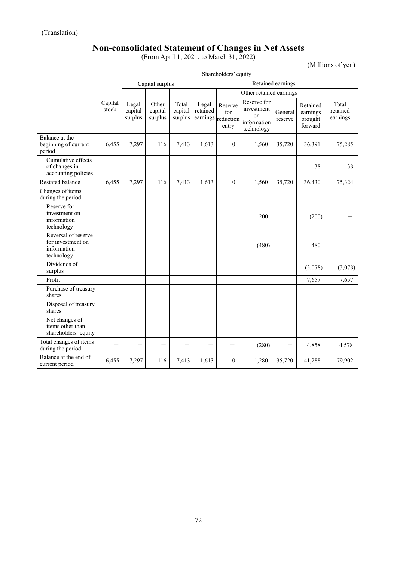# **Non-consolidated Statement of Changes in Net Assets**

(From April 1, 2021, to March 31, 2022)

(Millions of yen)

|                                                                       | Shareholders' equity |                             |                             |                             |                   |                                               |                                                              |                    |                                            |                               |  |
|-----------------------------------------------------------------------|----------------------|-----------------------------|-----------------------------|-----------------------------|-------------------|-----------------------------------------------|--------------------------------------------------------------|--------------------|--------------------------------------------|-------------------------------|--|
|                                                                       | Capital surplus      |                             |                             |                             | Retained earnings |                                               |                                                              |                    |                                            |                               |  |
|                                                                       |                      |                             |                             |                             |                   | Other retained earnings                       |                                                              |                    |                                            |                               |  |
|                                                                       | Capital<br>stock     | Legal<br>capital<br>surplus | Other<br>capital<br>surplus | Total<br>capital<br>surplus | Legal<br>retained | Reserve<br>for<br>earnings reduction<br>entry | Reserve for<br>investment<br>on<br>information<br>technology | General<br>reserve | Retained<br>earnings<br>brought<br>forward | Total<br>retained<br>earnings |  |
| Balance at the<br>beginning of current<br>period                      | 6,455                | 7,297                       | 116                         | 7,413                       | 1,613             | $\Omega$                                      | 1,560                                                        | 35,720             | 36,391                                     | 75,285                        |  |
| Cumulative effects<br>of changes in<br>accounting policies            |                      |                             |                             |                             |                   |                                               |                                                              |                    | 38                                         | 38                            |  |
| Restated balance                                                      | 6,455                | 7,297                       | 116                         | 7,413                       | 1,613             | $\mathbf{0}$                                  | 1,560                                                        | 35,720             | 36,430                                     | 75,324                        |  |
| Changes of items<br>during the period                                 |                      |                             |                             |                             |                   |                                               |                                                              |                    |                                            |                               |  |
| Reserve for<br>investment on<br>information<br>technology             |                      |                             |                             |                             |                   |                                               | 200                                                          |                    | (200)                                      |                               |  |
| Reversal of reserve<br>for investment on<br>information<br>technology |                      |                             |                             |                             |                   |                                               | (480)                                                        |                    | 480                                        |                               |  |
| Dividends of<br>surplus                                               |                      |                             |                             |                             |                   |                                               |                                                              |                    | (3,078)                                    | (3,078)                       |  |
| Profit                                                                |                      |                             |                             |                             |                   |                                               |                                                              |                    | 7,657                                      | 7,657                         |  |
| Purchase of treasury<br>shares                                        |                      |                             |                             |                             |                   |                                               |                                                              |                    |                                            |                               |  |
| Disposal of treasury<br>shares                                        |                      |                             |                             |                             |                   |                                               |                                                              |                    |                                            |                               |  |
| Net changes of<br>items other than<br>shareholders' equity            |                      |                             |                             |                             |                   |                                               |                                                              |                    |                                            |                               |  |
| Total changes of items<br>during the period                           |                      |                             |                             |                             |                   |                                               | (280)                                                        |                    | 4,858                                      | 4,578                         |  |
| Balance at the end of<br>current period                               | 6,455                | 7,297                       | 116                         | 7,413                       | 1,613             | $\theta$                                      | 1,280                                                        | 35,720             | 41,288                                     | 79,902                        |  |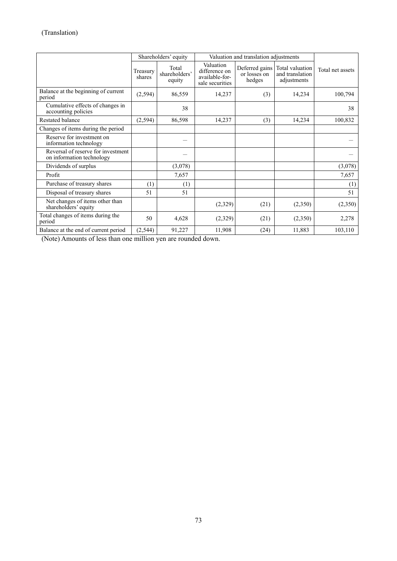|                                                                 | Shareholders' equity |                                  | Valuation and translation adjustments                           |                                          |                                                   |                  |
|-----------------------------------------------------------------|----------------------|----------------------------------|-----------------------------------------------------------------|------------------------------------------|---------------------------------------------------|------------------|
|                                                                 | Treasury<br>shares   | Total<br>shareholders'<br>equity | Valuation<br>difference on<br>available-for-<br>sale securities | Deferred gains<br>or losses on<br>hedges | Total valuation<br>and translation<br>adjustments | Total net assets |
| Balance at the beginning of current<br>period                   | (2, 594)             | 86,559                           | 14,237                                                          | (3)                                      | 14,234                                            | 100,794          |
| Cumulative effects of changes in<br>accounting policies         |                      | 38                               |                                                                 |                                          |                                                   | 38               |
| <b>Restated balance</b>                                         | (2,594)              | 86,598                           | 14,237                                                          | (3)                                      | 14,234                                            | 100,832          |
| Changes of items during the period                              |                      |                                  |                                                                 |                                          |                                                   |                  |
| Reserve for investment on<br>information technology             |                      |                                  |                                                                 |                                          |                                                   |                  |
| Reversal of reserve for investment<br>on information technology |                      |                                  |                                                                 |                                          |                                                   |                  |
| Dividends of surplus                                            |                      | (3,078)                          |                                                                 |                                          |                                                   | (3,078)          |
| Profit                                                          |                      | 7,657                            |                                                                 |                                          |                                                   | 7,657            |
| Purchase of treasury shares                                     | (1)                  | (1)                              |                                                                 |                                          |                                                   | (1)              |
| Disposal of treasury shares                                     | 51                   | 51                               |                                                                 |                                          |                                                   | 51               |
| Net changes of items other than<br>shareholders' equity         |                      |                                  | (2,329)                                                         | (21)                                     | (2,350)                                           | (2,350)          |
| Total changes of items during the<br>period                     | 50                   | 4,628                            | (2,329)                                                         | (21)                                     | (2,350)                                           | 2,278            |
| Balance at the end of current period                            | (2, 544)             | 91,227                           | 11,908                                                          | (24)                                     | 11,883                                            | 103,110          |

(Note) Amounts of less than one million yen are rounded down.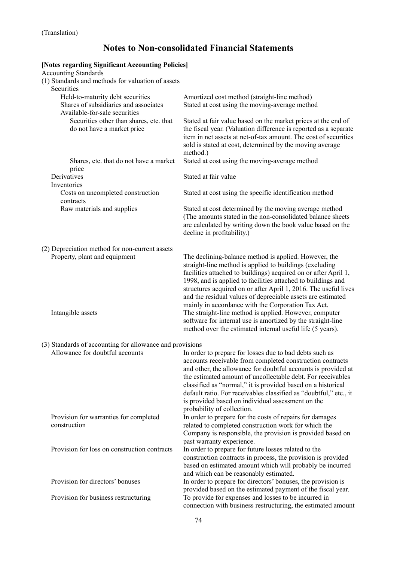# **Notes to Non-consolidated Financial Statements**

#### **[Notes regarding Significant Accounting Policies]**  Accounting Standards (1) Standards and methods for valuation of assets Securities Held-to-maturity debt securities Amortized cost method (straight-line method) Shares of subsidiaries and associates Stated at cost using the moving-average method Available-for-sale securities Securities other than shares, etc. that do not have a market price Stated at fair value based on the market prices at the end of the fiscal year. (Valuation difference is reported as a separate item in net assets at net-of-tax amount. The cost of securities sold is stated at cost, determined by the moving average method.) Shares, etc. that do not have a market price Stated at cost using the moving-average method Derivatives Stated at fair value Inventories Costs on uncompleted construction contracts Stated at cost using the specific identification method Raw materials and supplies Stated at cost determined by the moving average method (The amounts stated in the non-consolidated balance sheets are calculated by writing down the book value based on the decline in profitability.) (2) Depreciation method for non-current assets Property, plant and equipment The declining-balance method is applied. However, the straight-line method is applied to buildings (excluding facilities attached to buildings) acquired on or after April 1, 1998, and is applied to facilities attached to buildings and structures acquired on or after April 1, 2016. The useful lives and the residual values of depreciable assets are estimated mainly in accordance with the Corporation Tax Act. Intangible assets The straight-line method is applied. However, computer software for internal use is amortized by the straight-line method over the estimated internal useful life (5 years). (3) Standards of accounting for allowance and provisions Allowance for doubtful accounts In order to prepare for losses due to bad debts such as accounts receivable from completed construction contracts and other, the allowance for doubtful accounts is provided at the estimated amount of uncollectable debt. For receivables classified as "normal," it is provided based on a historical default ratio. For receivables classified as "doubtful," etc., it is provided based on individual assessment on the probability of collection. Provision for warranties for completed construction In order to prepare for the costs of repairs for damages related to completed construction work for which the Company is responsible, the provision is provided based on past warranty experience. Provision for loss on construction contracts In order to prepare for future losses related to the construction contracts in process, the provision is provided based on estimated amount which will probably be incurred and which can be reasonably estimated. Provision for directors' bonuses In order to prepare for directors' bonuses, the provision is provided based on the estimated payment of the fiscal year. Provision for business restructuring To provide for expenses and losses to be incurred in

connection with business restructuring, the estimated amount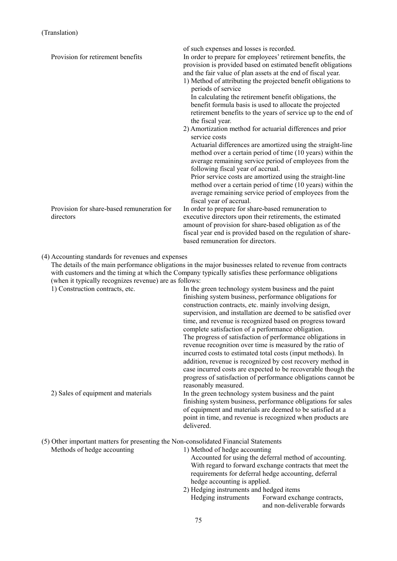| Provision for retirement benefits                                                                            | of such expenses and losses is recorded.<br>In order to prepare for employees' retirement benefits, the<br>provision is provided based on estimated benefit obligations<br>and the fair value of plan assets at the end of fiscal year.<br>1) Method of attributing the projected benefit obligations to<br>periods of service                                              |
|--------------------------------------------------------------------------------------------------------------|-----------------------------------------------------------------------------------------------------------------------------------------------------------------------------------------------------------------------------------------------------------------------------------------------------------------------------------------------------------------------------|
|                                                                                                              | In calculating the retirement benefit obligations, the<br>benefit formula basis is used to allocate the projected<br>retirement benefits to the years of service up to the end of<br>the fiscal year.                                                                                                                                                                       |
|                                                                                                              | 2) Amortization method for actuarial differences and prior<br>service costs                                                                                                                                                                                                                                                                                                 |
|                                                                                                              | Actuarial differences are amortized using the straight-line<br>method over a certain period of time (10 years) within the<br>average remaining service period of employees from the<br>following fiscal year of accrual.                                                                                                                                                    |
|                                                                                                              | Prior service costs are amortized using the straight-line<br>method over a certain period of time (10 years) within the<br>average remaining service period of employees from the<br>fiscal year of accrual.                                                                                                                                                                |
| Provision for share-based remuneration for<br>directors                                                      | In order to prepare for share-based remuneration to<br>executive directors upon their retirements, the estimated<br>amount of provision for share-based obligation as of the<br>fiscal year end is provided based on the regulation of share-<br>based remuneration for directors.                                                                                          |
| (4) Accounting standards for revenues and expenses<br>(when it typically recognizes revenue) are as follows: | The details of the main performance obligations in the major businesses related to revenue from contracts<br>with customers and the timing at which the Company typically satisfies these performance obligations                                                                                                                                                           |
| 1) Construction contracts, etc.                                                                              | In the green technology system business and the paint<br>finishing system business, performance obligations for<br>construction contracts, etc. mainly involving design,<br>supervision, and installation are deemed to be satisfied over<br>time, and revenue is recognized based on progress toward                                                                       |
|                                                                                                              | complete satisfaction of a performance obligation.<br>The progress of satisfaction of performance obligations in<br>revenue recognition over time is measured by the ratio of<br>incurred costs to estimated total costs (input methods). In<br>addition, revenue is recognized by cost recovery method in<br>case incurred costs are expected to be recoverable though the |
|                                                                                                              | progress of satisfaction of performance obligations cannot be<br>reasonably measured.                                                                                                                                                                                                                                                                                       |
| 2) Sales of equipment and materials                                                                          | In the green technology system business and the paint<br>finishing system business, performance obligations for sales<br>of equipment and materials are deemed to be satisfied at a<br>point in time, and revenue is recognized when products are<br>delivered.                                                                                                             |
| (5) Other important matters for presenting the Non-consolidated Financial Statements                         |                                                                                                                                                                                                                                                                                                                                                                             |
| Methods of hedge accounting                                                                                  | 1) Method of hedge accounting<br>Accounted for using the deferral method of accounting.<br>With regard to forward exchange contracts that meet the<br>requirements for deferral hedge accounting, deferral<br>hedge accounting is applied.                                                                                                                                  |
|                                                                                                              | 2) Hedging instruments and hedged items                                                                                                                                                                                                                                                                                                                                     |

 Hedging instruments Forward exchange contracts, and non-deliverable forwards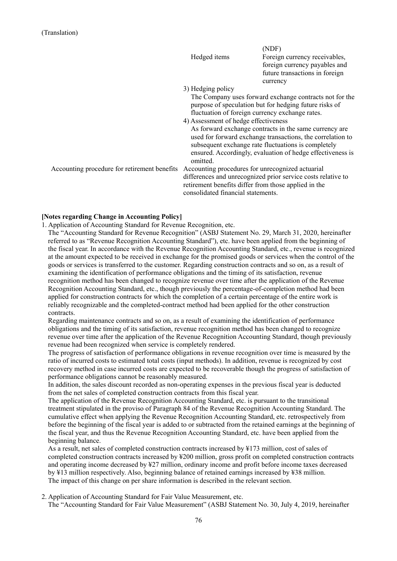|                                              |                                                      | (NDF)                                                        |
|----------------------------------------------|------------------------------------------------------|--------------------------------------------------------------|
|                                              | Hedged items                                         | Foreign currency receivables,                                |
|                                              |                                                      | foreign currency payables and                                |
|                                              |                                                      | future transactions in foreign                               |
|                                              |                                                      | currency                                                     |
|                                              | 3) Hedging policy                                    |                                                              |
|                                              |                                                      | The Company uses forward exchange contracts not for the      |
|                                              |                                                      | purpose of speculation but for hedging future risks of       |
|                                              | fluctuation of foreign currency exchange rates.      |                                                              |
|                                              | 4) Assessment of hedge effectiveness                 |                                                              |
|                                              |                                                      | As forward exchange contracts in the same currency are       |
|                                              |                                                      | used for forward exchange transactions, the correlation to   |
|                                              |                                                      | subsequent exchange rate fluctuations is completely          |
|                                              |                                                      | ensured. Accordingly, evaluation of hedge effectiveness is   |
|                                              | omitted.                                             |                                                              |
| Accounting procedure for retirement benefits | Accounting procedures for unrecognized actuarial     |                                                              |
|                                              |                                                      | differences and unrecognized prior service costs relative to |
|                                              | retirement benefits differ from those applied in the |                                                              |
|                                              | consolidated financial statements.                   |                                                              |

## **[Notes regarding Change in Accounting Policy]**

1. Application of Accounting Standard for Revenue Recognition, etc.

The "Accounting Standard for Revenue Recognition" (ASBJ Statement No. 29, March 31, 2020, hereinafter referred to as "Revenue Recognition Accounting Standard"), etc. have been applied from the beginning of the fiscal year. In accordance with the Revenue Recognition Accounting Standard, etc., revenue is recognized at the amount expected to be received in exchange for the promised goods or services when the control of the goods or services is transferred to the customer. Regarding construction contracts and so on, as a result of examining the identification of performance obligations and the timing of its satisfaction, revenue recognition method has been changed to recognize revenue over time after the application of the Revenue Recognition Accounting Standard, etc., though previously the percentage-of-completion method had been applied for construction contracts for which the completion of a certain percentage of the entire work is reliably recognizable and the completed-contract method had been applied for the other construction contracts.

Regarding maintenance contracts and so on, as a result of examining the identification of performance obligations and the timing of its satisfaction, revenue recognition method has been changed to recognize revenue over time after the application of the Revenue Recognition Accounting Standard, though previously revenue had been recognized when service is completely rendered.

The progress of satisfaction of performance obligations in revenue recognition over time is measured by the ratio of incurred costs to estimated total costs (input methods). In addition, revenue is recognized by cost recovery method in case incurred costs are expected to be recoverable though the progress of satisfaction of performance obligations cannot be reasonably measured.

In addition, the sales discount recorded as non-operating expenses in the previous fiscal year is deducted from the net sales of completed construction contracts from this fiscal year.

The application of the Revenue Recognition Accounting Standard, etc. is pursuant to the transitional treatment stipulated in the proviso of Paragraph 84 of the Revenue Recognition Accounting Standard. The cumulative effect when applying the Revenue Recognition Accounting Standard, etc. retrospectively from before the beginning of the fiscal year is added to or subtracted from the retained earnings at the beginning of the fiscal year, and thus the Revenue Recognition Accounting Standard, etc. have been applied from the beginning balance.

As a result, net sales of completed construction contracts increased by ¥173 million, cost of sales of completed construction contracts increased by ¥200 million, gross profit on completed construction contracts and operating income decreased by ¥27 million, ordinary income and profit before income taxes decreased by ¥13 million respectively. Also, beginning balance of retained earnings increased by ¥38 million. The impact of this change on per share information is described in the relevant section.

2. Application of Accounting Standard for Fair Value Measurement, etc.

The "Accounting Standard for Fair Value Measurement" (ASBJ Statement No. 30, July 4, 2019, hereinafter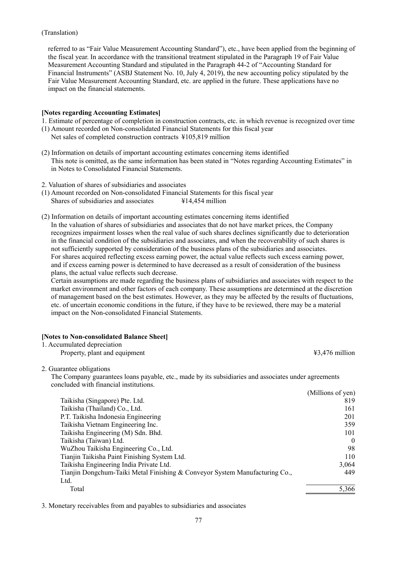referred to as "Fair Value Measurement Accounting Standard"), etc., have been applied from the beginning of the fiscal year. In accordance with the transitional treatment stipulated in the Paragraph 19 of Fair Value Measurement Accounting Standard and stipulated in the Paragraph 44-2 of "Accounting Standard for Financial Instruments" (ASBJ Statement No. 10, July 4, 2019), the new accounting policy stipulated by the Fair Value Measurement Accounting Standard, etc. are applied in the future. These applications have no impact on the financial statements.

#### **[Notes regarding Accounting Estimates]**

1. Estimate of percentage of completion in construction contracts, etc. in which revenue is recognized over time

- (1) Amount recorded on Non-consolidated Financial Statements for this fiscal year
	- Net sales of completed construction contracts ¥105,819 million
- (2) Information on details of important accounting estimates concerning items identified This note is omitted, as the same information has been stated in "Notes regarding Accounting Estimates" in in Notes to Consolidated Financial Statements.
- 2. Valuation of shares of subsidiaries and associates
- (1) Amount recorded on Non-consolidated Financial Statements for this fiscal year Shares of subsidiaries and associates  $\text{\#14,454}$  million
- (2) Information on details of important accounting estimates concerning items identified In the valuation of shares of subsidiaries and associates that do not have market prices, the Company recognizes impairment losses when the real value of such shares declines significantly due to deterioration in the financial condition of the subsidiaries and associates, and when the recoverability of such shares is not sufficiently supported by consideration of the business plans of the subsidiaries and associates. For shares acquired reflecting excess earning power, the actual value reflects such excess earning power, and if excess earning power is determined to have decreased as a result of consideration of the business plans, the actual value reflects such decrease.

Certain assumptions are made regarding the business plans of subsidiaries and associates with respect to the market environment and other factors of each company. These assumptions are determined at the discretion of management based on the best estimates. However, as they may be affected by the results of fluctuations, etc. of uncertain economic conditions in the future, if they have to be reviewed, there may be a material impact on the Non-consolidated Financial Statements.

### **[Notes to Non-consolidated Balance Sheet]**

| 1. Accumulated depreciation                                                                          |                   |
|------------------------------------------------------------------------------------------------------|-------------------|
| Property, plant and equipment                                                                        | $43,476$ million  |
| 2. Guarantee obligations                                                                             |                   |
| The Company guarantees loans payable, etc., made by its subsidiaries and associates under agreements |                   |
| concluded with financial institutions.                                                               |                   |
|                                                                                                      | (Millions of yen) |
| Taikisha (Singapore) Pte. Ltd.                                                                       | 819               |
| Taikisha (Thailand) Co., Ltd.                                                                        | 161               |
| P.T. Taikisha Indonesia Engineering                                                                  | 201               |
| Taikisha Vietnam Engineering Inc.                                                                    | 359               |
| Taikisha Engineering (M) Sdn. Bhd.                                                                   | 101               |
| Taikisha (Taiwan) Ltd.                                                                               | $\Omega$          |
| WuZhou Taikisha Engineering Co., Ltd.                                                                | 98                |
| Tianjin Taikisha Paint Finishing System Ltd.                                                         | 110               |
| Taikisha Engineering India Private Ltd.                                                              | 3,064             |
| Tianjin Dongchum-Taiki Metal Finishing & Conveyor System Manufacturing Co.,                          | 449               |
| Ltd.                                                                                                 |                   |
| Total                                                                                                | 5,366             |
|                                                                                                      |                   |

3. Monetary receivables from and payables to subsidiaries and associates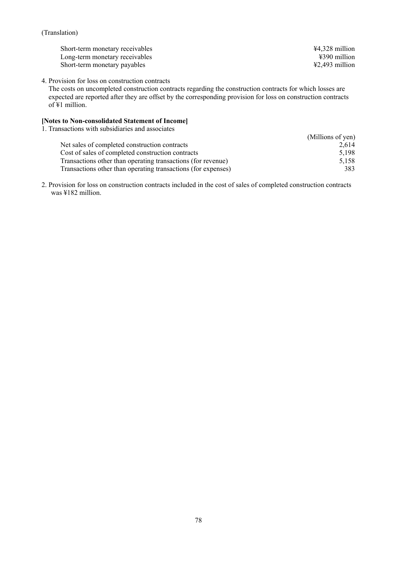| ¥4,328 million                      |
|-------------------------------------|
| ¥390 million                        |
| $\text{\textsterling}2,493$ million |
|                                     |

4. Provision for loss on construction contracts

The costs on uncompleted construction contracts regarding the construction contracts for which losses are expected are reported after they are offset by the corresponding provision for loss on construction contracts of ¥1 million.

# **[Notes to Non-consolidated Statement of Income]**

1. Transactions with subsidiaries and associates

| (Millions of yen) |
|-------------------|
|                   |
| 2.614             |
| 5.198             |
| 5.158             |
| 383               |
|                   |

2. Provision for loss on construction contracts included in the cost of sales of completed construction contracts was ¥182 million.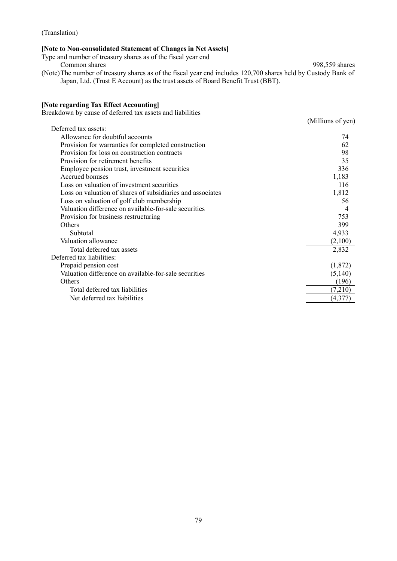## **[Note to Non-consolidated Statement of Changes in Net Assets]**

Type and number of treasury shares as of the fiscal year end Common shares 998,559 shares (Note) The number of treasury shares as of the fiscal year end includes 120,700 shares held by Custody Bank of Japan, Ltd. (Trust E Account) as the trust assets of Board Benefit Trust (BBT).

#### **[Note regarding Tax Effect Accounting]**

Breakdown by cause of deferred tax assets and liabilities

|                                                            | (Millions of yen) |
|------------------------------------------------------------|-------------------|
| Deferred tax assets:                                       |                   |
| Allowance for doubtful accounts                            | 74                |
| Provision for warranties for completed construction        | 62                |
| Provision for loss on construction contracts               | 98                |
| Provision for retirement benefits                          | 35                |
| Employee pension trust, investment securities              | 336               |
| Accrued bonuses                                            | 1,183             |
| Loss on valuation of investment securities                 | 116               |
| Loss on valuation of shares of subsidiaries and associates | 1,812             |
| Loss on valuation of golf club membership                  | 56                |
| Valuation difference on available-for-sale securities      |                   |
| Provision for business restructuring                       | 753               |
| Others                                                     | 399               |
| Subtotal                                                   | 4,933             |
| Valuation allowance                                        | (2,100)           |
| Total deferred tax assets                                  | 2,832             |
| Deferred tax liabilities:                                  |                   |
| Prepaid pension cost                                       | (1,872)           |
| Valuation difference on available-for-sale securities      | (5,140)           |
| Others                                                     | (196)             |
| Total deferred tax liabilities                             | (7,210)           |
| Net deferred tax liabilities                               | (4,377)           |
|                                                            |                   |